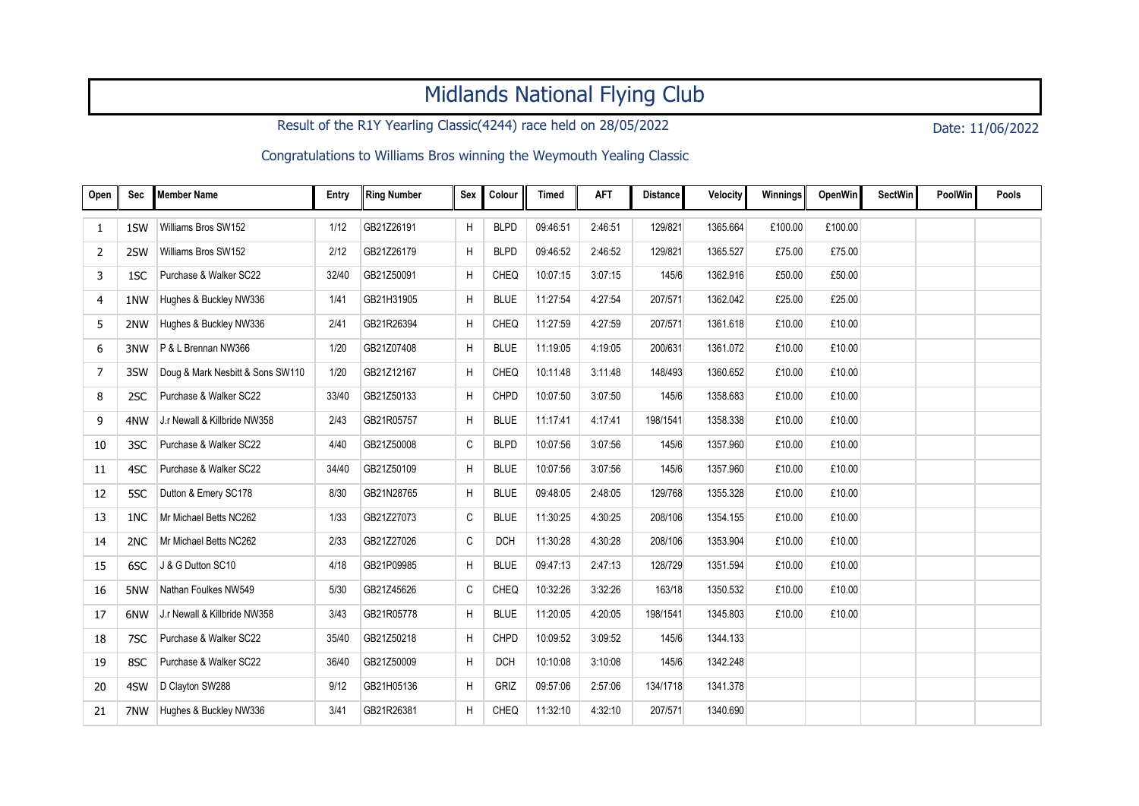## Midlands National Flying Club

Result of the R1Y Yearling Classic(4244) race held on 28/05/2022 Date: 11/06/2022

Congratulations to Williams Bros winning the Weymouth Yealing Classic

| Open | Sec | <b>Member Name</b>               | Entry | <b>Ring Number</b> | Sex | Colour      | <b>Timed</b> | <b>AFT</b> | <b>Distance</b> | Velocity | Winnings | OpenWin | <b>SectWin</b> | PoolWin | Pools |
|------|-----|----------------------------------|-------|--------------------|-----|-------------|--------------|------------|-----------------|----------|----------|---------|----------------|---------|-------|
| -1   | 1SW | Williams Bros SW152              | 1/12  | GB21Z26191         | H   | <b>BLPD</b> | 09:46:51     | 2:46:51    | 129/821         | 1365.664 | £100.00  | £100.00 |                |         |       |
| 2    | 2SW | Williams Bros SW152              | 2/12  | GB21Z26179         | H   | <b>BLPD</b> | 09:46:52     | 2:46:52    | 129/821         | 1365.527 | £75.00   | £75.00  |                |         |       |
| 3    | 1SC | Purchase & Walker SC22           | 32/40 | GB21Z50091         | H   | <b>CHEQ</b> | 10:07:15     | 3:07:15    | 145/6           | 1362.916 | £50.00   | £50.00  |                |         |       |
| 4    | 1NW | Hughes & Buckley NW336           | 1/41  | GB21H31905         | H   | <b>BLUE</b> | 11:27:54     | 4:27:54    | 207/571         | 1362.042 | £25.00   | £25.00  |                |         |       |
| 5    | 2NW | Hughes & Buckley NW336           | 2/41  | GB21R26394         | H   | <b>CHEQ</b> | 11:27:59     | 4:27:59    | 207/571         | 1361.618 | £10.00   | £10.00  |                |         |       |
| 6    | 3NW | P & L Brennan NW366              | 1/20  | GB21Z07408         | H   | <b>BLUE</b> | 11:19:05     | 4:19:05    | 200/631         | 1361.072 | £10.00   | £10.00  |                |         |       |
| 7    | 3SW | Doug & Mark Nesbitt & Sons SW110 | 1/20  | GB21Z12167         | H   | CHEQ        | 10:11:48     | 3:11:48    | 148/493         | 1360.652 | £10.00   | £10.00  |                |         |       |
| 8    | 2SC | Purchase & Walker SC22           | 33/40 | GB21Z50133         | H   | <b>CHPD</b> | 10:07:50     | 3:07:50    | 145/6           | 1358.683 | £10.00   | £10.00  |                |         |       |
| 9    | 4NW | J.r Newall & Killbride NW358     | 2/43  | GB21R05757         | H   | <b>BLUE</b> | 11:17:41     | 4:17:41    | 198/1541        | 1358.338 | £10.00   | £10.00  |                |         |       |
| 10   | 3SC | Purchase & Walker SC22           | 4/40  | GB21Z50008         | C   | <b>BLPD</b> | 10:07:56     | 3:07:56    | 145/6           | 1357.960 | £10.00   | £10.00  |                |         |       |
| 11   | 4SC | Purchase & Walker SC22           | 34/40 | GB21Z50109         | H   | <b>BLUE</b> | 10:07:56     | 3:07:56    | 145/6           | 1357.960 | £10.00   | £10.00  |                |         |       |
| 12   | 5SC | Dutton & Emery SC178             | 8/30  | GB21N28765         | H   | <b>BLUE</b> | 09:48:05     | 2:48:05    | 129/768         | 1355.328 | £10.00   | £10.00  |                |         |       |
| 13   | 1NC | Mr Michael Betts NC262           | 1/33  | GB21Z27073         | C   | <b>BLUE</b> | 11:30:25     | 4:30:25    | 208/106         | 1354.155 | £10.00   | £10.00  |                |         |       |
| 14   | 2NC | Mr Michael Betts NC262           | 2/33  | GB21Z27026         | C   | <b>DCH</b>  | 11:30:28     | 4:30:28    | 208/106         | 1353.904 | £10.00   | £10.00  |                |         |       |
| 15   | 6SC | J & G Dutton SC10                | 4/18  | GB21P09985         | H   | <b>BLUE</b> | 09:47:13     | 2:47:13    | 128/729         | 1351.594 | £10.00   | £10.00  |                |         |       |
| 16   | 5NW | Nathan Foulkes NW549             | 5/30  | GB21Z45626         | C   | CHEQ        | 10:32:26     | 3:32:26    | 163/18          | 1350.532 | £10.00   | £10.00  |                |         |       |
| 17   | 6NW | J.r Newall & Killbride NW358     | 3/43  | GB21R05778         | H   | <b>BLUE</b> | 11:20:05     | 4:20:05    | 198/1541        | 1345.803 | £10.00   | £10.00  |                |         |       |
| 18   | 7SC | Purchase & Walker SC22           | 35/40 | GB21Z50218         | H   | CHPD        | 10:09:52     | 3:09:52    | 145/6           | 1344.133 |          |         |                |         |       |
| 19   | 8SC | Purchase & Walker SC22           | 36/40 | GB21Z50009         | H   | <b>DCH</b>  | 10:10:08     | 3:10:08    | 145/6           | 1342.248 |          |         |                |         |       |
| 20   | 4SW | D Clayton SW288                  | 9/12  | GB21H05136         | H   | <b>GRIZ</b> | 09:57:06     | 2:57:06    | 134/1718        | 1341.378 |          |         |                |         |       |
| 21   | 7NW | Hughes & Buckley NW336           | 3/41  | GB21R26381         | H   | CHEQ        | 11:32:10     | 4:32:10    | 207/571         | 1340.690 |          |         |                |         |       |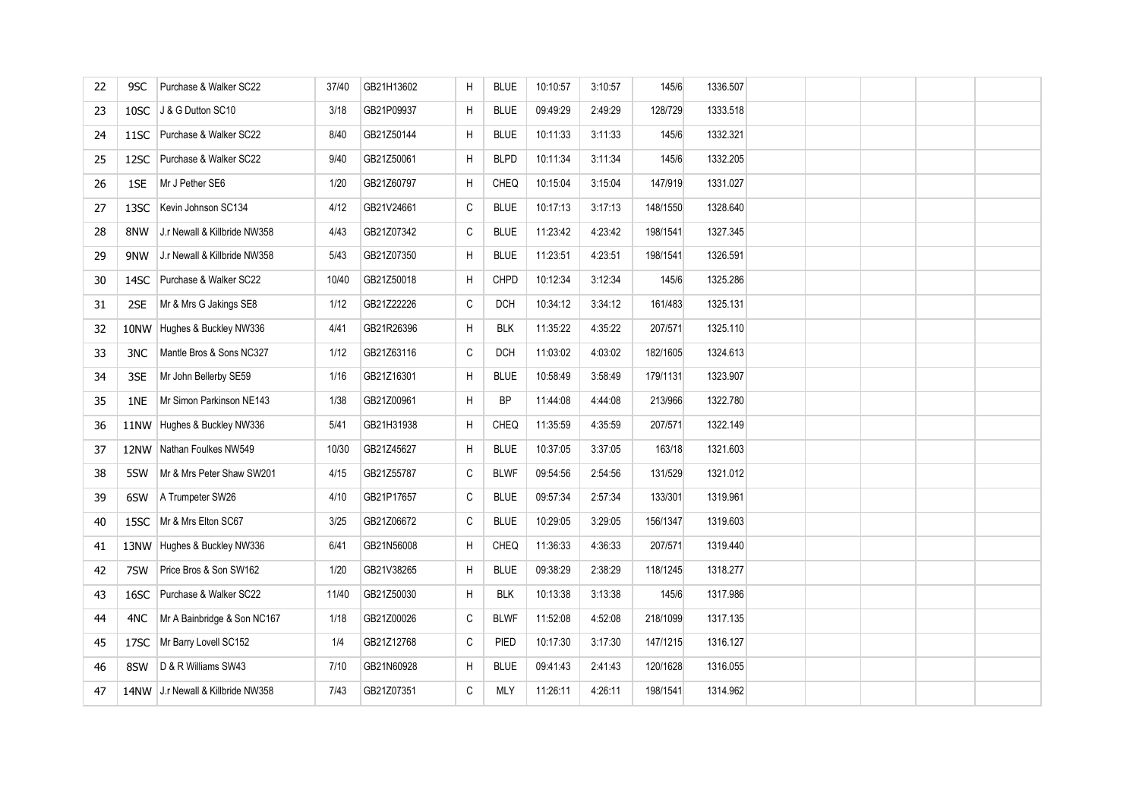| 22 | 9SC  | Purchase & Walker SC22            | 37/40 | GB21H13602 | Н | <b>BLUE</b> | 10:10:57 | 3:10:57 | 145/6    | 1336.507 |  |  |  |
|----|------|-----------------------------------|-------|------------|---|-------------|----------|---------|----------|----------|--|--|--|
| 23 | 10SC | J & G Dutton SC10                 | 3/18  | GB21P09937 | H | <b>BLUE</b> | 09:49:29 | 2:49:29 | 128/729  | 1333.518 |  |  |  |
| 24 | 11SC | Purchase & Walker SC22            | 8/40  | GB21Z50144 | H | <b>BLUE</b> | 10:11:33 | 3:11:33 | 145/6    | 1332.321 |  |  |  |
| 25 | 12SC | Purchase & Walker SC22            | 9/40  | GB21Z50061 | H | <b>BLPD</b> | 10:11:34 | 3:11:34 | 145/6    | 1332.205 |  |  |  |
| 26 | 1SE  | Mr J Pether SE6                   | 1/20  | GB21Z60797 | H | CHEQ        | 10:15:04 | 3:15:04 | 147/919  | 1331.027 |  |  |  |
| 27 | 13SC | Kevin Johnson SC134               | 4/12  | GB21V24661 | C | <b>BLUE</b> | 10:17:13 | 3:17:13 | 148/1550 | 1328.640 |  |  |  |
| 28 | 8NW  | J.r Newall & Killbride NW358      | 4/43  | GB21Z07342 | C | <b>BLUE</b> | 11:23:42 | 4:23:42 | 198/1541 | 1327.345 |  |  |  |
| 29 | 9NW  | J.r Newall & Killbride NW358      | 5/43  | GB21Z07350 | H | <b>BLUE</b> | 11:23:51 | 4:23:51 | 198/1541 | 1326.591 |  |  |  |
| 30 | 14SC | Purchase & Walker SC22            | 10/40 | GB21Z50018 | H | CHPD        | 10:12:34 | 3:12:34 | 145/6    | 1325.286 |  |  |  |
| 31 | 2SE  | Mr & Mrs G Jakings SE8            | 1/12  | GB21Z22226 | C | <b>DCH</b>  | 10:34:12 | 3:34:12 | 161/483  | 1325.131 |  |  |  |
| 32 | 10NW | Hughes & Buckley NW336            | 4/41  | GB21R26396 | H | <b>BLK</b>  | 11:35:22 | 4:35:22 | 207/571  | 1325.110 |  |  |  |
| 33 | 3NC  | Mantle Bros & Sons NC327          | 1/12  | GB21Z63116 | C | <b>DCH</b>  | 11:03:02 | 4:03:02 | 182/1605 | 1324.613 |  |  |  |
| 34 | 3SE  | Mr John Bellerby SE59             | 1/16  | GB21Z16301 | H | <b>BLUE</b> | 10:58:49 | 3:58:49 | 179/1131 | 1323.907 |  |  |  |
| 35 | 1NE  | Mr Simon Parkinson NE143          | 1/38  | GB21Z00961 | H | BP          | 11:44:08 | 4:44:08 | 213/966  | 1322.780 |  |  |  |
| 36 | 11NW | Hughes & Buckley NW336            | 5/41  | GB21H31938 | H | CHEQ        | 11:35:59 | 4:35:59 | 207/571  | 1322.149 |  |  |  |
| 37 | 12NW | Nathan Foulkes NW549              | 10/30 | GB21Z45627 | H | <b>BLUE</b> | 10:37:05 | 3:37:05 | 163/18   | 1321.603 |  |  |  |
| 38 | 5SW  | Mr & Mrs Peter Shaw SW201         | 4/15  | GB21Z55787 | C | <b>BLWF</b> | 09:54:56 | 2:54:56 | 131/529  | 1321.012 |  |  |  |
| 39 | 6SW  | A Trumpeter SW26                  | 4/10  | GB21P17657 | C | <b>BLUE</b> | 09:57:34 | 2:57:34 | 133/301  | 1319.961 |  |  |  |
| 40 | 15SC | Mr & Mrs Elton SC67               | 3/25  | GB21Z06672 | C | <b>BLUE</b> | 10:29:05 | 3:29:05 | 156/1347 | 1319.603 |  |  |  |
| 41 | 13NW | Hughes & Buckley NW336            | 6/41  | GB21N56008 | H | CHEQ        | 11:36:33 | 4:36:33 | 207/571  | 1319.440 |  |  |  |
| 42 | 7SW  | Price Bros & Son SW162            | 1/20  | GB21V38265 | H | <b>BLUE</b> | 09:38:29 | 2:38:29 | 118/1245 | 1318.277 |  |  |  |
| 43 | 16SC | Purchase & Walker SC22            | 11/40 | GB21Z50030 | H | <b>BLK</b>  | 10:13:38 | 3:13:38 | 145/6    | 1317.986 |  |  |  |
| 44 | 4NC  | Mr A Bainbridge & Son NC167       | 1/18  | GB21Z00026 | C | <b>BLWF</b> | 11:52:08 | 4:52:08 | 218/1099 | 1317.135 |  |  |  |
| 45 | 17SC | Mr Barry Lovell SC152             | 1/4   | GB21Z12768 | C | PIED        | 10:17:30 | 3:17:30 | 147/1215 | 1316.127 |  |  |  |
| 46 | 8SW  | D & R Williams SW43               | 7/10  | GB21N60928 | H | <b>BLUE</b> | 09:41:43 | 2:41:43 | 120/1628 | 1316.055 |  |  |  |
| 47 |      | 14NW J.r Newall & Killbride NW358 | 7/43  | GB21Z07351 | C | <b>MLY</b>  | 11:26:11 | 4:26:11 | 198/1541 | 1314.962 |  |  |  |
|    |      |                                   |       |            |   |             |          |         |          |          |  |  |  |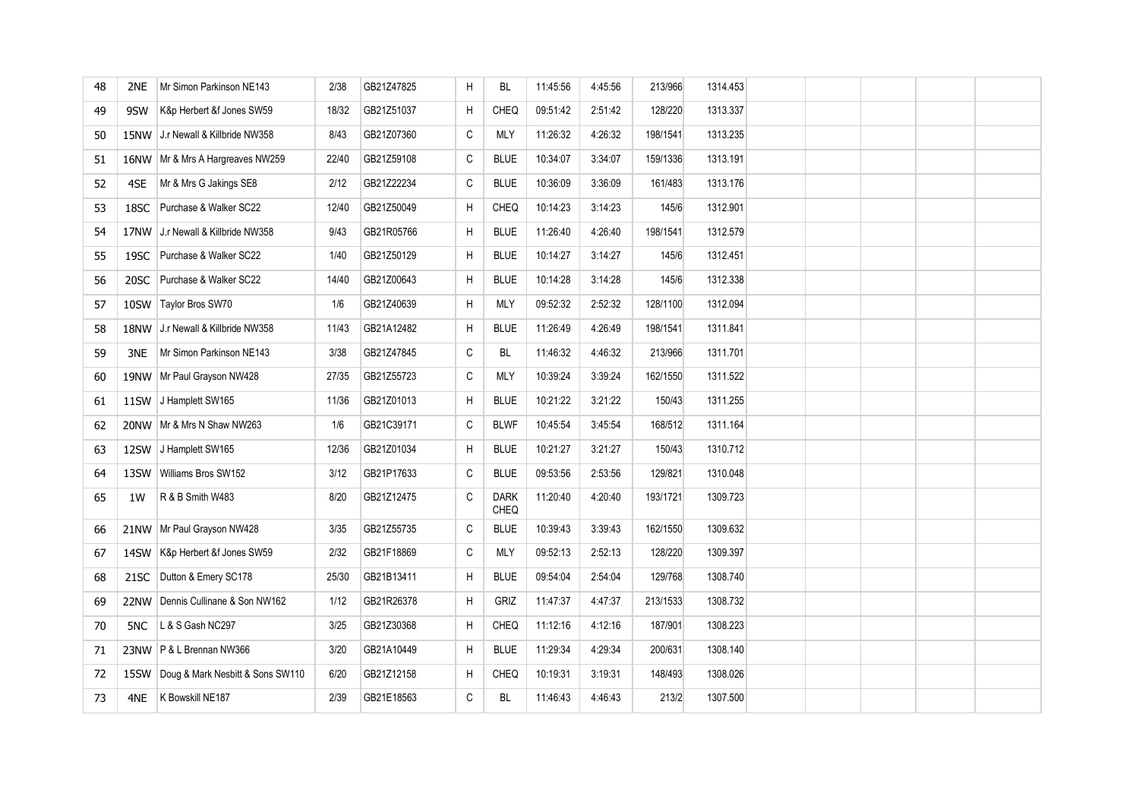| 48 | 2NE  | Mr Simon Parkinson NE143         | 2/38  | GB21Z47825 | Н | BL                         | 11:45:56 | 4:45:56 | 213/966  | 1314.453 |  |  |  |
|----|------|----------------------------------|-------|------------|---|----------------------------|----------|---------|----------|----------|--|--|--|
| 49 | 9SW  | K&p Herbert &f Jones SW59        | 18/32 | GB21Z51037 | Н | <b>CHEQ</b>                | 09:51:42 | 2:51:42 | 128/220  | 1313.337 |  |  |  |
| 50 | 15NW | J.r Newall & Killbride NW358     | 8/43  | GB21Z07360 | C | <b>MLY</b>                 | 11:26:32 | 4:26:32 | 198/1541 | 1313.235 |  |  |  |
| 51 | 16NW | Mr & Mrs A Hargreaves NW259      | 22/40 | GB21Z59108 | C | <b>BLUE</b>                | 10:34:07 | 3:34:07 | 159/1336 | 1313.191 |  |  |  |
| 52 | 4SE  | Mr & Mrs G Jakings SE8           | 2/12  | GB21Z22234 | C | <b>BLUE</b>                | 10:36:09 | 3:36:09 | 161/483  | 1313.176 |  |  |  |
| 53 | 18SC | Purchase & Walker SC22           | 12/40 | GB21Z50049 | Η | CHEQ                       | 10:14:23 | 3:14:23 | 145/6    | 1312.901 |  |  |  |
| 54 | 17NW | J.r Newall & Killbride NW358     | 9/43  | GB21R05766 | H | <b>BLUE</b>                | 11:26:40 | 4:26:40 | 198/1541 | 1312.579 |  |  |  |
| 55 | 19SC | Purchase & Walker SC22           | 1/40  | GB21Z50129 | H | <b>BLUE</b>                | 10:14:27 | 3:14:27 | 145/6    | 1312.451 |  |  |  |
| 56 | 20SC | Purchase & Walker SC22           | 14/40 | GB21Z00643 | H | <b>BLUE</b>                | 10:14:28 | 3:14:28 | 145/6    | 1312.338 |  |  |  |
| 57 |      | 10SW   Taylor Bros SW70          | 1/6   | GB21Z40639 | H | <b>MLY</b>                 | 09:52:32 | 2:52:32 | 128/1100 | 1312.094 |  |  |  |
| 58 | 18NW | J.r Newall & Killbride NW358     | 11/43 | GB21A12482 | H | <b>BLUE</b>                | 11:26:49 | 4:26:49 | 198/1541 | 1311.841 |  |  |  |
| 59 | 3NE  | Mr Simon Parkinson NE143         | 3/38  | GB21Z47845 | C | BL                         | 11:46:32 | 4:46:32 | 213/966  | 1311.701 |  |  |  |
| 60 |      | 19NW   Mr Paul Grayson NW428     | 27/35 | GB21Z55723 | C | <b>MLY</b>                 | 10:39:24 | 3:39:24 | 162/1550 | 1311.522 |  |  |  |
| 61 |      | 11SW J Hamplett SW165            | 11/36 | GB21Z01013 | H | <b>BLUE</b>                | 10:21:22 | 3:21:22 | 150/43   | 1311.255 |  |  |  |
| 62 |      | 20NW   Mr & Mrs N Shaw NW263     | 1/6   | GB21C39171 | C | <b>BLWF</b>                | 10:45:54 | 3:45:54 | 168/512  | 1311.164 |  |  |  |
| 63 | 12SW | J Hamplett SW165                 | 12/36 | GB21Z01034 | H | <b>BLUE</b>                | 10:21:27 | 3:21:27 | 150/43   | 1310.712 |  |  |  |
| 64 | 13SW | Williams Bros SW152              | 3/12  | GB21P17633 | C | <b>BLUE</b>                | 09:53:56 | 2:53:56 | 129/821  | 1310.048 |  |  |  |
| 65 | 1W   | R & B Smith W483                 | 8/20  | GB21Z12475 | C | <b>DARK</b><br><b>CHEQ</b> | 11:20:40 | 4:20:40 | 193/1721 | 1309.723 |  |  |  |
| 66 |      | 21NW   Mr Paul Grayson NW428     | 3/35  | GB21Z55735 | C | <b>BLUE</b>                | 10:39:43 | 3:39:43 | 162/1550 | 1309.632 |  |  |  |
| 67 | 14SW | K&p Herbert &f Jones SW59        | 2/32  | GB21F18869 | C | <b>MLY</b>                 | 09:52:13 | 2:52:13 | 128/220  | 1309.397 |  |  |  |
| 68 |      | 21SC Dutton & Emery SC178        | 25/30 | GB21B13411 | H | <b>BLUE</b>                | 09:54:04 | 2:54:04 | 129/768  | 1308.740 |  |  |  |
| 69 | 22NW | Dennis Cullinane & Son NW162     | 1/12  | GB21R26378 | H | GRIZ                       | 11:47:37 | 4:47:37 | 213/1533 | 1308.732 |  |  |  |
| 70 | 5NC  | L & S Gash NC297                 | 3/25  | GB21Z30368 | H | CHEQ                       | 11:12:16 | 4:12:16 | 187/901  | 1308.223 |  |  |  |
| 71 | 23NW | P & L Brennan NW366              | 3/20  | GB21A10449 | H | <b>BLUE</b>                | 11:29:34 | 4:29:34 | 200/631  | 1308.140 |  |  |  |
| 72 | 15SW | Doug & Mark Nesbitt & Sons SW110 | 6/20  | GB21Z12158 | Н | <b>CHEQ</b>                | 10:19:31 | 3:19:31 | 148/493  | 1308.026 |  |  |  |
| 73 | 4NE  | K Bowskill NE187                 | 2/39  | GB21E18563 | С | BL                         | 11:46:43 | 4:46:43 | 213/2    | 1307.500 |  |  |  |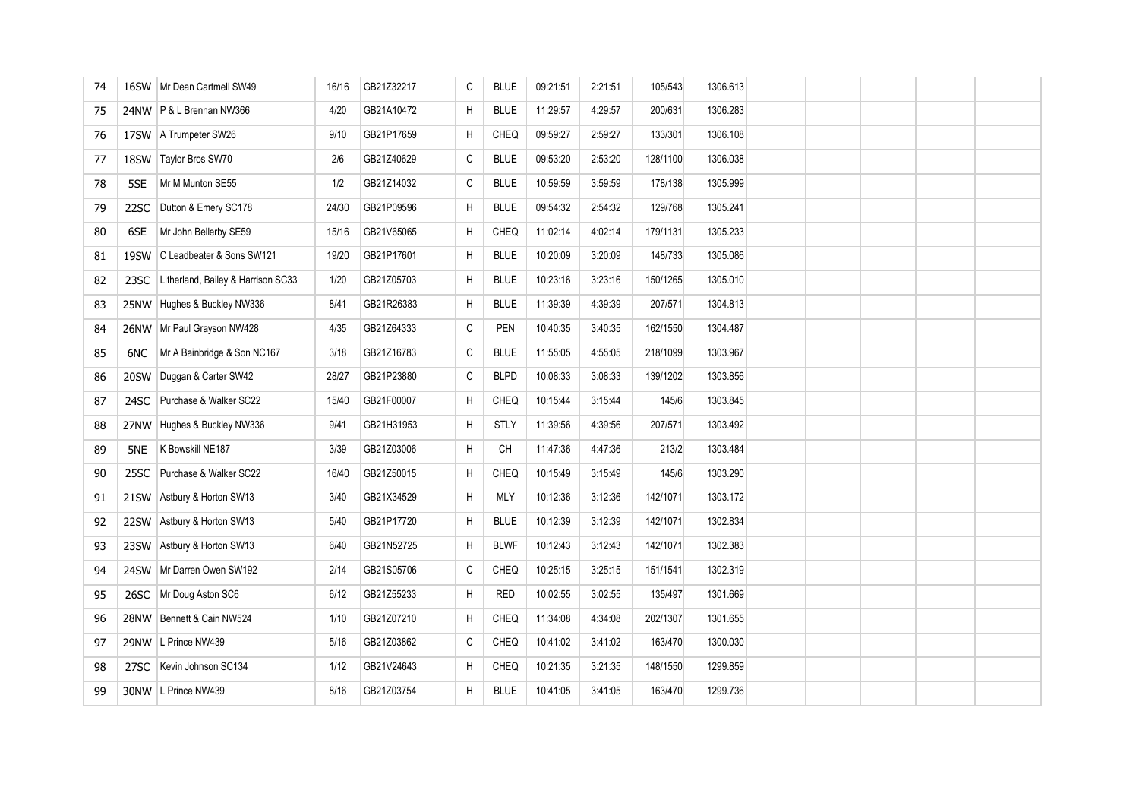| 74 | 16SW | Mr Dean Cartmell SW49              | 16/16 | GB21Z32217 | C            | <b>BLUE</b> | 09:21:51 | 2:21:51 | 105/543  | 1306.613 |  |  |  |
|----|------|------------------------------------|-------|------------|--------------|-------------|----------|---------|----------|----------|--|--|--|
| 75 |      | 24NW P & L Brennan NW366           | 4/20  | GB21A10472 | H            | <b>BLUE</b> | 11:29:57 | 4:29:57 | 200/631  | 1306.283 |  |  |  |
| 76 |      | 17SW   A Trumpeter SW26            | 9/10  | GB21P17659 | H            | <b>CHEQ</b> | 09:59:27 | 2:59:27 | 133/301  | 1306.108 |  |  |  |
| 77 | 18SW | Taylor Bros SW70                   | 2/6   | GB21Z40629 | C            | <b>BLUE</b> | 09:53:20 | 2:53:20 | 128/1100 | 1306.038 |  |  |  |
| 78 | 5SE  | Mr M Munton SE55                   | 1/2   | GB21Z14032 | C            | <b>BLUE</b> | 10:59:59 | 3:59:59 | 178/138  | 1305.999 |  |  |  |
| 79 | 22SC | Dutton & Emery SC178               | 24/30 | GB21P09596 | H            | <b>BLUE</b> | 09:54:32 | 2:54:32 | 129/768  | 1305.241 |  |  |  |
| 80 | 6SE  | Mr John Bellerby SE59              | 15/16 | GB21V65065 | H            | CHEQ        | 11:02:14 | 4:02:14 | 179/1131 | 1305.233 |  |  |  |
| 81 | 19SW | C Leadbeater & Sons SW121          | 19/20 | GB21P17601 | H            | <b>BLUE</b> | 10:20:09 | 3:20:09 | 148/733  | 1305.086 |  |  |  |
| 82 | 23SC | Litherland, Bailey & Harrison SC33 | 1/20  | GB21Z05703 | H            | <b>BLUE</b> | 10:23:16 | 3:23:16 | 150/1265 | 1305.010 |  |  |  |
| 83 | 25NW | Hughes & Buckley NW336             | 8/41  | GB21R26383 | H            | <b>BLUE</b> | 11:39:39 | 4:39:39 | 207/571  | 1304.813 |  |  |  |
| 84 |      | 26NW Mr Paul Grayson NW428         | 4/35  | GB21Z64333 | $\mathtt{C}$ | PEN         | 10:40:35 | 3:40:35 | 162/1550 | 1304.487 |  |  |  |
| 85 | 6NC  | Mr A Bainbridge & Son NC167        | 3/18  | GB21Z16783 | C            | <b>BLUE</b> | 11:55:05 | 4:55:05 | 218/1099 | 1303.967 |  |  |  |
| 86 | 20SW | Duggan & Carter SW42               | 28/27 | GB21P23880 | C            | <b>BLPD</b> | 10:08:33 | 3:08:33 | 139/1202 | 1303.856 |  |  |  |
| 87 | 24SC | Purchase & Walker SC22             | 15/40 | GB21F00007 | H            | CHEQ        | 10:15:44 | 3:15:44 | 145/6    | 1303.845 |  |  |  |
| 88 | 27NW | Hughes & Buckley NW336             | 9/41  | GB21H31953 | H            | STLY        | 11:39:56 | 4:39:56 | 207/571  | 1303.492 |  |  |  |
| 89 | 5NE  | K Bowskill NE187                   | 3/39  | GB21Z03006 | H            | <b>CH</b>   | 11:47:36 | 4:47:36 | 213/2    | 1303.484 |  |  |  |
| 90 | 25SC | Purchase & Walker SC22             | 16/40 | GB21Z50015 | H            | CHEQ        | 10:15:49 | 3:15:49 | 145/6    | 1303.290 |  |  |  |
| 91 | 21SW | Astbury & Horton SW13              | 3/40  | GB21X34529 | H            | <b>MLY</b>  | 10:12:36 | 3:12:36 | 142/1071 | 1303.172 |  |  |  |
| 92 |      | 22SW Astbury & Horton SW13         | 5/40  | GB21P17720 | H            | <b>BLUE</b> | 10:12:39 | 3:12:39 | 142/1071 | 1302.834 |  |  |  |
| 93 | 23SW | Astbury & Horton SW13              | 6/40  | GB21N52725 | H            | <b>BLWF</b> | 10:12:43 | 3:12:43 | 142/1071 | 1302.383 |  |  |  |
| 94 |      | 24SW   Mr Darren Owen SW192        | 2/14  | GB21S05706 | C            | CHEQ        | 10:25:15 | 3:25:15 | 151/1541 | 1302.319 |  |  |  |
| 95 | 26SC | Mr Doug Aston SC6                  | 6/12  | GB21Z55233 | H            | <b>RED</b>  | 10:02:55 | 3:02:55 | 135/497  | 1301.669 |  |  |  |
| 96 | 28NW | Bennett & Cain NW524               | 1/10  | GB21Z07210 | H            | CHEQ        | 11:34:08 | 4:34:08 | 202/1307 | 1301.655 |  |  |  |
| 97 |      | 29NW   L Prince NW439              | 5/16  | GB21Z03862 | C            | CHEQ        | 10:41:02 | 3:41:02 | 163/470  | 1300.030 |  |  |  |
| 98 | 27SC | Kevin Johnson SC134                | 1/12  | GB21V24643 | H            | CHEQ        | 10:21:35 | 3:21:35 | 148/1550 | 1299.859 |  |  |  |
| 99 |      | 30NW L Prince NW439                | 8/16  | GB21Z03754 | H            | <b>BLUE</b> | 10:41:05 | 3:41:05 | 163/470  | 1299.736 |  |  |  |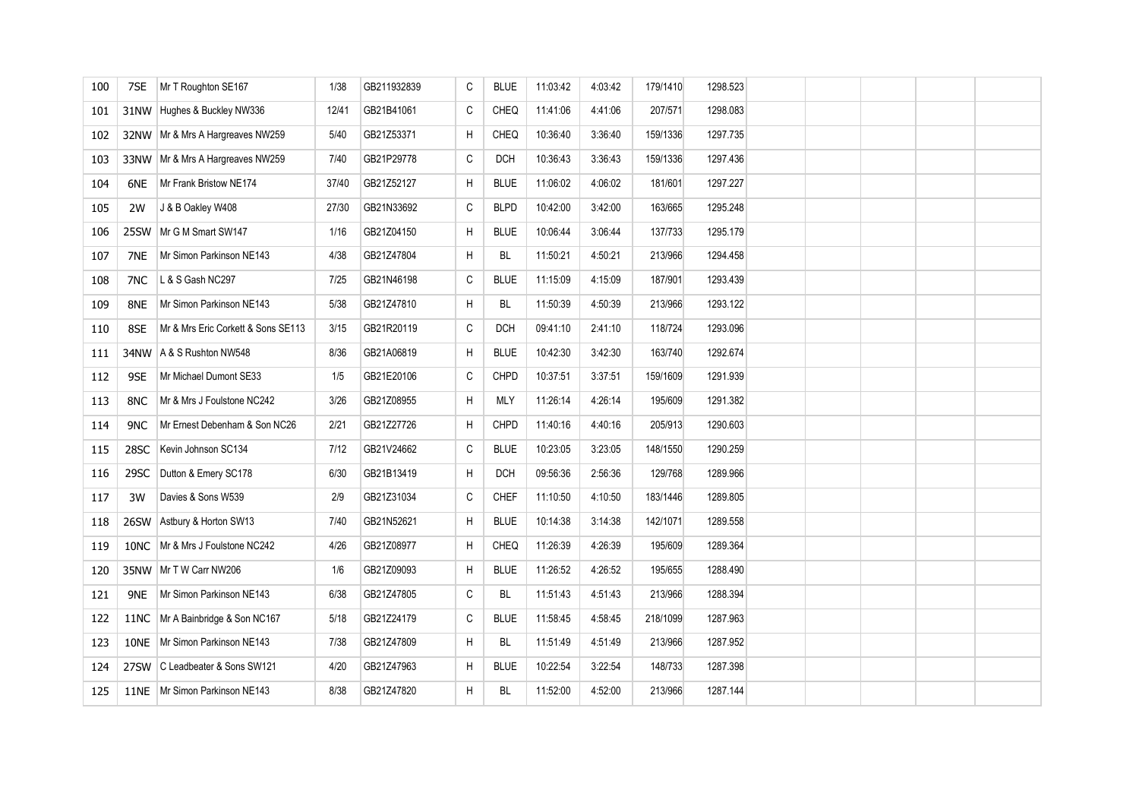| 100 | 7SE  | Mr T Roughton SE167                | 1/38  | GB211932839 | C | <b>BLUE</b> | 11:03:42 | 4:03:42 | 179/1410 | 1298.523 |  |  |  |
|-----|------|------------------------------------|-------|-------------|---|-------------|----------|---------|----------|----------|--|--|--|
| 101 | 31NW | Hughes & Buckley NW336             | 12/41 | GB21B41061  | C | CHEQ        | 11:41:06 | 4:41:06 | 207/571  | 1298.083 |  |  |  |
| 102 |      | 32NW   Mr & Mrs A Hargreaves NW259 | 5/40  | GB21Z53371  | H | <b>CHEQ</b> | 10:36:40 | 3:36:40 | 159/1336 | 1297.735 |  |  |  |
| 103 | 33NW | Mr & Mrs A Hargreaves NW259        | 7/40  | GB21P29778  | C | <b>DCH</b>  | 10:36:43 | 3:36:43 | 159/1336 | 1297.436 |  |  |  |
| 104 | 6NE  | Mr Frank Bristow NE174             | 37/40 | GB21Z52127  | H | <b>BLUE</b> | 11:06:02 | 4:06:02 | 181/601  | 1297.227 |  |  |  |
| 105 | 2W   | J & B Oakley W408                  | 27/30 | GB21N33692  | C | <b>BLPD</b> | 10:42:00 | 3:42:00 | 163/665  | 1295.248 |  |  |  |
| 106 | 25SW | Mr G M Smart SW147                 | 1/16  | GB21Z04150  | H | <b>BLUE</b> | 10:06:44 | 3:06:44 | 137/733  | 1295.179 |  |  |  |
| 107 | 7NE  | Mr Simon Parkinson NE143           | 4/38  | GB21Z47804  | H | BL          | 11:50:21 | 4:50:21 | 213/966  | 1294.458 |  |  |  |
| 108 | 7NC  | L & S Gash NC297                   | 7/25  | GB21N46198  | C | <b>BLUE</b> | 11:15:09 | 4:15:09 | 187/901  | 1293.439 |  |  |  |
| 109 | 8NE  | Mr Simon Parkinson NE143           | 5/38  | GB21Z47810  | H | BL          | 11:50:39 | 4:50:39 | 213/966  | 1293.122 |  |  |  |
| 110 | 8SE  | Mr & Mrs Eric Corkett & Sons SE113 | 3/15  | GB21R20119  | C | <b>DCH</b>  | 09:41:10 | 2:41:10 | 118/724  | 1293.096 |  |  |  |
| 111 | 34NW | A & S Rushton NW548                | 8/36  | GB21A06819  | H | <b>BLUE</b> | 10:42:30 | 3:42:30 | 163/740  | 1292.674 |  |  |  |
| 112 | 9SE  | Mr Michael Dumont SE33             | 1/5   | GB21E20106  | C | <b>CHPD</b> | 10:37:51 | 3:37:51 | 159/1609 | 1291.939 |  |  |  |
| 113 | 8NC  | Mr & Mrs J Foulstone NC242         | 3/26  | GB21Z08955  | H | <b>MLY</b>  | 11:26:14 | 4:26:14 | 195/609  | 1291.382 |  |  |  |
| 114 | 9NC  | Mr Ernest Debenham & Son NC26      | 2/21  | GB21Z27726  | H | CHPD        | 11:40:16 | 4:40:16 | 205/913  | 1290.603 |  |  |  |
| 115 | 28SC | Kevin Johnson SC134                | 7/12  | GB21V24662  | C | <b>BLUE</b> | 10:23:05 | 3:23:05 | 148/1550 | 1290.259 |  |  |  |
| 116 | 29SC | Dutton & Emery SC178               | 6/30  | GB21B13419  | H | <b>DCH</b>  | 09:56:36 | 2:56:36 | 129/768  | 1289.966 |  |  |  |
| 117 | 3W   | Davies & Sons W539                 | 2/9   | GB21Z31034  | C | <b>CHEF</b> | 11:10:50 | 4:10:50 | 183/1446 | 1289.805 |  |  |  |
| 118 | 26SW | Astbury & Horton SW13              | 7/40  | GB21N52621  | H | <b>BLUE</b> | 10:14:38 | 3:14:38 | 142/1071 | 1289.558 |  |  |  |
| 119 | 10NC | Mr & Mrs J Foulstone NC242         | 4/26  | GB21Z08977  | H | <b>CHEQ</b> | 11:26:39 | 4:26:39 | 195/609  | 1289.364 |  |  |  |
| 120 |      | 35NW   Mr T W Carr NW206           | $1/6$ | GB21Z09093  | H | <b>BLUE</b> | 11:26:52 | 4:26:52 | 195/655  | 1288.490 |  |  |  |
| 121 | 9NE  | Mr Simon Parkinson NE143           | 6/38  | GB21Z47805  | C | BL          | 11:51:43 | 4:51:43 | 213/966  | 1288.394 |  |  |  |
| 122 | 11NC | Mr A Bainbridge & Son NC167        | 5/18  | GB21Z24179  | C | <b>BLUE</b> | 11:58:45 | 4:58:45 | 218/1099 | 1287.963 |  |  |  |
| 123 | 10NE | Mr Simon Parkinson NE143           | 7/38  | GB21Z47809  | H | BL          | 11:51:49 | 4:51:49 | 213/966  | 1287.952 |  |  |  |
| 124 | 27SW | C Leadbeater & Sons SW121          | 4/20  | GB21Z47963  | H | <b>BLUE</b> | 10:22:54 | 3:22:54 | 148/733  | 1287.398 |  |  |  |
| 125 |      | 11NE   Mr Simon Parkinson NE143    | 8/38  | GB21Z47820  | H | BL          | 11:52:00 | 4:52:00 | 213/966  | 1287.144 |  |  |  |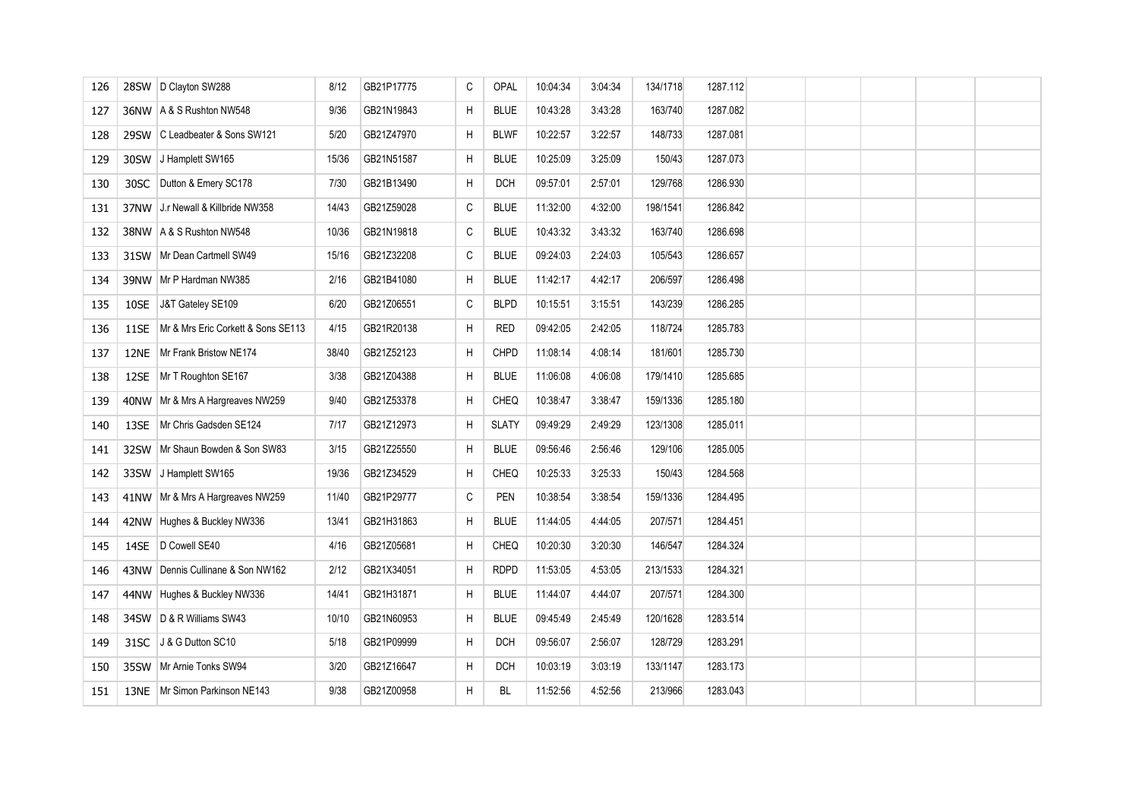| 126 |      | 28SW D Clayton SW288               | 8/12  | GB21P17775 | C | OPAL         | 10:04:34 | 3:04:34 | 134/1718 | 1287.112 |  |  |  |
|-----|------|------------------------------------|-------|------------|---|--------------|----------|---------|----------|----------|--|--|--|
| 127 |      | 36NW   A & S Rushton NW548         | 9/36  | GB21N19843 | H | <b>BLUE</b>  | 10:43:28 | 3:43:28 | 163/740  | 1287.082 |  |  |  |
| 128 | 29SW | C Leadbeater & Sons SW121          | 5/20  | GB21Z47970 | Н | <b>BLWF</b>  | 10:22:57 | 3:22:57 | 148/733  | 1287.081 |  |  |  |
| 129 | 30SW | J Hamplett SW165                   | 15/36 | GB21N51587 | H | <b>BLUE</b>  | 10:25:09 | 3:25:09 | 150/43   | 1287.073 |  |  |  |
| 130 | 30SC | Dutton & Emery SC178               | 7/30  | GB21B13490 | Η | <b>DCH</b>   | 09:57:01 | 2:57:01 | 129/768  | 1286.930 |  |  |  |
| 131 | 37NW | J.r Newall & Killbride NW358       | 14/43 | GB21Z59028 | C | <b>BLUE</b>  | 11:32:00 | 4:32:00 | 198/1541 | 1286.842 |  |  |  |
| 132 | 38NW | A & S Rushton NW548                | 10/36 | GB21N19818 | C | <b>BLUE</b>  | 10:43:32 | 3:43:32 | 163/740  | 1286.698 |  |  |  |
| 133 |      | 31SW   Mr Dean Cartmell SW49       | 15/16 | GB21Z32208 | C | <b>BLUE</b>  | 09:24:03 | 2:24:03 | 105/543  | 1286.657 |  |  |  |
| 134 | 39NW | Mr P Hardman NW385                 | 2/16  | GB21B41080 | Н | <b>BLUE</b>  | 11:42:17 | 4:42:17 | 206/597  | 1286.498 |  |  |  |
| 135 | 10SE | J&T Gateley SE109                  | 6/20  | GB21Z06551 | C | <b>BLPD</b>  | 10:15:51 | 3:15:51 | 143/239  | 1286.285 |  |  |  |
| 136 | 11SE | Mr & Mrs Eric Corkett & Sons SE113 | 4/15  | GB21R20138 | H | RED          | 09:42:05 | 2:42:05 | 118/724  | 1285.783 |  |  |  |
| 137 | 12NE | Mr Frank Bristow NE174             | 38/40 | GB21Z52123 | H | <b>CHPD</b>  | 11:08:14 | 4:08:14 | 181/601  | 1285.730 |  |  |  |
| 138 | 12SE | Mr T Roughton SE167                | 3/38  | GB21Z04388 | H | <b>BLUE</b>  | 11:06:08 | 4:06:08 | 179/1410 | 1285.685 |  |  |  |
| 139 |      | 40NW   Mr & Mrs A Hargreaves NW259 | 9/40  | GB21Z53378 | Н | CHEQ         | 10:38:47 | 3:38:47 | 159/1336 | 1285.180 |  |  |  |
| 140 | 13SE | Mr Chris Gadsden SE124             | 7/17  | GB21Z12973 | Η | <b>SLATY</b> | 09:49:29 | 2:49:29 | 123/1308 | 1285.011 |  |  |  |
| 141 | 32SW | Mr Shaun Bowden & Son SW83         | 3/15  | GB21Z25550 | Η | <b>BLUE</b>  | 09:56:46 | 2:56:46 | 129/106  | 1285.005 |  |  |  |
| 142 | 33SW | J Hamplett SW165                   | 19/36 | GB21Z34529 | H | CHEQ         | 10:25:33 | 3:25:33 | 150/43   | 1284.568 |  |  |  |
| 143 |      | 41NW   Mr & Mrs A Hargreaves NW259 | 11/40 | GB21P29777 | C | <b>PEN</b>   | 10:38:54 | 3:38:54 | 159/1336 | 1284.495 |  |  |  |
| 144 | 42NW | Hughes & Buckley NW336             | 13/41 | GB21H31863 | H | <b>BLUE</b>  | 11:44:05 | 4:44:05 | 207/571  | 1284.451 |  |  |  |
| 145 | 14SE | D Cowell SE40                      | 4/16  | GB21Z05681 | H | <b>CHEQ</b>  | 10:20:30 | 3:20:30 | 146/547  | 1284.324 |  |  |  |
| 146 | 43NW | Dennis Cullinane & Son NW162       | 2/12  | GB21X34051 | H | <b>RDPD</b>  | 11:53:05 | 4:53:05 | 213/1533 | 1284.321 |  |  |  |
| 147 | 44NW | Hughes & Buckley NW336             | 14/41 | GB21H31871 | Η | <b>BLUE</b>  | 11:44:07 | 4:44:07 | 207/571  | 1284.300 |  |  |  |
| 148 | 34SW | D & R Williams SW43                | 10/10 | GB21N60953 | Н | <b>BLUE</b>  | 09:45:49 | 2:45:49 | 120/1628 | 1283.514 |  |  |  |
| 149 | 31SC | J & G Dutton SC10                  | 5/18  | GB21P09999 | H | <b>DCH</b>   | 09:56:07 | 2:56:07 | 128/729  | 1283.291 |  |  |  |
| 150 | 35SW | Mr Arnie Tonks SW94                | 3/20  | GB21Z16647 | H | <b>DCH</b>   | 10:03:19 | 3:03:19 | 133/1147 | 1283.173 |  |  |  |
| 151 |      | 13NE   Mr Simon Parkinson NE143    | 9/38  | GB21Z00958 | Н | BL           | 11:52:56 | 4:52:56 | 213/966  | 1283.043 |  |  |  |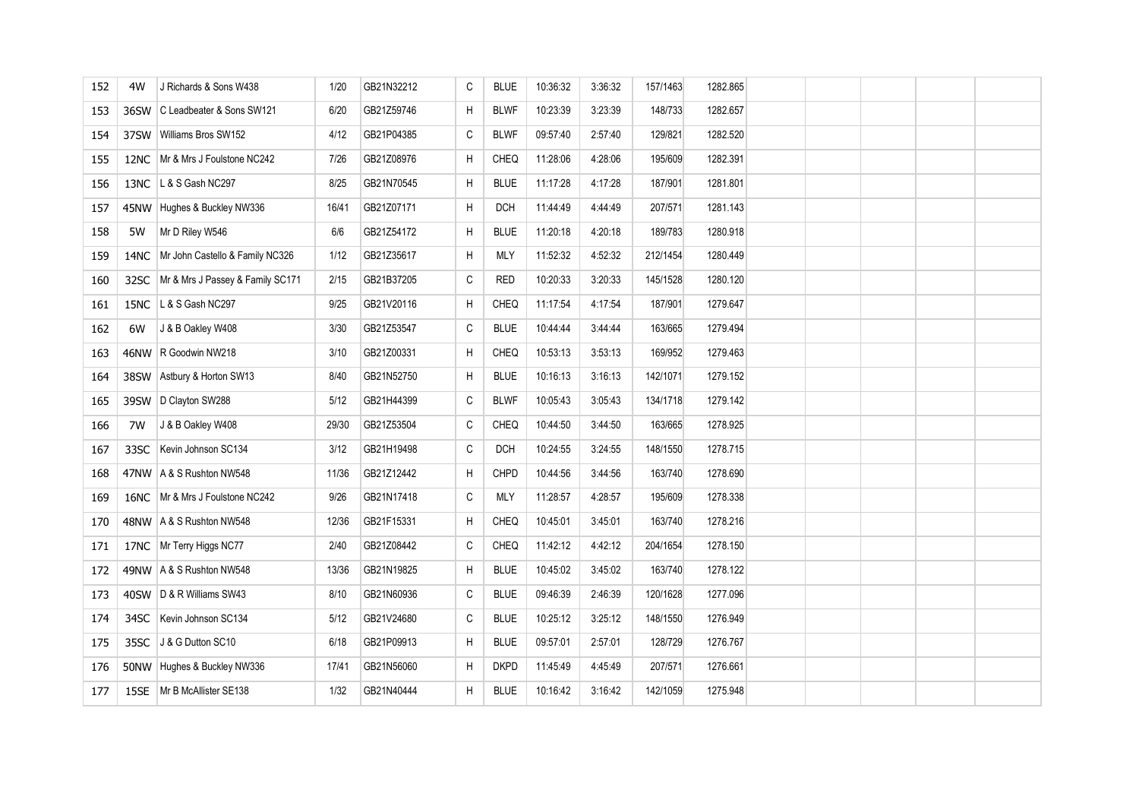| 152 | 4W   | J Richards & Sons W438            | 1/20  | GB21N32212 | C            | <b>BLUE</b> | 10:36:32 | 3:36:32 | 157/1463 | 1282.865 |  |  |  |
|-----|------|-----------------------------------|-------|------------|--------------|-------------|----------|---------|----------|----------|--|--|--|
| 153 | 36SW | C Leadbeater & Sons SW121         | 6/20  | GB21Z59746 | H            | <b>BLWF</b> | 10:23:39 | 3:23:39 | 148/733  | 1282.657 |  |  |  |
| 154 | 37SW | Williams Bros SW152               | 4/12  | GB21P04385 | C            | <b>BLWF</b> | 09:57:40 | 2:57:40 | 129/821  | 1282.520 |  |  |  |
| 155 | 12NC | Mr & Mrs J Foulstone NC242        | 7/26  | GB21Z08976 | H            | CHEQ        | 11:28:06 | 4:28:06 | 195/609  | 1282.391 |  |  |  |
| 156 | 13NC | L & S Gash NC297                  | 8/25  | GB21N70545 | H            | <b>BLUE</b> | 11:17:28 | 4:17:28 | 187/901  | 1281.801 |  |  |  |
| 157 | 45NW | Hughes & Buckley NW336            | 16/41 | GB21Z07171 | H            | <b>DCH</b>  | 11:44:49 | 4:44:49 | 207/571  | 1281.143 |  |  |  |
| 158 | 5W   | Mr D Riley W546                   | 6/6   | GB21Z54172 | H            | <b>BLUE</b> | 11:20:18 | 4:20:18 | 189/783  | 1280.918 |  |  |  |
| 159 | 14NC | Mr John Castello & Family NC326   | 1/12  | GB21Z35617 | H            | <b>MLY</b>  | 11:52:32 | 4:52:32 | 212/1454 | 1280.449 |  |  |  |
| 160 | 32SC | Mr & Mrs J Passey & Family SC171  | 2/15  | GB21B37205 | C            | <b>RED</b>  | 10:20:33 | 3:20:33 | 145/1528 | 1280.120 |  |  |  |
| 161 | 15NC | L & S Gash NC297                  | 9/25  | GB21V20116 | H            | CHEQ        | 11:17:54 | 4:17:54 | 187/901  | 1279.647 |  |  |  |
| 162 | 6W   | J & B Oakley W408                 | 3/30  | GB21Z53547 | $\mathtt{C}$ | <b>BLUE</b> | 10:44:44 | 3:44:44 | 163/665  | 1279.494 |  |  |  |
| 163 |      | 46NW R Goodwin NW218              | 3/10  | GB21Z00331 | H            | <b>CHEQ</b> | 10:53:13 | 3:53:13 | 169/952  | 1279.463 |  |  |  |
| 164 | 38SW | Astbury & Horton SW13             | 8/40  | GB21N52750 | H            | <b>BLUE</b> | 10:16:13 | 3:16:13 | 142/1071 | 1279.152 |  |  |  |
| 165 |      | 39SW D Clayton SW288              | 5/12  | GB21H44399 | C            | <b>BLWF</b> | 10:05:43 | 3:05:43 | 134/1718 | 1279.142 |  |  |  |
| 166 | 7W   | J & B Oakley W408                 | 29/30 | GB21Z53504 | C            | CHEQ        | 10:44:50 | 3:44:50 | 163/665  | 1278.925 |  |  |  |
| 167 | 33SC | Kevin Johnson SC134               | 3/12  | GB21H19498 | C            | <b>DCH</b>  | 10:24:55 | 3:24:55 | 148/1550 | 1278.715 |  |  |  |
| 168 |      | 47NW A & S Rushton NW548          | 11/36 | GB21Z12442 | H            | <b>CHPD</b> | 10:44:56 | 3:44:56 | 163/740  | 1278.690 |  |  |  |
| 169 |      | 16NC   Mr & Mrs J Foulstone NC242 | 9/26  | GB21N17418 | C            | <b>MLY</b>  | 11:28:57 | 4:28:57 | 195/609  | 1278.338 |  |  |  |
| 170 |      | 48NW A & S Rushton NW548          | 12/36 | GB21F15331 | H            | CHEQ        | 10:45:01 | 3:45:01 | 163/740  | 1278.216 |  |  |  |
| 171 | 17NC | Mr Terry Higgs NC77               | 2/40  | GB21Z08442 | C            | <b>CHEQ</b> | 11:42:12 | 4:42:12 | 204/1654 | 1278.150 |  |  |  |
| 172 |      | 49NW   A & S Rushton NW548        | 13/36 | GB21N19825 | H            | <b>BLUE</b> | 10:45:02 | 3:45:02 | 163/740  | 1278.122 |  |  |  |
| 173 | 40SW | D & R Williams SW43               | 8/10  | GB21N60936 | C            | <b>BLUE</b> | 09:46:39 | 2:46:39 | 120/1628 | 1277.096 |  |  |  |
| 174 | 34SC | Kevin Johnson SC134               | 5/12  | GB21V24680 | C            | <b>BLUE</b> | 10:25:12 | 3:25:12 | 148/1550 | 1276.949 |  |  |  |
| 175 | 35SC | J & G Dutton SC10                 | 6/18  | GB21P09913 | H            | <b>BLUE</b> | 09:57:01 | 2:57:01 | 128/729  | 1276.767 |  |  |  |
| 176 | 50NW | Hughes & Buckley NW336            | 17/41 | GB21N56060 | H            | <b>DKPD</b> | 11:45:49 | 4:45:49 | 207/571  | 1276.661 |  |  |  |
| 177 | 15SE | Mr B McAllister SE138             | 1/32  | GB21N40444 | H            | <b>BLUE</b> | 10:16:42 | 3:16:42 | 142/1059 | 1275.948 |  |  |  |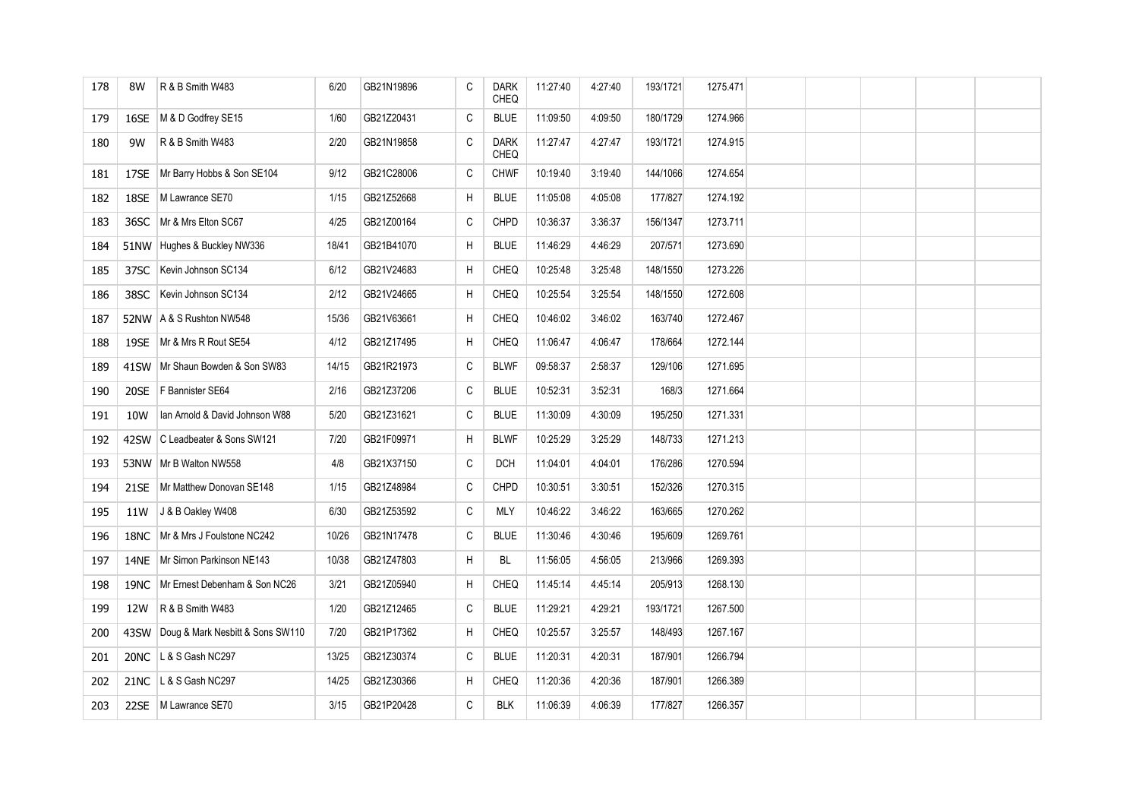| 178 | 8W   | R & B Smith W483                 | 6/20  | GB21N19896 | C            | <b>DARK</b><br><b>CHEQ</b> | 11:27:40 | 4:27:40 | 193/1721 | 1275.471 |  |  |  |
|-----|------|----------------------------------|-------|------------|--------------|----------------------------|----------|---------|----------|----------|--|--|--|
| 179 | 16SE | M & D Godfrey SE15               | 1/60  | GB21Z20431 | C            | <b>BLUE</b>                | 11:09:50 | 4:09:50 | 180/1729 | 1274.966 |  |  |  |
| 180 | 9W   | R & B Smith W483                 | 2/20  | GB21N19858 | C            | <b>DARK</b><br><b>CHEQ</b> | 11:27:47 | 4:27:47 | 193/1721 | 1274.915 |  |  |  |
| 181 | 17SE | Mr Barry Hobbs & Son SE104       | 9/12  | GB21C28006 | C            | CHWF                       | 10:19:40 | 3:19:40 | 144/1066 | 1274.654 |  |  |  |
| 182 | 18SE | M Lawrance SE70                  | 1/15  | GB21Z52668 | H            | <b>BLUE</b>                | 11:05:08 | 4:05:08 | 177/827  | 1274.192 |  |  |  |
| 183 | 36SC | Mr & Mrs Elton SC67              | 4/25  | GB21Z00164 | C            | <b>CHPD</b>                | 10:36:37 | 3:36:37 | 156/1347 | 1273.711 |  |  |  |
| 184 | 51NW | Hughes & Buckley NW336           | 18/41 | GB21B41070 | H            | <b>BLUE</b>                | 11:46:29 | 4:46:29 | 207/571  | 1273.690 |  |  |  |
| 185 | 37SC | Kevin Johnson SC134              | 6/12  | GB21V24683 | H            | CHEQ                       | 10:25:48 | 3:25:48 | 148/1550 | 1273.226 |  |  |  |
| 186 | 38SC | Kevin Johnson SC134              | 2/12  | GB21V24665 | H            | CHEQ                       | 10:25:54 | 3:25:54 | 148/1550 | 1272.608 |  |  |  |
| 187 | 52NW | A & S Rushton NW548              | 15/36 | GB21V63661 | H            | <b>CHEQ</b>                | 10:46:02 | 3:46:02 | 163/740  | 1272.467 |  |  |  |
| 188 | 19SE | Mr & Mrs R Rout SE54             | 4/12  | GB21Z17495 | H            | CHEQ                       | 11:06:47 | 4:06:47 | 178/664  | 1272.144 |  |  |  |
| 189 | 41SW | Mr Shaun Bowden & Son SW83       | 14/15 | GB21R21973 | C            | <b>BLWF</b>                | 09:58:37 | 2:58:37 | 129/106  | 1271.695 |  |  |  |
| 190 | 20SE | F Bannister SE64                 | 2/16  | GB21Z37206 | C            | <b>BLUE</b>                | 10:52:31 | 3:52:31 | 168/3    | 1271.664 |  |  |  |
| 191 | 10W  | Ian Arnold & David Johnson W88   | 5/20  | GB21Z31621 | $\mathtt{C}$ | <b>BLUE</b>                | 11:30:09 | 4:30:09 | 195/250  | 1271.331 |  |  |  |
| 192 | 42SW | C Leadbeater & Sons SW121        | 7/20  | GB21F09971 | H            | <b>BLWF</b>                | 10:25:29 | 3:25:29 | 148/733  | 1271.213 |  |  |  |
| 193 |      | 53NW   Mr B Walton NW558         | 4/8   | GB21X37150 | C            | <b>DCH</b>                 | 11:04:01 | 4:04:01 | 176/286  | 1270.594 |  |  |  |
| 194 | 21SE | Mr Matthew Donovan SE148         | 1/15  | GB21Z48984 | C            | <b>CHPD</b>                | 10:30:51 | 3:30:51 | 152/326  | 1270.315 |  |  |  |
| 195 | 11W  | J & B Oakley W408                | 6/30  | GB21Z53592 | C            | MLY                        | 10:46:22 | 3:46:22 | 163/665  | 1270.262 |  |  |  |
| 196 | 18NC | Mr & Mrs J Foulstone NC242       | 10/26 | GB21N17478 | C            | <b>BLUE</b>                | 11:30:46 | 4:30:46 | 195/609  | 1269.761 |  |  |  |
| 197 | 14NE | Mr Simon Parkinson NE143         | 10/38 | GB21Z47803 | H            | BL                         | 11:56:05 | 4:56:05 | 213/966  | 1269.393 |  |  |  |
| 198 | 19NC | Mr Ernest Debenham & Son NC26    | 3/21  | GB21Z05940 | H            | CHEQ                       | 11:45:14 | 4:45:14 | 205/913  | 1268.130 |  |  |  |
| 199 | 12W  | R & B Smith W483                 | 1/20  | GB21Z12465 | C            | <b>BLUE</b>                | 11:29:21 | 4:29:21 | 193/1721 | 1267.500 |  |  |  |
| 200 | 43SW | Doug & Mark Nesbitt & Sons SW110 | 7/20  | GB21P17362 | H            | CHEQ                       | 10:25:57 | 3:25:57 | 148/493  | 1267.167 |  |  |  |
| 201 | 20NC | L & S Gash NC297                 | 13/25 | GB21Z30374 | C            | <b>BLUE</b>                | 11:20:31 | 4:20:31 | 187/901  | 1266.794 |  |  |  |
| 202 | 21NC | L & S Gash NC297                 | 14/25 | GB21Z30366 | H            | CHEQ                       | 11:20:36 | 4:20:36 | 187/901  | 1266.389 |  |  |  |
| 203 | 22SE | M Lawrance SE70                  | 3/15  | GB21P20428 | C            | <b>BLK</b>                 | 11:06:39 | 4:06:39 | 177/827  | 1266.357 |  |  |  |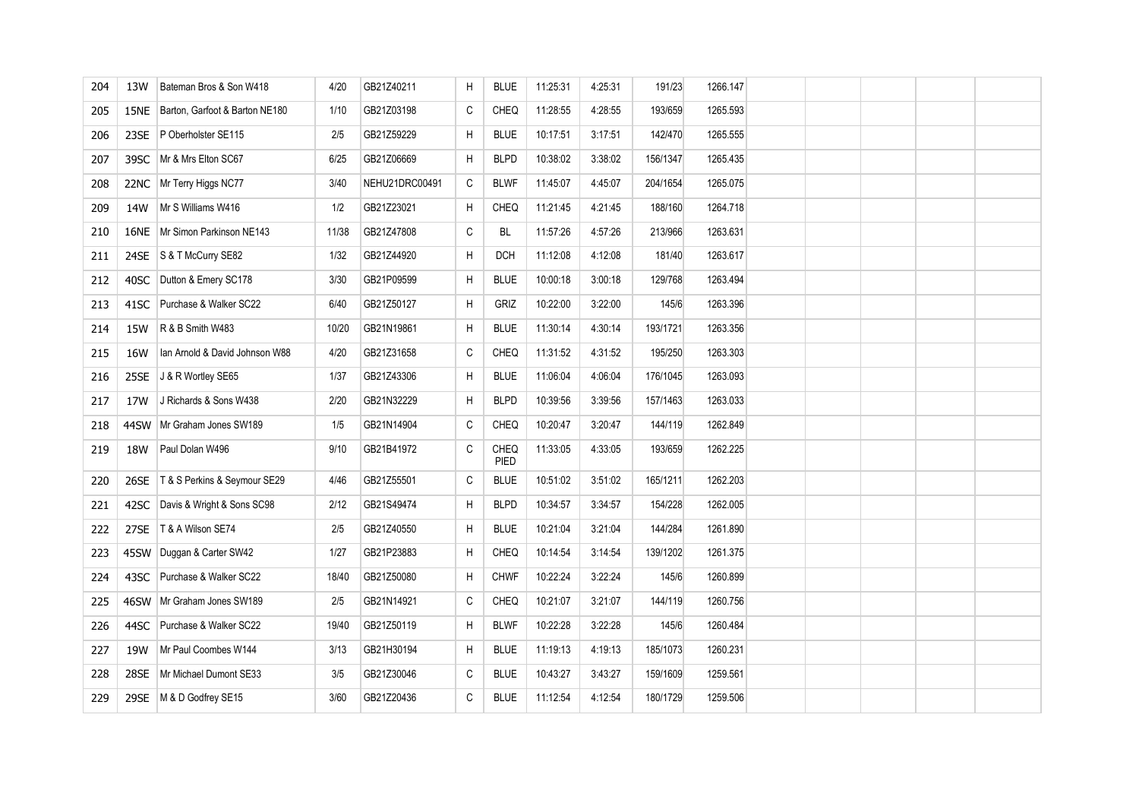| 204 | 13W  | Bateman Bros & Son W418        | 4/20  | GB21Z40211     | H            | <b>BLUE</b>  | 11:25:31 | 4:25:31 | 191/23   | 1266.147 |  |  |  |
|-----|------|--------------------------------|-------|----------------|--------------|--------------|----------|---------|----------|----------|--|--|--|
| 205 | 15NE | Barton, Garfoot & Barton NE180 | 1/10  | GB21Z03198     | C            | CHEQ         | 11:28:55 | 4:28:55 | 193/659  | 1265.593 |  |  |  |
| 206 | 23SE | P Oberholster SE115            | 2/5   | GB21Z59229     | H            | <b>BLUE</b>  | 10:17:51 | 3:17:51 | 142/470  | 1265.555 |  |  |  |
| 207 | 39SC | Mr & Mrs Elton SC67            | 6/25  | GB21Z06669     | H            | <b>BLPD</b>  | 10:38:02 | 3:38:02 | 156/1347 | 1265.435 |  |  |  |
| 208 | 22NC | Mr Terry Higgs NC77            | 3/40  | NEHU21DRC00491 | C            | <b>BLWF</b>  | 11:45:07 | 4:45:07 | 204/1654 | 1265.075 |  |  |  |
| 209 | 14W  | Mr S Williams W416             | 1/2   | GB21Z23021     | H            | CHEQ         | 11:21:45 | 4:21:45 | 188/160  | 1264.718 |  |  |  |
| 210 | 16NE | Mr Simon Parkinson NE143       | 11/38 | GB21Z47808     | C            | BL           | 11:57:26 | 4:57:26 | 213/966  | 1263.631 |  |  |  |
| 211 | 24SE | S & T McCurry SE82             | 1/32  | GB21Z44920     | H            | <b>DCH</b>   | 11:12:08 | 4:12:08 | 181/40   | 1263.617 |  |  |  |
| 212 | 40SC | Dutton & Emery SC178           | 3/30  | GB21P09599     | H            | <b>BLUE</b>  | 10:00:18 | 3:00:18 | 129/768  | 1263.494 |  |  |  |
| 213 | 41SC | Purchase & Walker SC22         | 6/40  | GB21Z50127     | H            | GRIZ         | 10:22:00 | 3:22:00 | 145/6    | 1263.396 |  |  |  |
| 214 | 15W  | R & B Smith W483               | 10/20 | GB21N19861     | H            | <b>BLUE</b>  | 11:30:14 | 4:30:14 | 193/1721 | 1263.356 |  |  |  |
| 215 | 16W  | Ian Arnold & David Johnson W88 | 4/20  | GB21Z31658     | C            | CHEQ         | 11:31:52 | 4:31:52 | 195/250  | 1263.303 |  |  |  |
| 216 | 25SE | J & R Wortley SE65             | 1/37  | GB21Z43306     | H            | <b>BLUE</b>  | 11:06:04 | 4:06:04 | 176/1045 | 1263.093 |  |  |  |
| 217 | 17W  | J Richards & Sons W438         | 2/20  | GB21N32229     | H            | <b>BLPD</b>  | 10:39:56 | 3:39:56 | 157/1463 | 1263.033 |  |  |  |
| 218 | 44SW | Mr Graham Jones SW189          | 1/5   | GB21N14904     | C            | <b>CHEQ</b>  | 10:20:47 | 3:20:47 | 144/119  | 1262.849 |  |  |  |
| 219 | 18W  | Paul Dolan W496                | 9/10  | GB21B41972     | $\mathtt{C}$ | CHEQ<br>PIED | 11:33:05 | 4:33:05 | 193/659  | 1262.225 |  |  |  |
| 220 | 26SE | T & S Perkins & Seymour SE29   | 4/46  | GB21Z55501     | C            | <b>BLUE</b>  | 10:51:02 | 3:51:02 | 165/1211 | 1262.203 |  |  |  |
| 221 | 42SC | Davis & Wright & Sons SC98     | 2/12  | GB21S49474     | H            | <b>BLPD</b>  | 10:34:57 | 3:34:57 | 154/228  | 1262.005 |  |  |  |
| 222 | 27SE | T & A Wilson SE74              | 2/5   | GB21Z40550     | H            | <b>BLUE</b>  | 10:21:04 | 3:21:04 | 144/284  | 1261.890 |  |  |  |
| 223 | 45SW | Duggan & Carter SW42           | 1/27  | GB21P23883     | H            | CHEQ         | 10:14:54 | 3:14:54 | 139/1202 | 1261.375 |  |  |  |
| 224 | 43SC | Purchase & Walker SC22         | 18/40 | GB21Z50080     | H            | <b>CHWF</b>  | 10:22:24 | 3:22:24 | 145/6    | 1260.899 |  |  |  |
| 225 | 46SW | Mr Graham Jones SW189          | 2/5   | GB21N14921     | C            | <b>CHEQ</b>  | 10:21:07 | 3:21:07 | 144/119  | 1260.756 |  |  |  |
| 226 | 44SC | Purchase & Walker SC22         | 19/40 | GB21Z50119     | H            | <b>BLWF</b>  | 10:22:28 | 3:22:28 | 145/6    | 1260.484 |  |  |  |
| 227 | 19W  | Mr Paul Coombes W144           | 3/13  | GB21H30194     | H            | <b>BLUE</b>  | 11:19:13 | 4:19:13 | 185/1073 | 1260.231 |  |  |  |
| 228 | 28SE | Mr Michael Dumont SE33         | 3/5   | GB21Z30046     | C            | <b>BLUE</b>  | 10:43:27 | 3:43:27 | 159/1609 | 1259.561 |  |  |  |
| 229 | 29SE | M & D Godfrey SE15             | 3/60  | GB21Z20436     | C            | <b>BLUE</b>  | 11:12:54 | 4:12:54 | 180/1729 | 1259.506 |  |  |  |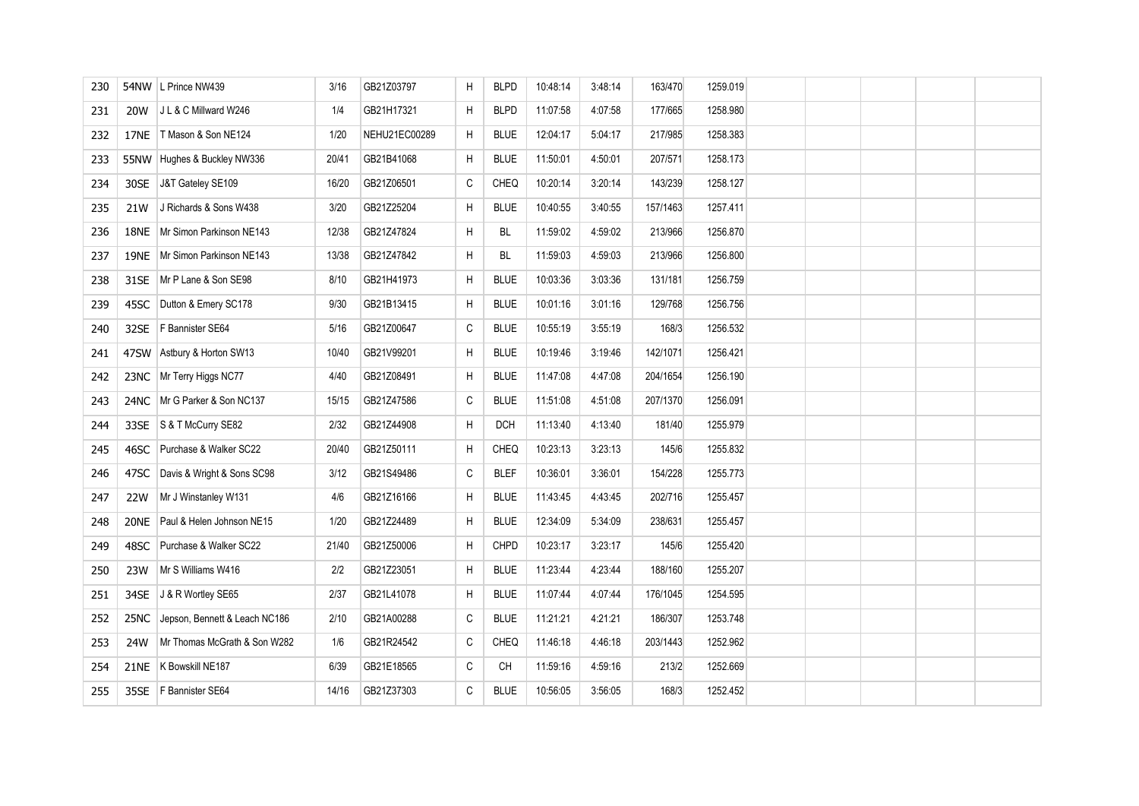| 230 | 54NW        | L Prince NW439                | 3/16  | GB21Z03797    | H | <b>BLPD</b> | 10:48:14 | 3:48:14 | 163/470  | 1259.019 |  |  |  |
|-----|-------------|-------------------------------|-------|---------------|---|-------------|----------|---------|----------|----------|--|--|--|
| 231 | <b>20W</b>  | J L & C Millward W246         | 1/4   | GB21H17321    | H | <b>BLPD</b> | 11:07:58 | 4:07:58 | 177/665  | 1258.980 |  |  |  |
| 232 | 17NE        | T Mason & Son NE124           | 1/20  | NEHU21EC00289 | H | <b>BLUE</b> | 12:04:17 | 5:04:17 | 217/985  | 1258.383 |  |  |  |
| 233 | 55NW        | Hughes & Buckley NW336        | 20/41 | GB21B41068    | H | <b>BLUE</b> | 11:50:01 | 4:50:01 | 207/571  | 1258.173 |  |  |  |
| 234 | 30SE        | J&T Gateley SE109             | 16/20 | GB21Z06501    | C | <b>CHEQ</b> | 10:20:14 | 3:20:14 | 143/239  | 1258.127 |  |  |  |
| 235 | 21W         | J Richards & Sons W438        | 3/20  | GB21Z25204    | H | <b>BLUE</b> | 10:40:55 | 3:40:55 | 157/1463 | 1257.411 |  |  |  |
| 236 | 18NE        | Mr Simon Parkinson NE143      | 12/38 | GB21Z47824    | H | BL          | 11:59:02 | 4:59:02 | 213/966  | 1256.870 |  |  |  |
| 237 | 19NE        | Mr Simon Parkinson NE143      | 13/38 | GB21Z47842    | H | BL          | 11:59:03 | 4:59:03 | 213/966  | 1256.800 |  |  |  |
| 238 | 31SE        | Mr P Lane & Son SE98          | 8/10  | GB21H41973    | H | <b>BLUE</b> | 10:03:36 | 3:03:36 | 131/181  | 1256.759 |  |  |  |
| 239 | 45SC        | Dutton & Emery SC178          | 9/30  | GB21B13415    | H | <b>BLUE</b> | 10:01:16 | 3:01:16 | 129/768  | 1256.756 |  |  |  |
| 240 | 32SE        | F Bannister SE64              | 5/16  | GB21Z00647    | C | <b>BLUE</b> | 10:55:19 | 3:55:19 | 168/3    | 1256.532 |  |  |  |
| 241 | 47SW        | Astbury & Horton SW13         | 10/40 | GB21V99201    | H | <b>BLUE</b> | 10:19:46 | 3:19:46 | 142/1071 | 1256.421 |  |  |  |
| 242 | 23NC        | Mr Terry Higgs NC77           | 4/40  | GB21Z08491    | H | <b>BLUE</b> | 11:47:08 | 4:47:08 | 204/1654 | 1256.190 |  |  |  |
| 243 | 24NC        | Mr G Parker & Son NC137       | 15/15 | GB21Z47586    | C | <b>BLUE</b> | 11:51:08 | 4:51:08 | 207/1370 | 1256.091 |  |  |  |
| 244 | 33SE        | S & T McCurry SE82            | 2/32  | GB21Z44908    | H | <b>DCH</b>  | 11:13:40 | 4:13:40 | 181/40   | 1255.979 |  |  |  |
| 245 | 46SC        | Purchase & Walker SC22        | 20/40 | GB21Z50111    | H | CHEQ        | 10:23:13 | 3:23:13 | 145/6    | 1255.832 |  |  |  |
| 246 | 47SC        | Davis & Wright & Sons SC98    | 3/12  | GB21S49486    | C | <b>BLEF</b> | 10:36:01 | 3:36:01 | 154/228  | 1255.773 |  |  |  |
| 247 | <b>22W</b>  | Mr J Winstanley W131          | 4/6   | GB21Z16166    | H | <b>BLUE</b> | 11:43:45 | 4:43:45 | 202/716  | 1255.457 |  |  |  |
| 248 | 20NE        | Paul & Helen Johnson NE15     | 1/20  | GB21Z24489    | H | <b>BLUE</b> | 12:34:09 | 5:34:09 | 238/631  | 1255.457 |  |  |  |
| 249 | 48SC        | Purchase & Walker SC22        | 21/40 | GB21Z50006    | H | CHPD        | 10:23:17 | 3:23:17 | 145/6    | 1255.420 |  |  |  |
| 250 | 23W         | Mr S Williams W416            | 2/2   | GB21Z23051    | H | <b>BLUE</b> | 11:23:44 | 4:23:44 | 188/160  | 1255.207 |  |  |  |
| 251 | 34SE        | J & R Wortley SE65            | 2/37  | GB21L41078    | H | <b>BLUE</b> | 11:07:44 | 4:07:44 | 176/1045 | 1254.595 |  |  |  |
| 252 | 25NC        | Jepson, Bennett & Leach NC186 | 2/10  | GB21A00288    | C | <b>BLUE</b> | 11:21:21 | 4:21:21 | 186/307  | 1253.748 |  |  |  |
| 253 | 24W         | Mr Thomas McGrath & Son W282  | 1/6   | GB21R24542    | C | CHEQ        | 11:46:18 | 4:46:18 | 203/1443 | 1252.962 |  |  |  |
| 254 | <b>21NE</b> | K Bowskill NE187              | 6/39  | GB21E18565    | C | СH          | 11:59:16 | 4:59:16 | 213/2    | 1252.669 |  |  |  |
| 255 | 35SE        | F Bannister SE64              | 14/16 | GB21Z37303    | C | <b>BLUE</b> | 10:56:05 | 3:56:05 | 168/3    | 1252.452 |  |  |  |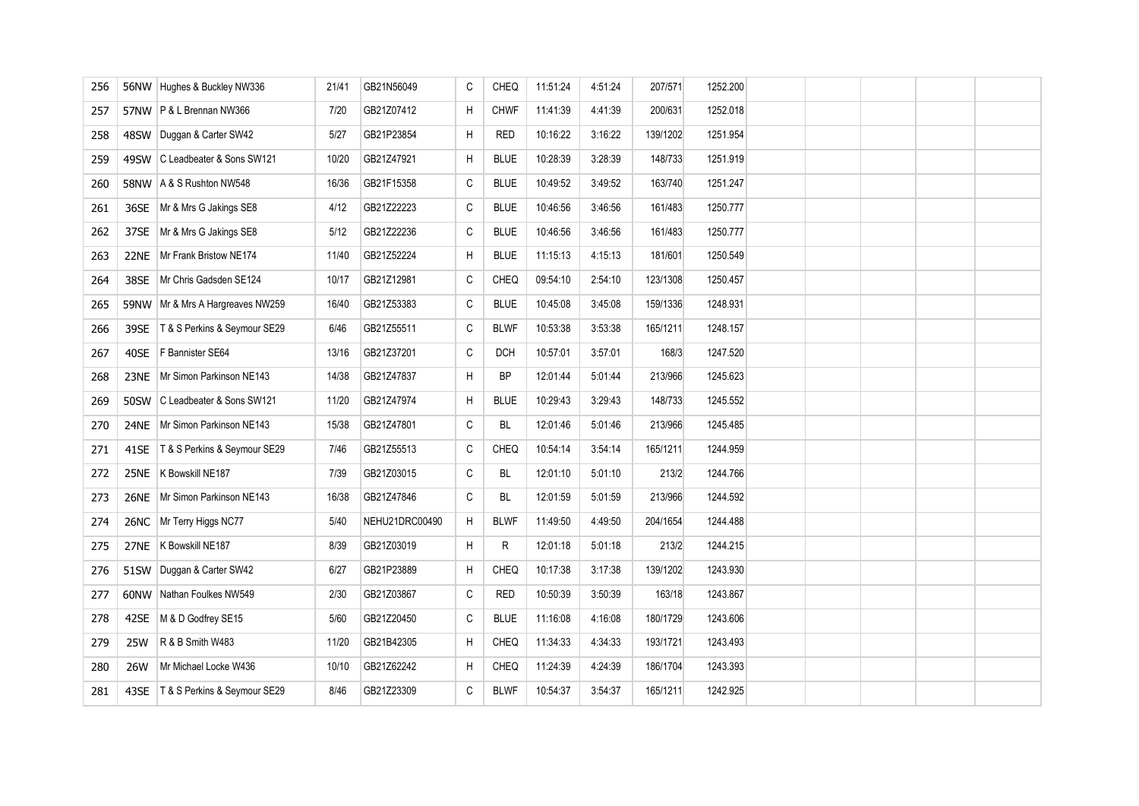| 256 | 56NW        | Hughes & Buckley NW336             | 21/41 | GB21N56049     | C            | <b>CHEQ</b> | 11:51:24 | 4:51:24 | 207/571  | 1252.200 |  |  |  |
|-----|-------------|------------------------------------|-------|----------------|--------------|-------------|----------|---------|----------|----------|--|--|--|
| 257 |             | 57NW   P & L Brennan NW366         | 7/20  | GB21Z07412     | H            | <b>CHWF</b> | 11:41:39 | 4:41:39 | 200/631  | 1252.018 |  |  |  |
| 258 | 48SW        | Duggan & Carter SW42               | 5/27  | GB21P23854     | H            | <b>RED</b>  | 10:16:22 | 3:16:22 | 139/1202 | 1251.954 |  |  |  |
| 259 | 49SW        | C Leadbeater & Sons SW121          | 10/20 | GB21Z47921     | H            | <b>BLUE</b> | 10:28:39 | 3:28:39 | 148/733  | 1251.919 |  |  |  |
| 260 |             | 58NW A & S Rushton NW548           | 16/36 | GB21F15358     | C            | <b>BLUE</b> | 10:49:52 | 3:49:52 | 163/740  | 1251.247 |  |  |  |
| 261 | 36SE        | Mr & Mrs G Jakings SE8             | 4/12  | GB21Z22223     | C            | <b>BLUE</b> | 10:46:56 | 3:46:56 | 161/483  | 1250.777 |  |  |  |
| 262 | 37SE        | Mr & Mrs G Jakings SE8             | 5/12  | GB21Z22236     | C            | <b>BLUE</b> | 10:46:56 | 3:46:56 | 161/483  | 1250.777 |  |  |  |
| 263 | 22NE        | Mr Frank Bristow NE174             | 11/40 | GB21Z52224     | H            | <b>BLUE</b> | 11:15:13 | 4:15:13 | 181/601  | 1250.549 |  |  |  |
| 264 | 38SE        | Mr Chris Gadsden SE124             | 10/17 | GB21Z12981     | C            | <b>CHEQ</b> | 09:54:10 | 2:54:10 | 123/1308 | 1250.457 |  |  |  |
| 265 |             | 59NW   Mr & Mrs A Hargreaves NW259 | 16/40 | GB21Z53383     | C            | <b>BLUE</b> | 10:45:08 | 3:45:08 | 159/1336 | 1248.931 |  |  |  |
| 266 | 39SE        | T & S Perkins & Seymour SE29       | 6/46  | GB21Z55511     | $\mathtt{C}$ | <b>BLWF</b> | 10:53:38 | 3:53:38 | 165/1211 | 1248.157 |  |  |  |
| 267 | 40SE        | F Bannister SE64                   | 13/16 | GB21Z37201     | C            | <b>DCH</b>  | 10:57:01 | 3:57:01 | 168/3    | 1247.520 |  |  |  |
| 268 | 23NE        | Mr Simon Parkinson NE143           | 14/38 | GB21Z47837     | H            | <b>BP</b>   | 12:01:44 | 5:01:44 | 213/966  | 1245.623 |  |  |  |
| 269 | 50SW        | C Leadbeater & Sons SW121          | 11/20 | GB21Z47974     | H            | <b>BLUE</b> | 10:29:43 | 3:29:43 | 148/733  | 1245.552 |  |  |  |
| 270 | 24NE        | Mr Simon Parkinson NE143           | 15/38 | GB21Z47801     | C            | BL          | 12:01:46 | 5:01:46 | 213/966  | 1245.485 |  |  |  |
| 271 | 41SE        | T & S Perkins & Seymour SE29       | 7/46  | GB21Z55513     | C            | CHEQ        | 10:54:14 | 3:54:14 | 165/1211 | 1244.959 |  |  |  |
| 272 | 25NE        | K Bowskill NE187                   | 7/39  | GB21Z03015     | C            | BL          | 12:01:10 | 5:01:10 | 213/2    | 1244.766 |  |  |  |
| 273 | 26NE        | Mr Simon Parkinson NE143           | 16/38 | GB21Z47846     | C            | BL          | 12:01:59 | 5:01:59 | 213/966  | 1244.592 |  |  |  |
| 274 | 26NC        | Mr Terry Higgs NC77                | 5/40  | NEHU21DRC00490 | H            | <b>BLWF</b> | 11:49:50 | 4:49:50 | 204/1654 | 1244.488 |  |  |  |
| 275 | <b>27NE</b> | K Bowskill NE187                   | 8/39  | GB21Z03019     | H            | R           | 12:01:18 | 5:01:18 | 213/2    | 1244.215 |  |  |  |
| 276 | 51SW        | Duggan & Carter SW42               | 6/27  | GB21P23889     | H            | CHEQ        | 10:17:38 | 3:17:38 | 139/1202 | 1243.930 |  |  |  |
| 277 | 60NW        | Nathan Foulkes NW549               | 2/30  | GB21Z03867     | C            | <b>RED</b>  | 10:50:39 | 3:50:39 | 163/18   | 1243.867 |  |  |  |
| 278 | 42SE        | M & D Godfrey SE15                 | 5/60  | GB21Z20450     | C            | <b>BLUE</b> | 11:16:08 | 4:16:08 | 180/1729 | 1243.606 |  |  |  |
| 279 | <b>25W</b>  | <b>R &amp; B Smith W483</b>        | 11/20 | GB21B42305     | H            | CHEQ        | 11:34:33 | 4:34:33 | 193/1721 | 1243.493 |  |  |  |
| 280 | <b>26W</b>  | Mr Michael Locke W436              | 10/10 | GB21Z62242     | H            | CHEQ        | 11:24:39 | 4:24:39 | 186/1704 | 1243.393 |  |  |  |
| 281 | 43SE        | T & S Perkins & Seymour SE29       | 8/46  | GB21Z23309     | C            | <b>BLWF</b> | 10:54:37 | 3:54:37 | 165/1211 | 1242.925 |  |  |  |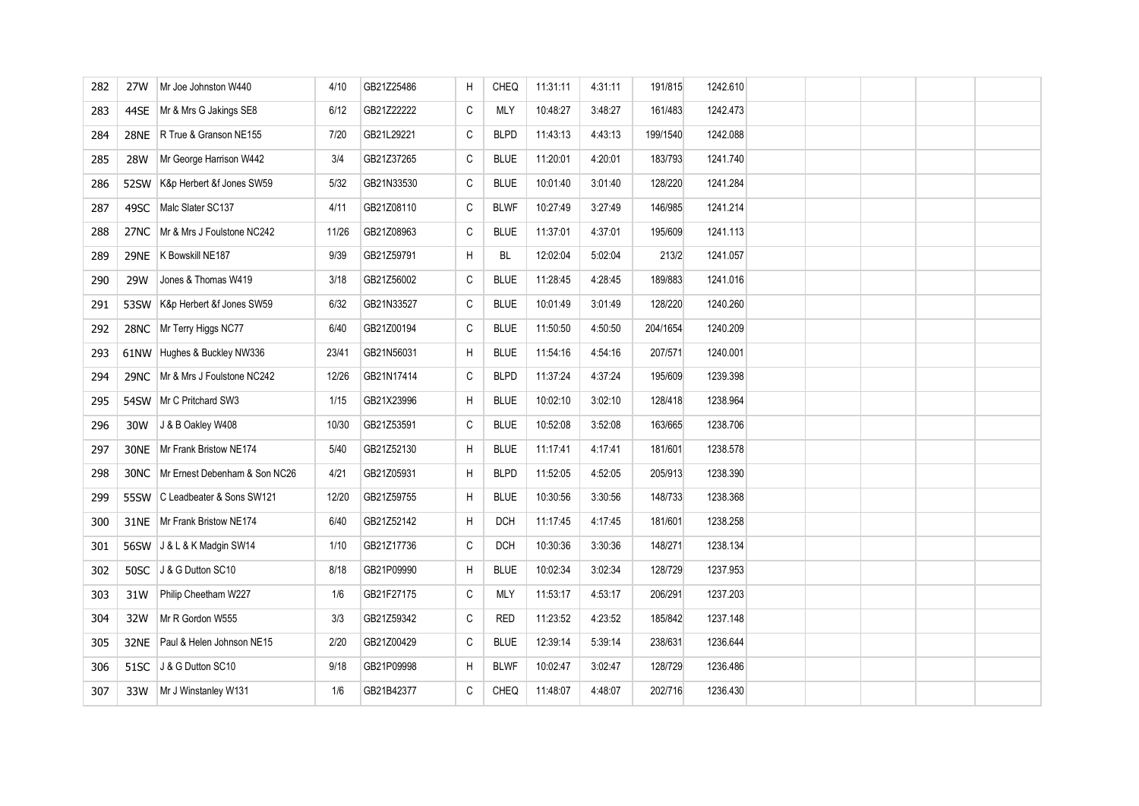| 282 | 27W         | Mr Joe Johnston W440          | 4/10  | GB21Z25486 | Η | <b>CHEQ</b> | 11:31:11 | 4:31:11 | 191/815  | 1242.610 |  |  |  |
|-----|-------------|-------------------------------|-------|------------|---|-------------|----------|---------|----------|----------|--|--|--|
| 283 | 44SE        | Mr & Mrs G Jakings SE8        | 6/12  | GB21Z22222 | C | <b>MLY</b>  | 10:48:27 | 3:48:27 | 161/483  | 1242.473 |  |  |  |
| 284 | 28NE        | R True & Granson NE155        | 7/20  | GB21L29221 | C | <b>BLPD</b> | 11:43:13 | 4:43:13 | 199/1540 | 1242.088 |  |  |  |
| 285 | <b>28W</b>  | Mr George Harrison W442       | 3/4   | GB21Z37265 | С | <b>BLUE</b> | 11:20:01 | 4:20:01 | 183/793  | 1241.740 |  |  |  |
| 286 | 52SW        | K&p Herbert &f Jones SW59     | 5/32  | GB21N33530 | С | <b>BLUE</b> | 10:01:40 | 3:01:40 | 128/220  | 1241.284 |  |  |  |
| 287 | 49SC        | Malc Slater SC137             | 4/11  | GB21Z08110 | С | <b>BLWF</b> | 10:27:49 | 3:27:49 | 146/985  | 1241.214 |  |  |  |
| 288 | 27NC        | Mr & Mrs J Foulstone NC242    | 11/26 | GB21Z08963 | C | <b>BLUE</b> | 11:37:01 | 4:37:01 | 195/609  | 1241.113 |  |  |  |
| 289 | 29NE        | K Bowskill NE187              | 9/39  | GB21Z59791 | H | BL          | 12:02:04 | 5:02:04 | 213/2    | 1241.057 |  |  |  |
| 290 | 29W         | Jones & Thomas W419           | 3/18  | GB21Z56002 | С | <b>BLUE</b> | 11:28:45 | 4:28:45 | 189/883  | 1241.016 |  |  |  |
| 291 | 53SW        | K&p Herbert &f Jones SW59     | 6/32  | GB21N33527 | С | <b>BLUE</b> | 10:01:49 | 3:01:49 | 128/220  | 1240.260 |  |  |  |
| 292 | 28NC        | Mr Terry Higgs NC77           | 6/40  | GB21Z00194 | C | <b>BLUE</b> | 11:50:50 | 4:50:50 | 204/1654 | 1240.209 |  |  |  |
| 293 |             | 61NW Hughes & Buckley NW336   | 23/41 | GB21N56031 | H | <b>BLUE</b> | 11:54:16 | 4:54:16 | 207/571  | 1240.001 |  |  |  |
| 294 | 29NC        | Mr & Mrs J Foulstone NC242    | 12/26 | GB21N17414 | С | <b>BLPD</b> | 11:37:24 | 4:37:24 | 195/609  | 1239.398 |  |  |  |
| 295 |             | 54SW   Mr C Pritchard SW3     | 1/15  | GB21X23996 | H | <b>BLUE</b> | 10:02:10 | 3:02:10 | 128/418  | 1238.964 |  |  |  |
| 296 | 30W         | J & B Oakley W408             | 10/30 | GB21Z53591 | C | <b>BLUE</b> | 10:52:08 | 3:52:08 | 163/665  | 1238.706 |  |  |  |
| 297 | <b>30NE</b> | Mr Frank Bristow NE174        | 5/40  | GB21Z52130 | H | <b>BLUE</b> | 11:17:41 | 4:17:41 | 181/601  | 1238.578 |  |  |  |
| 298 | 30NC        | Mr Ernest Debenham & Son NC26 | 4/21  | GB21Z05931 | H | <b>BLPD</b> | 11:52:05 | 4:52:05 | 205/913  | 1238.390 |  |  |  |
| 299 | 55SW        | C Leadbeater & Sons SW121     | 12/20 | GB21Z59755 | H | <b>BLUE</b> | 10:30:56 | 3:30:56 | 148/733  | 1238.368 |  |  |  |
| 300 | 31NE        | Mr Frank Bristow NE174        | 6/40  | GB21Z52142 | H | <b>DCH</b>  | 11:17:45 | 4:17:45 | 181/601  | 1238.258 |  |  |  |
| 301 |             | 56SW J&L&K Madgin SW14        | 1/10  | GB21Z17736 | C | <b>DCH</b>  | 10:30:36 | 3:30:36 | 148/271  | 1238.134 |  |  |  |
| 302 | 50SC        | J & G Dutton SC10             | 8/18  | GB21P09990 | H | <b>BLUE</b> | 10:02:34 | 3:02:34 | 128/729  | 1237.953 |  |  |  |
| 303 | 31W         | Philip Cheetham W227          | 1/6   | GB21F27175 | С | <b>MLY</b>  | 11:53:17 | 4:53:17 | 206/291  | 1237.203 |  |  |  |
| 304 | 32W         | Mr R Gordon W555              | 3/3   | GB21Z59342 | C | <b>RED</b>  | 11:23:52 | 4:23:52 | 185/842  | 1237.148 |  |  |  |
| 305 | 32NE        | Paul & Helen Johnson NE15     | 2/20  | GB21Z00429 | C | <b>BLUE</b> | 12:39:14 | 5:39:14 | 238/631  | 1236.644 |  |  |  |
| 306 | 51SC        | J & G Dutton SC10             | 9/18  | GB21P09998 | H | <b>BLWF</b> | 10:02:47 | 3:02:47 | 128/729  | 1236.486 |  |  |  |
| 307 | 33W         | Mr J Winstanley W131          | 1/6   | GB21B42377 | C | CHEQ        | 11:48:07 | 4:48:07 | 202/716  | 1236.430 |  |  |  |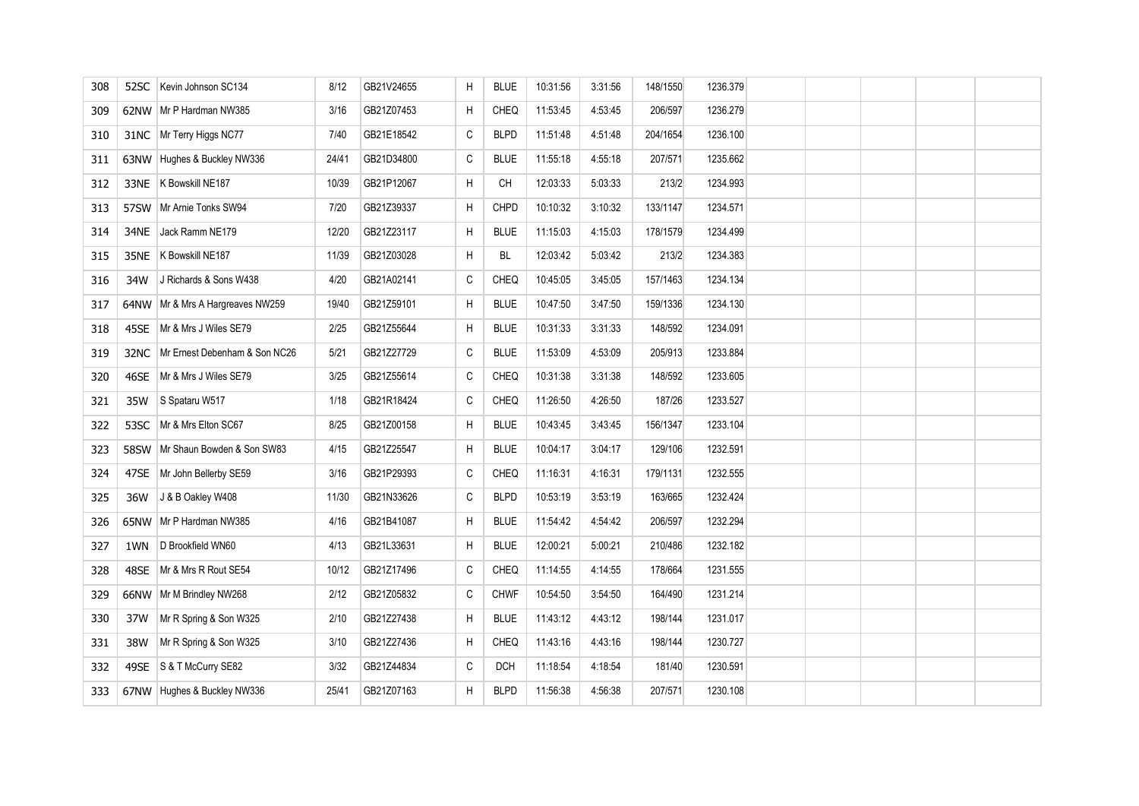| 308 | 52SC        | Kevin Johnson SC134                | 8/12  | GB21V24655 | H            | <b>BLUE</b> | 10:31:56 | 3:31:56 | 148/1550 | 1236.379 |  |  |  |
|-----|-------------|------------------------------------|-------|------------|--------------|-------------|----------|---------|----------|----------|--|--|--|
| 309 |             | 62NW   Mr P Hardman NW385          | 3/16  | GB21Z07453 | H            | <b>CHEQ</b> | 11:53:45 | 4:53:45 | 206/597  | 1236.279 |  |  |  |
| 310 |             | 31NC   Mr Terry Higgs NC77         | 7/40  | GB21E18542 | C            | <b>BLPD</b> | 11:51:48 | 4:51:48 | 204/1654 | 1236.100 |  |  |  |
| 311 | 63NW        | Hughes & Buckley NW336             | 24/41 | GB21D34800 | $\mathtt{C}$ | <b>BLUE</b> | 11:55:18 | 4:55:18 | 207/571  | 1235.662 |  |  |  |
| 312 | 33NE        | K Bowskill NE187                   | 10/39 | GB21P12067 | H            | CH          | 12:03:33 | 5:03:33 | 213/2    | 1234.993 |  |  |  |
| 313 | 57SW        | Mr Arnie Tonks SW94                | 7/20  | GB21Z39337 | H            | CHPD        | 10:10:32 | 3:10:32 | 133/1147 | 1234.571 |  |  |  |
| 314 | 34NE        | Jack Ramm NE179                    | 12/20 | GB21Z23117 | H            | <b>BLUE</b> | 11:15:03 | 4:15:03 | 178/1579 | 1234.499 |  |  |  |
| 315 | 35NE        | K Bowskill NE187                   | 11/39 | GB21Z03028 | H            | BL          | 12:03:42 | 5:03:42 | 213/2    | 1234.383 |  |  |  |
| 316 | 34W         | J Richards & Sons W438             | 4/20  | GB21A02141 | C            | <b>CHEQ</b> | 10:45:05 | 3:45:05 | 157/1463 | 1234.134 |  |  |  |
| 317 |             | 64NW   Mr & Mrs A Hargreaves NW259 | 19/40 | GB21Z59101 | H            | <b>BLUE</b> | 10:47:50 | 3:47:50 | 159/1336 | 1234.130 |  |  |  |
| 318 | 45SE        | Mr & Mrs J Wiles SE79              | 2/25  | GB21Z55644 | H            | <b>BLUE</b> | 10:31:33 | 3:31:33 | 148/592  | 1234.091 |  |  |  |
| 319 | 32NC        | Mr Ernest Debenham & Son NC26      | 5/21  | GB21Z27729 | C            | <b>BLUE</b> | 11:53:09 | 4:53:09 | 205/913  | 1233.884 |  |  |  |
| 320 | 46SE        | Mr & Mrs J Wiles SE79              | 3/25  | GB21Z55614 | C            | CHEQ        | 10:31:38 | 3:31:38 | 148/592  | 1233.605 |  |  |  |
| 321 | 35W         | S Spataru W517                     | 1/18  | GB21R18424 | C            | CHEQ        | 11:26:50 | 4:26:50 | 187/26   | 1233.527 |  |  |  |
| 322 | 53SC        | Mr & Mrs Elton SC67                | 8/25  | GB21Z00158 | H            | <b>BLUE</b> | 10:43:45 | 3:43:45 | 156/1347 | 1233.104 |  |  |  |
| 323 | <b>58SW</b> | Mr Shaun Bowden & Son SW83         | 4/15  | GB21Z25547 | H            | <b>BLUE</b> | 10:04:17 | 3:04:17 | 129/106  | 1232.591 |  |  |  |
| 324 | 47SE        | Mr John Bellerby SE59              | 3/16  | GB21P29393 | C            | CHEQ        | 11:16:31 | 4:16:31 | 179/1131 | 1232.555 |  |  |  |
| 325 | 36W         | J & B Oakley W408                  | 11/30 | GB21N33626 | C            | <b>BLPD</b> | 10:53:19 | 3:53:19 | 163/665  | 1232.424 |  |  |  |
| 326 |             | 65NW   Mr P Hardman NW385          | 4/16  | GB21B41087 | H            | <b>BLUE</b> | 11:54:42 | 4:54:42 | 206/597  | 1232.294 |  |  |  |
| 327 | 1WN         | D Brookfield WN60                  | 4/13  | GB21L33631 | H            | <b>BLUE</b> | 12:00:21 | 5:00:21 | 210/486  | 1232.182 |  |  |  |
| 328 | 48SE        | Mr & Mrs R Rout SE54               | 10/12 | GB21Z17496 | C            | CHEQ        | 11:14:55 | 4:14:55 | 178/664  | 1231.555 |  |  |  |
| 329 | 66NW        | Mr M Brindley NW268                | 2/12  | GB21Z05832 | C            | <b>CHWF</b> | 10:54:50 | 3:54:50 | 164/490  | 1231.214 |  |  |  |
| 330 | 37W         | Mr R Spring & Son W325             | 2/10  | GB21Z27438 | H            | <b>BLUE</b> | 11:43:12 | 4:43:12 | 198/144  | 1231.017 |  |  |  |
| 331 | 38W         | Mr R Spring & Son W325             | 3/10  | GB21Z27436 | H            | CHEQ        | 11:43:16 | 4:43:16 | 198/144  | 1230.727 |  |  |  |
| 332 | 49SE        | S & T McCurry SE82                 | 3/32  | GB21Z44834 | C            | <b>DCH</b>  | 11:18:54 | 4:18:54 | 181/40   | 1230.591 |  |  |  |
| 333 |             | 67NW Hughes & Buckley NW336        | 25/41 | GB21Z07163 | H            | <b>BLPD</b> | 11:56:38 | 4:56:38 | 207/571  | 1230.108 |  |  |  |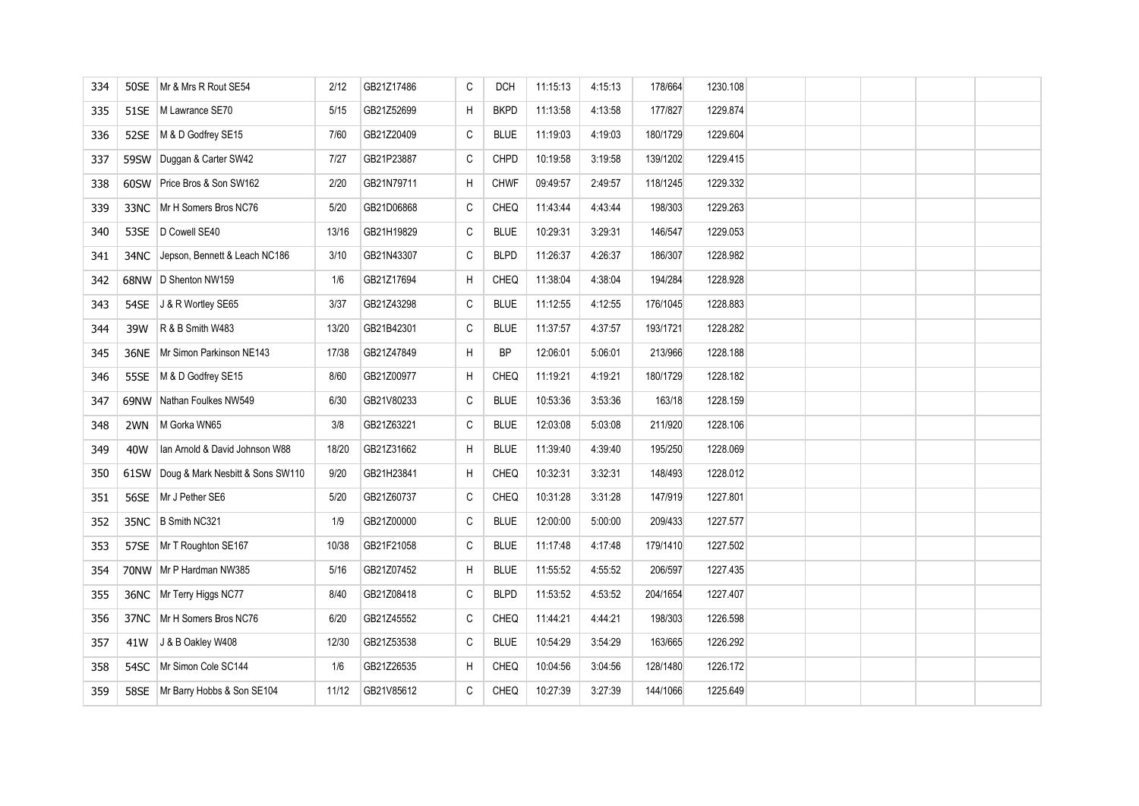| 334 | 50SE | Mr & Mrs R Rout SE54             | 2/12  | GB21Z17486 | C            | DCH         | 11:15:13 | 4:15:13 | 178/664  | 1230.108 |  |  |  |
|-----|------|----------------------------------|-------|------------|--------------|-------------|----------|---------|----------|----------|--|--|--|
| 335 | 51SE | M Lawrance SE70                  | 5/15  | GB21Z52699 | H            | <b>BKPD</b> | 11:13:58 | 4:13:58 | 177/827  | 1229.874 |  |  |  |
| 336 | 52SE | M & D Godfrey SE15               | 7/60  | GB21Z20409 | C            | <b>BLUE</b> | 11:19:03 | 4:19:03 | 180/1729 | 1229.604 |  |  |  |
| 337 | 59SW | Duggan & Carter SW42             | 7/27  | GB21P23887 | C            | CHPD        | 10:19:58 | 3:19:58 | 139/1202 | 1229.415 |  |  |  |
| 338 | 60SW | Price Bros & Son SW162           | 2/20  | GB21N79711 | H            | <b>CHWF</b> | 09:49:57 | 2:49:57 | 118/1245 | 1229.332 |  |  |  |
| 339 | 33NC | Mr H Somers Bros NC76            | 5/20  | GB21D06868 | C            | CHEQ        | 11:43:44 | 4:43:44 | 198/303  | 1229.263 |  |  |  |
| 340 | 53SE | D Cowell SE40                    | 13/16 | GB21H19829 | C            | <b>BLUE</b> | 10:29:31 | 3:29:31 | 146/547  | 1229.053 |  |  |  |
| 341 | 34NC | Jepson, Bennett & Leach NC186    | 3/10  | GB21N43307 | C            | <b>BLPD</b> | 11:26:37 | 4:26:37 | 186/307  | 1228.982 |  |  |  |
| 342 | 68NW | D Shenton NW159                  | 1/6   | GB21Z17694 | H            | <b>CHEQ</b> | 11:38:04 | 4:38:04 | 194/284  | 1228.928 |  |  |  |
| 343 | 54SE | J & R Wortley SE65               | 3/37  | GB21Z43298 | C            | <b>BLUE</b> | 11:12:55 | 4:12:55 | 176/1045 | 1228.883 |  |  |  |
| 344 | 39W  | R & B Smith W483                 | 13/20 | GB21B42301 | $\mathtt{C}$ | <b>BLUE</b> | 11:37:57 | 4:37:57 | 193/1721 | 1228.282 |  |  |  |
| 345 | 36NE | Mr Simon Parkinson NE143         | 17/38 | GB21Z47849 | H            | BP          | 12:06:01 | 5:06:01 | 213/966  | 1228.188 |  |  |  |
| 346 | 55SE | M & D Godfrey SE15               | 8/60  | GB21Z00977 | H            | <b>CHEQ</b> | 11:19:21 | 4:19:21 | 180/1729 | 1228.182 |  |  |  |
| 347 | 69NW | Nathan Foulkes NW549             | 6/30  | GB21V80233 | C            | <b>BLUE</b> | 10:53:36 | 3:53:36 | 163/18   | 1228.159 |  |  |  |
| 348 | 2WN  | M Gorka WN65                     | 3/8   | GB21Z63221 | C            | <b>BLUE</b> | 12:03:08 | 5:03:08 | 211/920  | 1228.106 |  |  |  |
| 349 | 40W  | Ian Arnold & David Johnson W88   | 18/20 | GB21Z31662 | H            | <b>BLUE</b> | 11:39:40 | 4:39:40 | 195/250  | 1228.069 |  |  |  |
| 350 | 61SW | Doug & Mark Nesbitt & Sons SW110 | 9/20  | GB21H23841 | H            | CHEQ        | 10:32:31 | 3:32:31 | 148/493  | 1228.012 |  |  |  |
| 351 | 56SE | Mr J Pether SE6                  | 5/20  | GB21Z60737 | C            | <b>CHEQ</b> | 10:31:28 | 3:31:28 | 147/919  | 1227.801 |  |  |  |
| 352 |      | 35NC B Smith NC321               | 1/9   | GB21Z00000 | C            | <b>BLUE</b> | 12:00:00 | 5:00:00 | 209/433  | 1227.577 |  |  |  |
| 353 | 57SE | Mr T Roughton SE167              | 10/38 | GB21F21058 | C            | <b>BLUE</b> | 11:17:48 | 4:17:48 | 179/1410 | 1227.502 |  |  |  |
| 354 |      | 70NW   Mr P Hardman NW385        | 5/16  | GB21Z07452 | H            | <b>BLUE</b> | 11:55:52 | 4:55:52 | 206/597  | 1227.435 |  |  |  |
| 355 | 36NC | Mr Terry Higgs NC77              | 8/40  | GB21Z08418 | C            | <b>BLPD</b> | 11:53:52 | 4:53:52 | 204/1654 | 1227.407 |  |  |  |
| 356 | 37NC | Mr H Somers Bros NC76            | 6/20  | GB21Z45552 | C            | CHEQ        | 11:44:21 | 4:44:21 | 198/303  | 1226.598 |  |  |  |
| 357 | 41W  | J & B Oakley W408                | 12/30 | GB21Z53538 | C            | <b>BLUE</b> | 10:54:29 | 3:54:29 | 163/665  | 1226.292 |  |  |  |
| 358 | 54SC | Mr Simon Cole SC144              | 1/6   | GB21Z26535 | H            | CHEQ        | 10:04:56 | 3:04:56 | 128/1480 | 1226.172 |  |  |  |
| 359 | 58SE | Mr Barry Hobbs & Son SE104       | 11/12 | GB21V85612 | C            | <b>CHEQ</b> | 10:27:39 | 3:27:39 | 144/1066 | 1225.649 |  |  |  |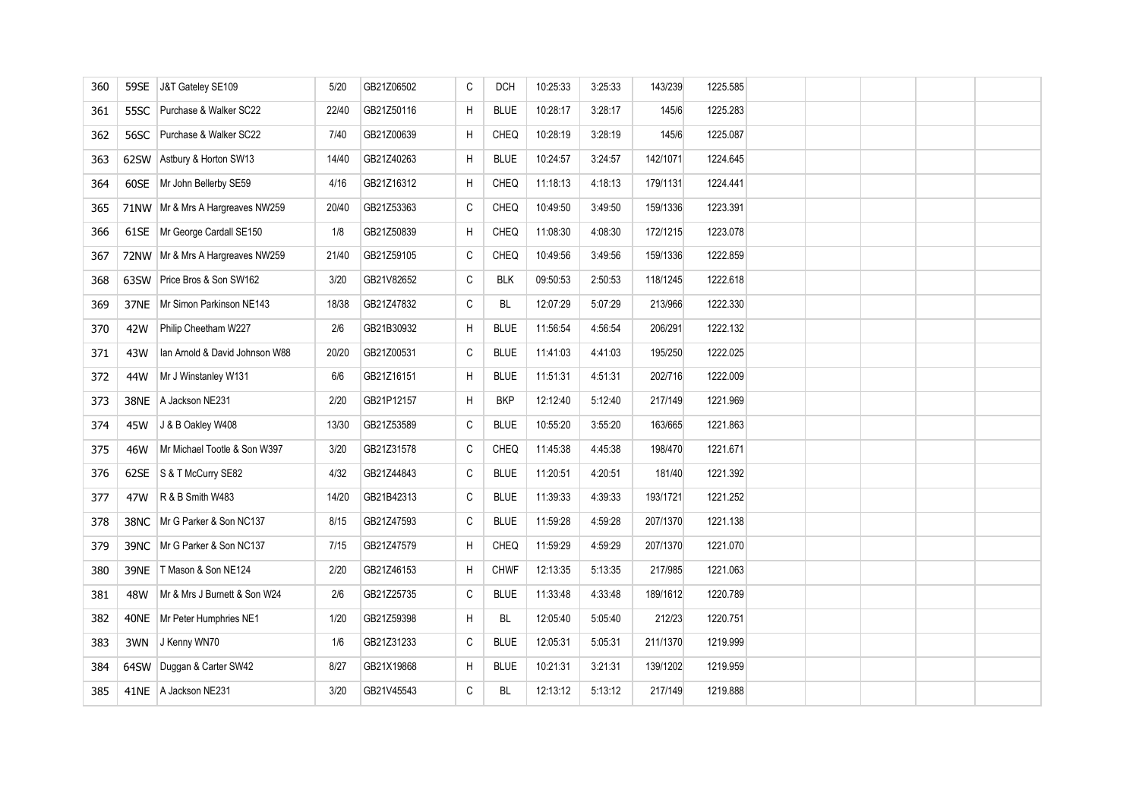| 360 | 59SE | J&T Gateley SE109              | 5/20  | GB21Z06502 | C | <b>DCH</b>  | 10:25:33 | 3:25:33 | 143/239  | 1225.585 |  |  |  |
|-----|------|--------------------------------|-------|------------|---|-------------|----------|---------|----------|----------|--|--|--|
| 361 | 55SC | Purchase & Walker SC22         | 22/40 | GB21Z50116 | H | <b>BLUE</b> | 10:28:17 | 3:28:17 | 145/6    | 1225.283 |  |  |  |
| 362 | 56SC | Purchase & Walker SC22         | 7/40  | GB21Z00639 | H | <b>CHEQ</b> | 10:28:19 | 3:28:19 | 145/6    | 1225.087 |  |  |  |
| 363 | 62SW | Astbury & Horton SW13          | 14/40 | GB21Z40263 | H | <b>BLUE</b> | 10:24:57 | 3:24:57 | 142/1071 | 1224.645 |  |  |  |
| 364 | 60SE | Mr John Bellerby SE59          | 4/16  | GB21Z16312 | H | CHEQ        | 11:18:13 | 4:18:13 | 179/1131 | 1224.441 |  |  |  |
| 365 | 71NW | Mr & Mrs A Hargreaves NW259    | 20/40 | GB21Z53363 | C | <b>CHEQ</b> | 10:49:50 | 3:49:50 | 159/1336 | 1223.391 |  |  |  |
| 366 | 61SE | Mr George Cardall SE150        | 1/8   | GB21Z50839 | H | <b>CHEQ</b> | 11:08:30 | 4:08:30 | 172/1215 | 1223.078 |  |  |  |
| 367 | 72NW | Mr & Mrs A Hargreaves NW259    | 21/40 | GB21Z59105 | C | CHEQ        | 10:49:56 | 3:49:56 | 159/1336 | 1222.859 |  |  |  |
| 368 | 63SW | Price Bros & Son SW162         | 3/20  | GB21V82652 | C | BLK         | 09:50:53 | 2:50:53 | 118/1245 | 1222.618 |  |  |  |
| 369 | 37NE | Mr Simon Parkinson NE143       | 18/38 | GB21Z47832 | C | BL          | 12:07:29 | 5:07:29 | 213/966  | 1222.330 |  |  |  |
| 370 | 42W  | Philip Cheetham W227           | 2/6   | GB21B30932 | H | <b>BLUE</b> | 11:56:54 | 4:56:54 | 206/291  | 1222.132 |  |  |  |
| 371 | 43W  | Ian Arnold & David Johnson W88 | 20/20 | GB21Z00531 | C | <b>BLUE</b> | 11:41:03 | 4:41:03 | 195/250  | 1222.025 |  |  |  |
| 372 | 44W  | Mr J Winstanley W131           | 6/6   | GB21Z16151 | H | <b>BLUE</b> | 11:51:31 | 4:51:31 | 202/716  | 1222.009 |  |  |  |
| 373 | 38NE | A Jackson NE231                | 2/20  | GB21P12157 | H | <b>BKP</b>  | 12:12:40 | 5:12:40 | 217/149  | 1221.969 |  |  |  |
| 374 | 45W  | J & B Oakley W408              | 13/30 | GB21Z53589 | C | <b>BLUE</b> | 10:55:20 | 3:55:20 | 163/665  | 1221.863 |  |  |  |
| 375 | 46W  | Mr Michael Tootle & Son W397   | 3/20  | GB21Z31578 | C | CHEQ        | 11:45:38 | 4:45:38 | 198/470  | 1221.671 |  |  |  |
| 376 | 62SE | S & T McCurry SE82             | 4/32  | GB21Z44843 | C | <b>BLUE</b> | 11:20:51 | 4:20:51 | 181/40   | 1221.392 |  |  |  |
| 377 | 47W  | R & B Smith W483               | 14/20 | GB21B42313 | C | <b>BLUE</b> | 11:39:33 | 4:39:33 | 193/1721 | 1221.252 |  |  |  |
| 378 | 38NC | Mr G Parker & Son NC137        | 8/15  | GB21Z47593 | C | <b>BLUE</b> | 11:59:28 | 4:59:28 | 207/1370 | 1221.138 |  |  |  |
| 379 | 39NC | Mr G Parker & Son NC137        | 7/15  | GB21Z47579 | H | <b>CHEQ</b> | 11:59:29 | 4:59:29 | 207/1370 | 1221.070 |  |  |  |
| 380 | 39NE | T Mason & Son NE124            | 2/20  | GB21Z46153 | H | <b>CHWF</b> | 12:13:35 | 5:13:35 | 217/985  | 1221.063 |  |  |  |
| 381 | 48W  | Mr & Mrs J Burnett & Son W24   | 2/6   | GB21Z25735 | C | <b>BLUE</b> | 11:33:48 | 4:33:48 | 189/1612 | 1220.789 |  |  |  |
| 382 | 40NE | Mr Peter Humphries NE1         | 1/20  | GB21Z59398 | H | BL          | 12:05:40 | 5:05:40 | 212/23   | 1220.751 |  |  |  |
| 383 | 3WN  | J Kenny WN70                   | 1/6   | GB21Z31233 | C | <b>BLUE</b> | 12:05:31 | 5:05:31 | 211/1370 | 1219.999 |  |  |  |
| 384 | 64SW | Duggan & Carter SW42           | 8/27  | GB21X19868 | H | <b>BLUE</b> | 10:21:31 | 3:21:31 | 139/1202 | 1219.959 |  |  |  |
| 385 | 41NE | A Jackson NE231                | 3/20  | GB21V45543 | C | BL          | 12:13:12 | 5:13:12 | 217/149  | 1219.888 |  |  |  |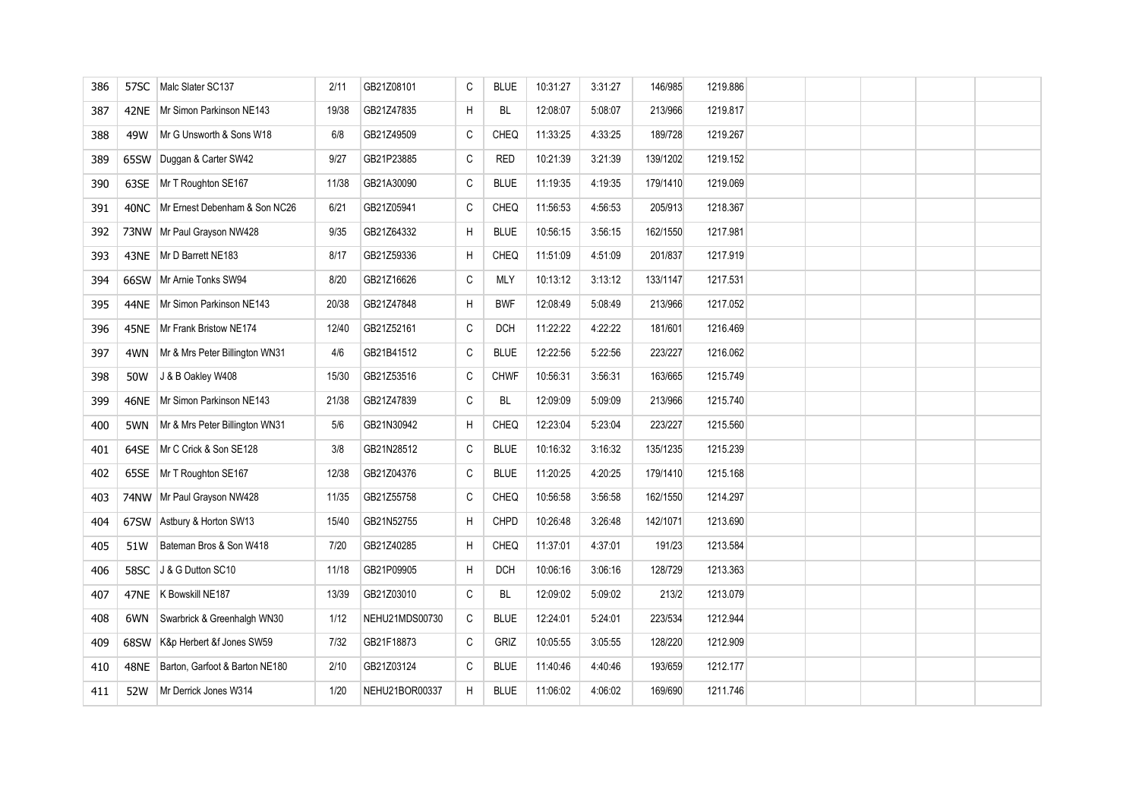| 386 | 57SC | Malc Slater SC137              | 2/11  | GB21Z08101     | C            | <b>BLUE</b> | 10:31:27 | 3:31:27 | 146/985  | 1219.886 |  |  |  |
|-----|------|--------------------------------|-------|----------------|--------------|-------------|----------|---------|----------|----------|--|--|--|
| 387 | 42NE | Mr Simon Parkinson NE143       | 19/38 | GB21Z47835     | H            | BL          | 12:08:07 | 5:08:07 | 213/966  | 1219.817 |  |  |  |
| 388 | 49W  | Mr G Unsworth & Sons W18       | 6/8   | GB21Z49509     | C            | <b>CHEQ</b> | 11:33:25 | 4:33:25 | 189/728  | 1219.267 |  |  |  |
| 389 | 65SW | Duggan & Carter SW42           | 9/27  | GB21P23885     | C            | <b>RED</b>  | 10:21:39 | 3:21:39 | 139/1202 | 1219.152 |  |  |  |
| 390 | 63SE | Mr T Roughton SE167            | 11/38 | GB21A30090     | C            | <b>BLUE</b> | 11:19:35 | 4:19:35 | 179/1410 | 1219.069 |  |  |  |
| 391 | 40NC | Mr Ernest Debenham & Son NC26  | 6/21  | GB21Z05941     | C            | CHEQ        | 11:56:53 | 4:56:53 | 205/913  | 1218.367 |  |  |  |
| 392 | 73NW | Mr Paul Grayson NW428          | 9/35  | GB21Z64332     | H            | <b>BLUE</b> | 10:56:15 | 3:56:15 | 162/1550 | 1217.981 |  |  |  |
| 393 | 43NE | Mr D Barrett NE183             | 8/17  | GB21Z59336     | H            | CHEQ        | 11:51:09 | 4:51:09 | 201/837  | 1217.919 |  |  |  |
| 394 | 66SW | Mr Arnie Tonks SW94            | 8/20  | GB21Z16626     | C            | MLY         | 10:13:12 | 3:13:12 | 133/1147 | 1217.531 |  |  |  |
| 395 | 44NE | Mr Simon Parkinson NE143       | 20/38 | GB21Z47848     | H            | <b>BWF</b>  | 12:08:49 | 5:08:49 | 213/966  | 1217.052 |  |  |  |
| 396 | 45NE | Mr Frank Bristow NE174         | 12/40 | GB21Z52161     | $\mathtt{C}$ | <b>DCH</b>  | 11:22:22 | 4:22:22 | 181/601  | 1216.469 |  |  |  |
| 397 | 4WN  | Mr & Mrs Peter Billington WN31 | 4/6   | GB21B41512     | C            | <b>BLUE</b> | 12:22:56 | 5:22:56 | 223/227  | 1216.062 |  |  |  |
| 398 | 50W  | J & B Oakley W408              | 15/30 | GB21Z53516     | C            | <b>CHWF</b> | 10:56:31 | 3:56:31 | 163/665  | 1215.749 |  |  |  |
| 399 | 46NE | Mr Simon Parkinson NE143       | 21/38 | GB21Z47839     | C            | BL          | 12:09:09 | 5:09:09 | 213/966  | 1215.740 |  |  |  |
| 400 | 5WN  | Mr & Mrs Peter Billington WN31 | 5/6   | GB21N30942     | H            | CHEQ        | 12:23:04 | 5:23:04 | 223/227  | 1215.560 |  |  |  |
| 401 | 64SE | Mr C Crick & Son SE128         | 3/8   | GB21N28512     | C            | <b>BLUE</b> | 10:16:32 | 3:16:32 | 135/1235 | 1215.239 |  |  |  |
| 402 | 65SE | Mr T Roughton SE167            | 12/38 | GB21Z04376     | C            | <b>BLUE</b> | 11:20:25 | 4:20:25 | 179/1410 | 1215.168 |  |  |  |
| 403 | 74NW | Mr Paul Grayson NW428          | 11/35 | GB21Z55758     | C            | <b>CHEQ</b> | 10:56:58 | 3:56:58 | 162/1550 | 1214.297 |  |  |  |
| 404 |      | 67SW Astbury & Horton SW13     | 15/40 | GB21N52755     | H            | CHPD        | 10:26:48 | 3:26:48 | 142/1071 | 1213.690 |  |  |  |
| 405 | 51W  | Bateman Bros & Son W418        | 7/20  | GB21Z40285     | H            | <b>CHEQ</b> | 11:37:01 | 4:37:01 | 191/23   | 1213.584 |  |  |  |
| 406 | 58SC | J & G Dutton SC10              | 11/18 | GB21P09905     | H            | <b>DCH</b>  | 10:06:16 | 3:06:16 | 128/729  | 1213.363 |  |  |  |
| 407 | 47NE | K Bowskill NE187               | 13/39 | GB21Z03010     | C            | BL          | 12:09:02 | 5:09:02 | 213/2    | 1213.079 |  |  |  |
| 408 | 6WN  | Swarbrick & Greenhalgh WN30    | 1/12  | NEHU21MDS00730 | C            | <b>BLUE</b> | 12:24:01 | 5:24:01 | 223/534  | 1212.944 |  |  |  |
| 409 | 68SW | K&p Herbert &f Jones SW59      | 7/32  | GB21F18873     | C            | GRIZ        | 10:05:55 | 3:05:55 | 128/220  | 1212.909 |  |  |  |
| 410 | 48NE | Barton, Garfoot & Barton NE180 | 2/10  | GB21Z03124     | C            | <b>BLUE</b> | 11:40:46 | 4:40:46 | 193/659  | 1212.177 |  |  |  |
| 411 | 52W  | Mr Derrick Jones W314          | 1/20  | NEHU21BOR00337 | H            | <b>BLUE</b> | 11:06:02 | 4:06:02 | 169/690  | 1211.746 |  |  |  |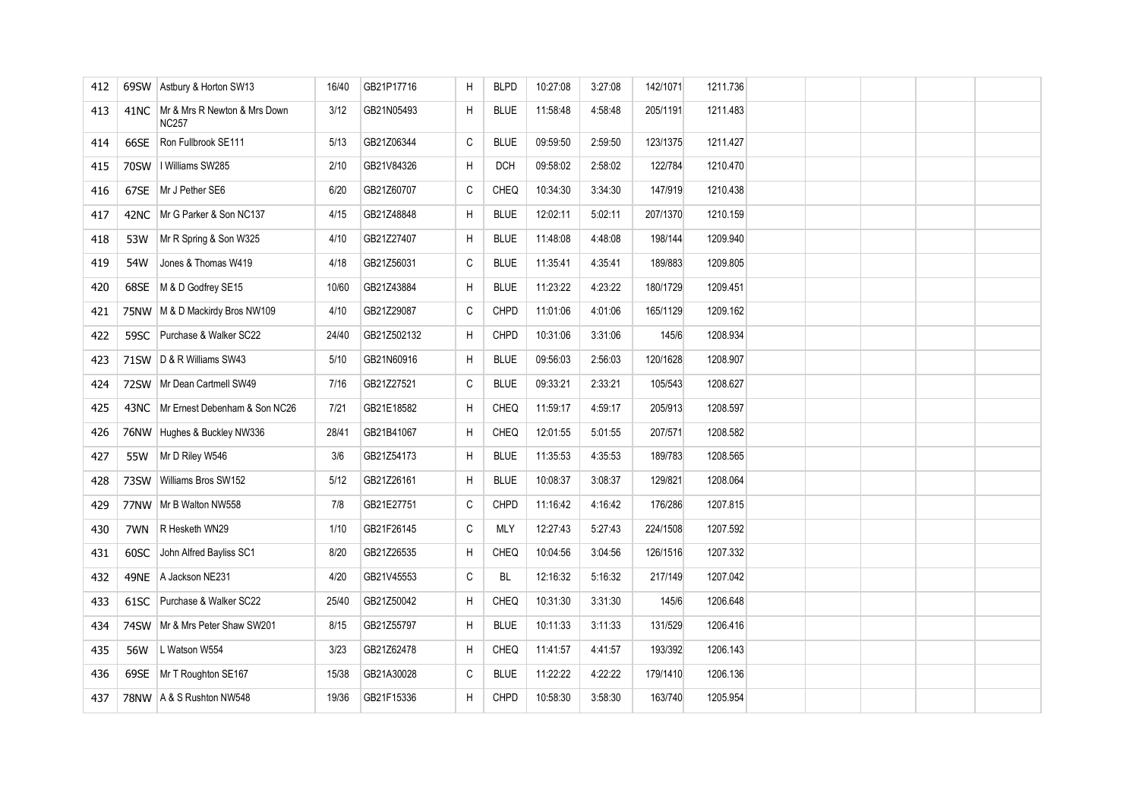| 412 | 69SW        | Astbury & Horton SW13                             | 16/40 | GB21P17716  | H | <b>BLPD</b> | 10:27:08 | 3:27:08 | 142/1071 | 1211.736 |  |  |  |
|-----|-------------|---------------------------------------------------|-------|-------------|---|-------------|----------|---------|----------|----------|--|--|--|
| 413 |             | 41NC Mr & Mrs R Newton & Mrs Down<br><b>NC257</b> | 3/12  | GB21N05493  | H | <b>BLUE</b> | 11:58:48 | 4:58:48 | 205/1191 | 1211.483 |  |  |  |
| 414 | 66SE        | Ron Fullbrook SE111                               | 5/13  | GB21Z06344  | C | <b>BLUE</b> | 09:59:50 | 2:59:50 | 123/1375 | 1211.427 |  |  |  |
| 415 | <b>70SW</b> | I Williams SW285                                  | 2/10  | GB21V84326  | H | <b>DCH</b>  | 09:58:02 | 2:58:02 | 122/784  | 1210.470 |  |  |  |
| 416 | 67SE        | Mr J Pether SE6                                   | 6/20  | GB21Z60707  | C | CHEQ        | 10:34:30 | 3:34:30 | 147/919  | 1210.438 |  |  |  |
| 417 | 42NC        | Mr G Parker & Son NC137                           | 4/15  | GB21Z48848  | H | <b>BLUE</b> | 12:02:11 | 5:02:11 | 207/1370 | 1210.159 |  |  |  |
| 418 | 53W         | Mr R Spring & Son W325                            | 4/10  | GB21Z27407  | H | <b>BLUE</b> | 11:48:08 | 4:48:08 | 198/144  | 1209.940 |  |  |  |
| 419 | 54W         | Jones & Thomas W419                               | 4/18  | GB21Z56031  | C | <b>BLUE</b> | 11:35:41 | 4:35:41 | 189/883  | 1209.805 |  |  |  |
| 420 | 68SE        | M & D Godfrey SE15                                | 10/60 | GB21Z43884  | H | <b>BLUE</b> | 11:23:22 | 4:23:22 | 180/1729 | 1209.451 |  |  |  |
| 421 |             | 75NW   M & D Mackirdy Bros NW109                  | 4/10  | GB21Z29087  | C | <b>CHPD</b> | 11:01:06 | 4:01:06 | 165/1129 | 1209.162 |  |  |  |
| 422 | 59SC        | Purchase & Walker SC22                            | 24/40 | GB21Z502132 | H | <b>CHPD</b> | 10:31:06 | 3:31:06 | 145/6    | 1208.934 |  |  |  |
| 423 |             | 71SW   D & R Williams SW43                        | 5/10  | GB21N60916  | H | <b>BLUE</b> | 09:56:03 | 2:56:03 | 120/1628 | 1208.907 |  |  |  |
| 424 |             | 72SW   Mr Dean Cartmell SW49                      | 7/16  | GB21Z27521  | C | <b>BLUE</b> | 09:33:21 | 2:33:21 | 105/543  | 1208.627 |  |  |  |
| 425 |             | 43NC   Mr Ernest Debenham & Son NC26              | 7/21  | GB21E18582  | H | CHEQ        | 11:59:17 | 4:59:17 | 205/913  | 1208.597 |  |  |  |
| 426 | 76NW        | Hughes & Buckley NW336                            | 28/41 | GB21B41067  | H | <b>CHEQ</b> | 12:01:55 | 5:01:55 | 207/571  | 1208.582 |  |  |  |
| 427 | 55W         | Mr D Riley W546                                   | 3/6   | GB21Z54173  | H | <b>BLUE</b> | 11:35:53 | 4:35:53 | 189/783  | 1208.565 |  |  |  |
| 428 | 73SW        | Williams Bros SW152                               | 5/12  | GB21Z26161  | H | <b>BLUE</b> | 10:08:37 | 3:08:37 | 129/821  | 1208.064 |  |  |  |
| 429 | 77NW        | Mr B Walton NW558                                 | 7/8   | GB21E27751  | C | <b>CHPD</b> | 11:16:42 | 4:16:42 | 176/286  | 1207.815 |  |  |  |
| 430 | 7WN         | R Hesketh WN29                                    | 1/10  | GB21F26145  | C | MLY         | 12:27:43 | 5:27:43 | 224/1508 | 1207.592 |  |  |  |
| 431 | 60SC        | John Alfred Bayliss SC1                           | 8/20  | GB21Z26535  | H | <b>CHEQ</b> | 10:04:56 | 3:04:56 | 126/1516 | 1207.332 |  |  |  |
| 432 | 49NE        | A Jackson NE231                                   | 4/20  | GB21V45553  | C | BL          | 12:16:32 | 5:16:32 | 217/149  | 1207.042 |  |  |  |
| 433 | 61SC        | Purchase & Walker SC22                            | 25/40 | GB21Z50042  | H | CHEQ        | 10:31:30 | 3:31:30 | 145/6    | 1206.648 |  |  |  |
| 434 | 74SW        | Mr & Mrs Peter Shaw SW201                         | 8/15  | GB21Z55797  | H | <b>BLUE</b> | 10:11:33 | 3:11:33 | 131/529  | 1206.416 |  |  |  |
| 435 | 56W         | L Watson W554                                     | 3/23  | GB21Z62478  | H | CHEQ        | 11:41:57 | 4:41:57 | 193/392  | 1206.143 |  |  |  |
| 436 | 69SE        | Mr T Roughton SE167                               | 15/38 | GB21A30028  | C | <b>BLUE</b> | 11:22:22 | 4:22:22 | 179/1410 | 1206.136 |  |  |  |
| 437 |             | 78NW A & S Rushton NW548                          | 19/36 | GB21F15336  | H | <b>CHPD</b> | 10:58:30 | 3:58:30 | 163/740  | 1205.954 |  |  |  |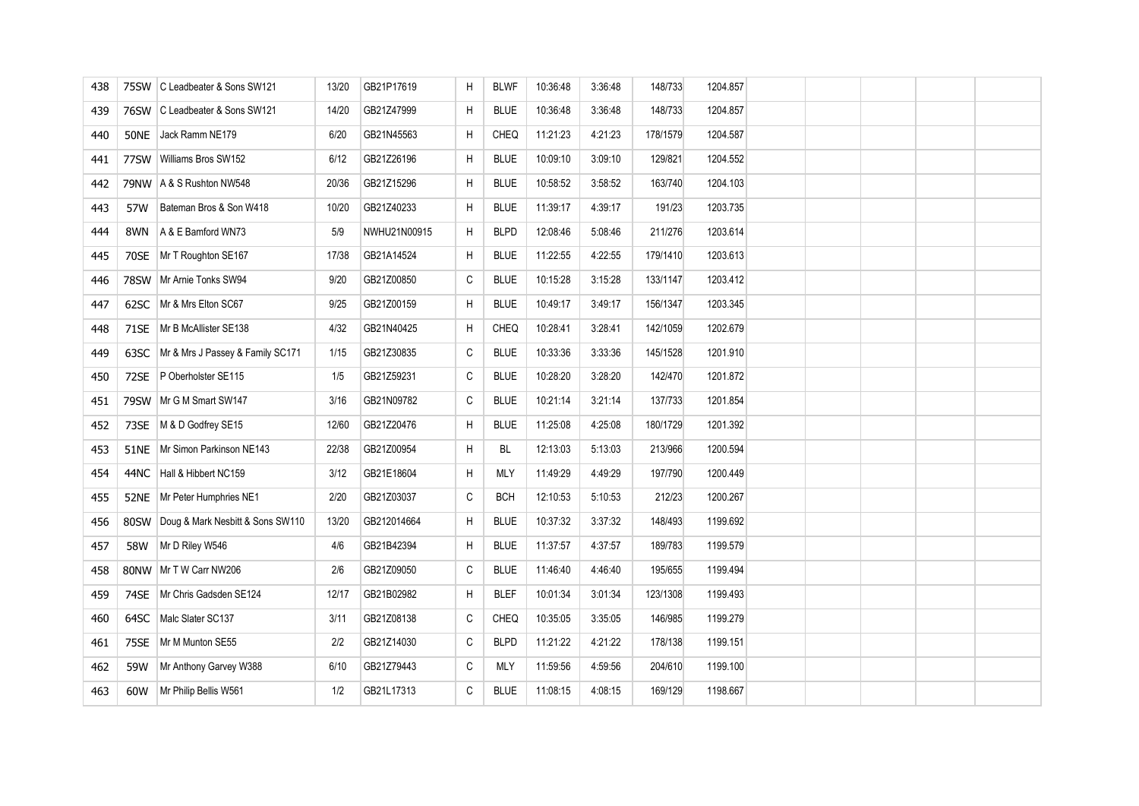| 438 | 75SW        | C Leadbeater & Sons SW121             | 13/20 | GB21P17619   | H | BLWF        | 10:36:48 | 3:36:48 | 148/733  | 1204.857 |  |  |  |
|-----|-------------|---------------------------------------|-------|--------------|---|-------------|----------|---------|----------|----------|--|--|--|
| 439 |             | 76SW C Leadbeater & Sons SW121        | 14/20 | GB21Z47999   | H | <b>BLUE</b> | 10:36:48 | 3:36:48 | 148/733  | 1204.857 |  |  |  |
| 440 | <b>50NE</b> | Jack Ramm NE179                       | 6/20  | GB21N45563   | H | <b>CHEQ</b> | 11:21:23 | 4:21:23 | 178/1579 | 1204.587 |  |  |  |
| 441 | 77SW        | Williams Bros SW152                   | 6/12  | GB21Z26196   | H | <b>BLUE</b> | 10:09:10 | 3:09:10 | 129/821  | 1204.552 |  |  |  |
| 442 |             | 79NW   A & S Rushton NW548            | 20/36 | GB21Z15296   | H | <b>BLUE</b> | 10:58:52 | 3:58:52 | 163/740  | 1204.103 |  |  |  |
| 443 | 57W         | Bateman Bros & Son W418               | 10/20 | GB21Z40233   | H | <b>BLUE</b> | 11:39:17 | 4:39:17 | 191/23   | 1203.735 |  |  |  |
| 444 | 8WN         | A & E Bamford WN73                    | 5/9   | NWHU21N00915 | H | <b>BLPD</b> | 12:08:46 | 5:08:46 | 211/276  | 1203.614 |  |  |  |
| 445 | 70SE        | Mr T Roughton SE167                   | 17/38 | GB21A14524   | H | <b>BLUE</b> | 11:22:55 | 4:22:55 | 179/1410 | 1203.613 |  |  |  |
| 446 | 78SW        | Mr Arnie Tonks SW94                   | 9/20  | GB21Z00850   | C | <b>BLUE</b> | 10:15:28 | 3:15:28 | 133/1147 | 1203.412 |  |  |  |
| 447 | 62SC        | Mr & Mrs Elton SC67                   | 9/25  | GB21Z00159   | H | <b>BLUE</b> | 10:49:17 | 3:49:17 | 156/1347 | 1203.345 |  |  |  |
| 448 | 71SE        | Mr B McAllister SE138                 | 4/32  | GB21N40425   | H | CHEQ        | 10:28:41 | 3:28:41 | 142/1059 | 1202.679 |  |  |  |
| 449 | 63SC        | Mr & Mrs J Passey & Family SC171      | 1/15  | GB21Z30835   | C | <b>BLUE</b> | 10:33:36 | 3:33:36 | 145/1528 | 1201.910 |  |  |  |
| 450 | 72SE        | P Oberholster SE115                   | 1/5   | GB21Z59231   | C | <b>BLUE</b> | 10:28:20 | 3:28:20 | 142/470  | 1201.872 |  |  |  |
| 451 | 79SW        | Mr G M Smart SW147                    | 3/16  | GB21N09782   | C | <b>BLUE</b> | 10:21:14 | 3:21:14 | 137/733  | 1201.854 |  |  |  |
| 452 | 73SE        | M & D Godfrey SE15                    | 12/60 | GB21Z20476   | H | <b>BLUE</b> | 11:25:08 | 4:25:08 | 180/1729 | 1201.392 |  |  |  |
| 453 | <b>51NE</b> | Mr Simon Parkinson NE143              | 22/38 | GB21Z00954   | H | BL          | 12:13:03 | 5:13:03 | 213/966  | 1200.594 |  |  |  |
| 454 | 44NC        | Hall & Hibbert NC159                  | 3/12  | GB21E18604   | H | MLY         | 11:49:29 | 4:49:29 | 197/790  | 1200.449 |  |  |  |
| 455 |             | 52NE   Mr Peter Humphries NE1         | 2/20  | GB21Z03037   | C | <b>BCH</b>  | 12:10:53 | 5:10:53 | 212/23   | 1200.267 |  |  |  |
| 456 |             | 80SW Doug & Mark Nesbitt & Sons SW110 | 13/20 | GB212014664  | H | <b>BLUE</b> | 10:37:32 | 3:37:32 | 148/493  | 1199.692 |  |  |  |
| 457 | 58W         | Mr D Riley W546                       | 4/6   | GB21B42394   | H | <b>BLUE</b> | 11:37:57 | 4:37:57 | 189/783  | 1199.579 |  |  |  |
| 458 |             | 80NW Mr T W Carr NW206                | 2/6   | GB21Z09050   | C | <b>BLUE</b> | 11:46:40 | 4:46:40 | 195/655  | 1199.494 |  |  |  |
| 459 | 74SE        | Mr Chris Gadsden SE124                | 12/17 | GB21B02982   | H | <b>BLEF</b> | 10:01:34 | 3:01:34 | 123/1308 | 1199.493 |  |  |  |
| 460 | 64SC        | Malc Slater SC137                     | 3/11  | GB21Z08138   | C | CHEQ        | 10:35:05 | 3:35:05 | 146/985  | 1199.279 |  |  |  |
| 461 | 75SE        | Mr M Munton SE55                      | 2/2   | GB21Z14030   | C | <b>BLPD</b> | 11:21:22 | 4:21:22 | 178/138  | 1199.151 |  |  |  |
| 462 | 59W         | Mr Anthony Garvey W388                | 6/10  | GB21Z79443   | C | <b>MLY</b>  | 11:59:56 | 4:59:56 | 204/610  | 1199.100 |  |  |  |
| 463 | 60W         | Mr Philip Bellis W561                 | 1/2   | GB21L17313   | C | <b>BLUE</b> | 11:08:15 | 4:08:15 | 169/129  | 1198.667 |  |  |  |
|     |             |                                       |       |              |   |             |          |         |          |          |  |  |  |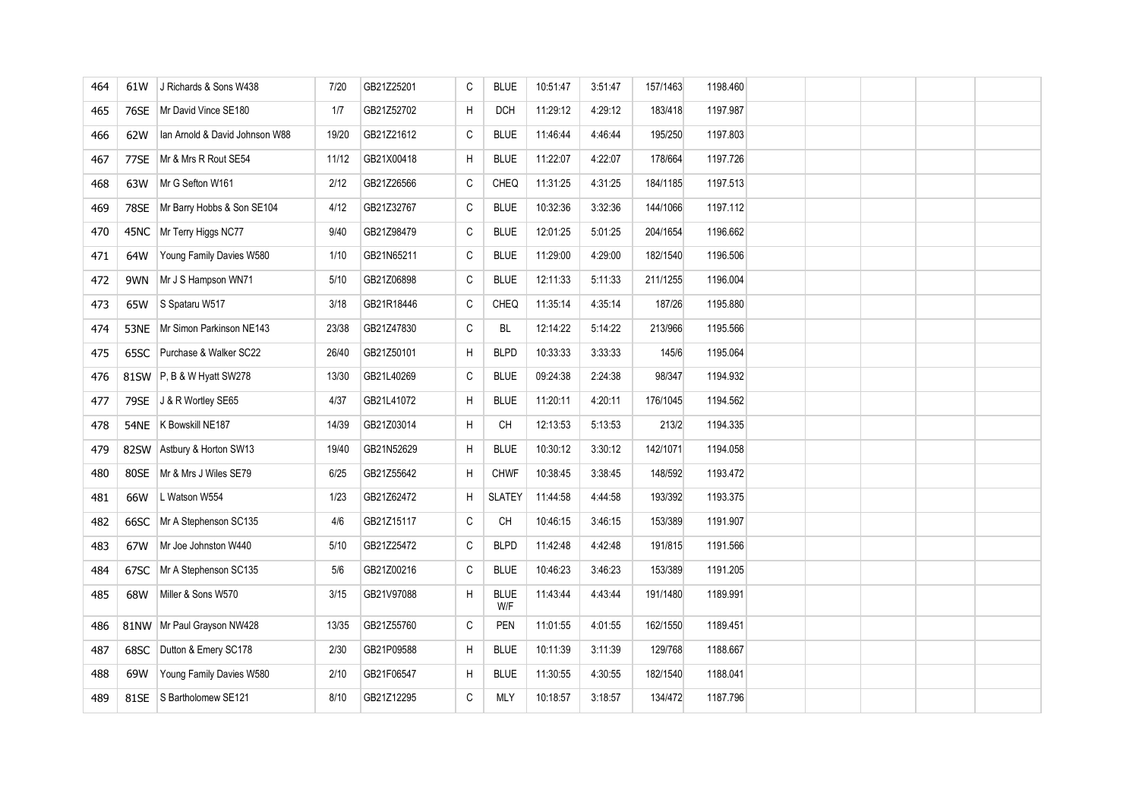| 464 | 61W  | J Richards & Sons W438         | 7/20  | GB21Z25201 | C | <b>BLUE</b>        | 10:51:47 | 3:51:47 | 157/1463 | 1198.460 |  |  |  |
|-----|------|--------------------------------|-------|------------|---|--------------------|----------|---------|----------|----------|--|--|--|
| 465 | 76SE | Mr David Vince SE180           | 1/7   | GB21Z52702 | H | <b>DCH</b>         | 11:29:12 | 4:29:12 | 183/418  | 1197.987 |  |  |  |
| 466 | 62W  | Ian Arnold & David Johnson W88 | 19/20 | GB21Z21612 | C | <b>BLUE</b>        | 11:46:44 | 4:46:44 | 195/250  | 1197.803 |  |  |  |
| 467 | 77SE | Mr & Mrs R Rout SE54           | 11/12 | GB21X00418 | H | <b>BLUE</b>        | 11:22:07 | 4:22:07 | 178/664  | 1197.726 |  |  |  |
| 468 | 63W  | Mr G Sefton W161               | 2/12  | GB21Z26566 | C | CHEQ               | 11:31:25 | 4:31:25 | 184/1185 | 1197.513 |  |  |  |
| 469 | 78SE | Mr Barry Hobbs & Son SE104     | 4/12  | GB21Z32767 | C | <b>BLUE</b>        | 10:32:36 | 3:32:36 | 144/1066 | 1197.112 |  |  |  |
| 470 | 45NC | Mr Terry Higgs NC77            | 9/40  | GB21Z98479 | C | <b>BLUE</b>        | 12:01:25 | 5:01:25 | 204/1654 | 1196.662 |  |  |  |
| 471 | 64W  | Young Family Davies W580       | 1/10  | GB21N65211 | C | <b>BLUE</b>        | 11:29:00 | 4:29:00 | 182/1540 | 1196.506 |  |  |  |
| 472 | 9WN  | Mr J S Hampson WN71            | 5/10  | GB21Z06898 | C | <b>BLUE</b>        | 12:11:33 | 5:11:33 | 211/1255 | 1196.004 |  |  |  |
| 473 | 65W  | S Spataru W517                 | 3/18  | GB21R18446 | C | CHEQ               | 11:35:14 | 4:35:14 | 187/26   | 1195.880 |  |  |  |
| 474 | 53NE | Mr Simon Parkinson NE143       | 23/38 | GB21Z47830 | C | BL                 | 12:14:22 | 5:14:22 | 213/966  | 1195.566 |  |  |  |
| 475 | 65SC | Purchase & Walker SC22         | 26/40 | GB21Z50101 | H | <b>BLPD</b>        | 10:33:33 | 3:33:33 | 145/6    | 1195.064 |  |  |  |
| 476 |      | 81SW P, B & W Hyatt SW278      | 13/30 | GB21L40269 | C | <b>BLUE</b>        | 09:24:38 | 2:24:38 | 98/347   | 1194.932 |  |  |  |
| 477 | 79SE | J & R Wortley SE65             | 4/37  | GB21L41072 | H | <b>BLUE</b>        | 11:20:11 | 4:20:11 | 176/1045 | 1194.562 |  |  |  |
| 478 | 54NE | K Bowskill NE187               | 14/39 | GB21Z03014 | H | CН                 | 12:13:53 | 5:13:53 | 213/2    | 1194.335 |  |  |  |
| 479 | 82SW | Astbury & Horton SW13          | 19/40 | GB21N52629 | H | <b>BLUE</b>        | 10:30:12 | 3:30:12 | 142/1071 | 1194.058 |  |  |  |
| 480 | 80SE | Mr & Mrs J Wiles SE79          | 6/25  | GB21Z55642 | H | <b>CHWF</b>        | 10:38:45 | 3:38:45 | 148/592  | 1193.472 |  |  |  |
| 481 | 66W  | L Watson W554                  | 1/23  | GB21Z62472 | H | <b>SLATEY</b>      | 11:44:58 | 4:44:58 | 193/392  | 1193.375 |  |  |  |
| 482 | 66SC | Mr A Stephenson SC135          | 4/6   | GB21Z15117 | C | CH                 | 10:46:15 | 3:46:15 | 153/389  | 1191.907 |  |  |  |
| 483 | 67W  | Mr Joe Johnston W440           | 5/10  | GB21Z25472 | C | <b>BLPD</b>        | 11:42:48 | 4:42:48 | 191/815  | 1191.566 |  |  |  |
| 484 | 67SC | Mr A Stephenson SC135          | 5/6   | GB21Z00216 | C | <b>BLUE</b>        | 10:46:23 | 3:46:23 | 153/389  | 1191.205 |  |  |  |
| 485 | 68W  | Miller & Sons W570             | 3/15  | GB21V97088 | Н | <b>BLUE</b><br>W/F | 11:43:44 | 4:43:44 | 191/1480 | 1189.991 |  |  |  |
| 486 |      | 81NW   Mr Paul Grayson NW428   | 13/35 | GB21Z55760 | C | PEN                | 11:01:55 | 4:01:55 | 162/1550 | 1189.451 |  |  |  |
| 487 | 68SC | Dutton & Emery SC178           | 2/30  | GB21P09588 | H | <b>BLUE</b>        | 10:11:39 | 3:11.39 | 129/768  | 1188.667 |  |  |  |
| 488 | 69W  | Young Family Davies W580       | 2/10  | GB21F06547 | H | <b>BLUE</b>        | 11:30:55 | 4:30:55 | 182/1540 | 1188.041 |  |  |  |
| 489 | 81SE | S Bartholomew SE121            | 8/10  | GB21Z12295 | C | <b>MLY</b>         | 10:18:57 | 3:18:57 | 134/472  | 1187.796 |  |  |  |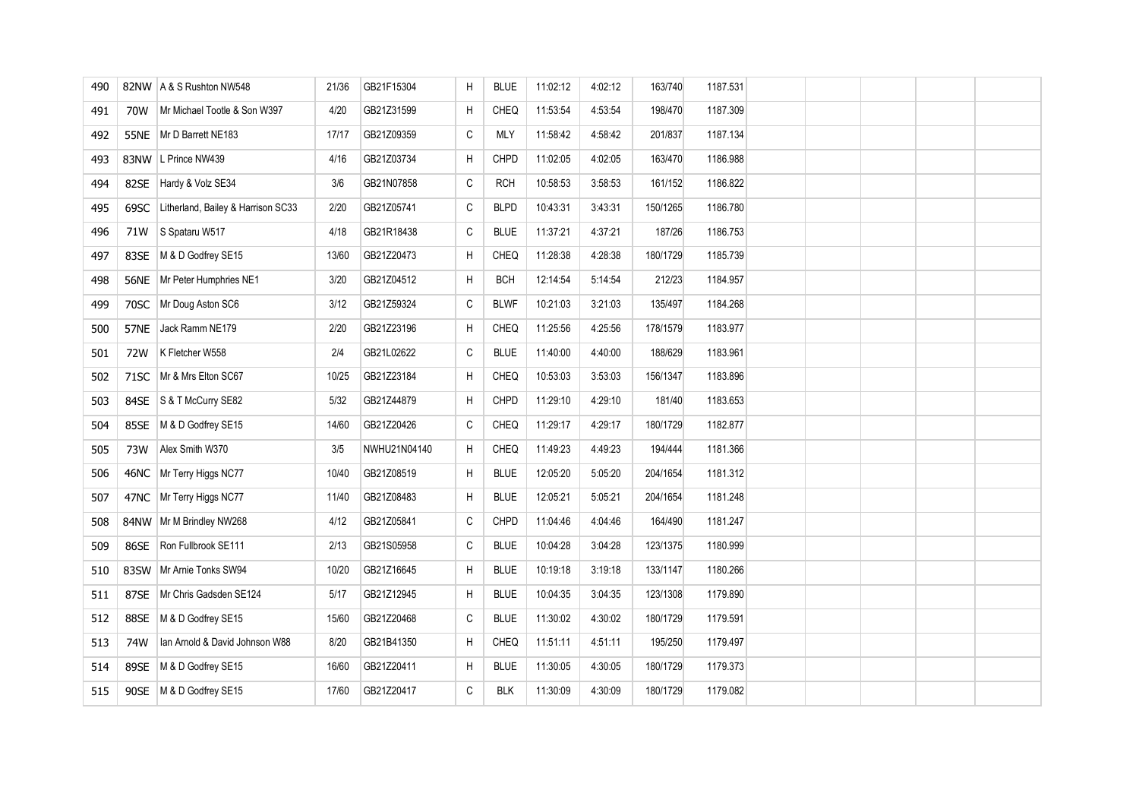| 490 |             | 82NW   A & S Rushton NW548         | 21/36 | GB21F15304   | H | <b>BLUE</b> | 11:02:12 | 4:02:12 | 163/740  | 1187.531 |  |  |  |
|-----|-------------|------------------------------------|-------|--------------|---|-------------|----------|---------|----------|----------|--|--|--|
| 491 | 70W         | Mr Michael Tootle & Son W397       | 4/20  | GB21Z31599   | H | <b>CHEQ</b> | 11:53:54 | 4:53:54 | 198/470  | 1187.309 |  |  |  |
| 492 | <b>55NE</b> | Mr D Barrett NE183                 | 17/17 | GB21Z09359   | C | <b>MLY</b>  | 11:58:42 | 4:58:42 | 201/837  | 1187.134 |  |  |  |
| 493 | 83NW        | L Prince NW439                     | 4/16  | GB21Z03734   | H | CHPD        | 11:02:05 | 4:02:05 | 163/470  | 1186.988 |  |  |  |
| 494 | 82SE        | Hardy & Volz SE34                  | 3/6   | GB21N07858   | C | RCH         | 10:58:53 | 3:58:53 | 161/152  | 1186.822 |  |  |  |
| 495 | 69SC        | Litherland, Bailey & Harrison SC33 | 2/20  | GB21Z05741   | C | <b>BLPD</b> | 10:43:31 | 3:43:31 | 150/1265 | 1186.780 |  |  |  |
| 496 | 71W         | S Spataru W517                     | 4/18  | GB21R18438   | C | <b>BLUE</b> | 11:37:21 | 4:37:21 | 187/26   | 1186.753 |  |  |  |
| 497 | 83SE        | M & D Godfrey SE15                 | 13/60 | GB21Z20473   | H | CHEQ        | 11:28:38 | 4:28:38 | 180/1729 | 1185.739 |  |  |  |
| 498 | <b>56NE</b> | Mr Peter Humphries NE1             | 3/20  | GB21Z04512   | H | <b>BCH</b>  | 12:14:54 | 5:14:54 | 212/23   | 1184.957 |  |  |  |
| 499 | 70SC        | Mr Doug Aston SC6                  | 3/12  | GB21Z59324   | C | <b>BLWF</b> | 10:21:03 | 3:21:03 | 135/497  | 1184.268 |  |  |  |
| 500 | <b>57NE</b> | Jack Ramm NE179                    | 2/20  | GB21Z23196   | H | <b>CHEQ</b> | 11:25:56 | 4:25:56 | 178/1579 | 1183.977 |  |  |  |
| 501 | 72W         | K Fletcher W558                    | 2/4   | GB21L02622   | C | <b>BLUE</b> | 11:40:00 | 4:40:00 | 188/629  | 1183.961 |  |  |  |
| 502 | 71SC        | Mr & Mrs Elton SC67                | 10/25 | GB21Z23184   | H | CHEQ        | 10:53:03 | 3:53:03 | 156/1347 | 1183.896 |  |  |  |
| 503 | 84SE        | S & T McCurry SE82                 | 5/32  | GB21Z44879   | H | CHPD        | 11:29:10 | 4:29:10 | 181/40   | 1183.653 |  |  |  |
| 504 | 85SE        | M & D Godfrey SE15                 | 14/60 | GB21Z20426   | C | CHEQ        | 11:29:17 | 4:29:17 | 180/1729 | 1182.877 |  |  |  |
| 505 | 73W         | Alex Smith W370                    | 3/5   | NWHU21N04140 | H | CHEQ        | 11:49:23 | 4:49:23 | 194/444  | 1181.366 |  |  |  |
| 506 | 46NC        | Mr Terry Higgs NC77                | 10/40 | GB21Z08519   | H | <b>BLUE</b> | 12:05:20 | 5:05:20 | 204/1654 | 1181.312 |  |  |  |
| 507 | 47NC        | Mr Terry Higgs NC77                | 11/40 | GB21Z08483   | H | <b>BLUE</b> | 12:05:21 | 5:05:21 | 204/1654 | 1181.248 |  |  |  |
| 508 |             | 84NW Mr M Brindley NW268           | 4/12  | GB21Z05841   | C | CHPD        | 11:04:46 | 4:04:46 | 164/490  | 1181.247 |  |  |  |
| 509 | 86SE        | Ron Fullbrook SE111                | 2/13  | GB21S05958   | C | <b>BLUE</b> | 10:04:28 | 3:04:28 | 123/1375 | 1180.999 |  |  |  |
| 510 | 83SW        | Mr Arnie Tonks SW94                | 10/20 | GB21Z16645   | H | <b>BLUE</b> | 10:19:18 | 3:19:18 | 133/1147 | 1180.266 |  |  |  |
| 511 | 87SE        | Mr Chris Gadsden SE124             | 5/17  | GB21Z12945   | H | <b>BLUE</b> | 10:04:35 | 3:04:35 | 123/1308 | 1179.890 |  |  |  |
| 512 | 88SE        | M & D Godfrey SE15                 | 15/60 | GB21Z20468   | C | <b>BLUE</b> | 11:30:02 | 4:30:02 | 180/1729 | 1179.591 |  |  |  |
| 513 | 74W         | Ian Arnold & David Johnson W88     | 8/20  | GB21B41350   | H | CHEQ        | 11:51:11 | 4:51:11 | 195/250  | 1179.497 |  |  |  |
| 514 | 89SE        | M & D Godfrey SE15                 | 16/60 | GB21Z20411   | H | <b>BLUE</b> | 11:30:05 | 4:30:05 | 180/1729 | 1179.373 |  |  |  |
| 515 | 90SE        | M & D Godfrey SE15                 | 17/60 | GB21Z20417   | C | <b>BLK</b>  | 11:30:09 | 4:30:09 | 180/1729 | 1179.082 |  |  |  |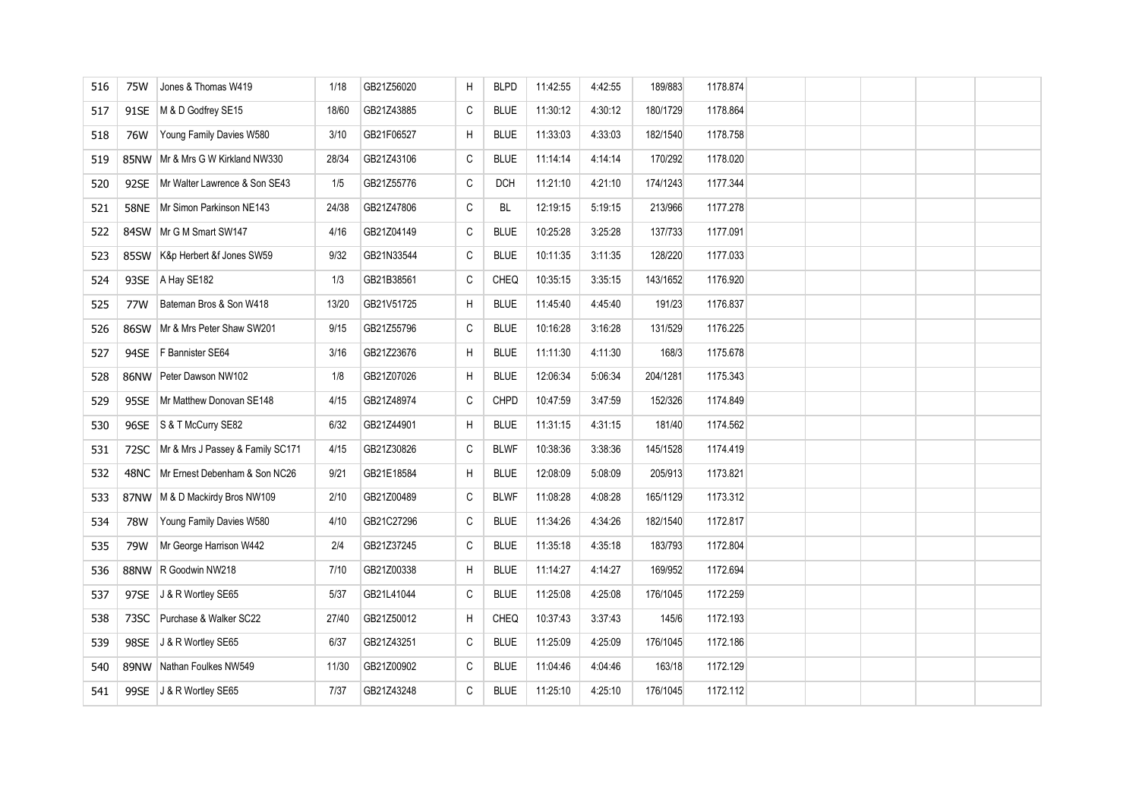| 516 | 75W         | Jones & Thomas W419              | 1/18  | GB21Z56020 | H | <b>BLPD</b> | 11:42:55 | 4:42:55 | 189/883  | 1178.874 |  |  |  |
|-----|-------------|----------------------------------|-------|------------|---|-------------|----------|---------|----------|----------|--|--|--|
| 517 | 91SE        | M & D Godfrey SE15               | 18/60 | GB21Z43885 | C | <b>BLUE</b> | 11:30:12 | 4:30:12 | 180/1729 | 1178.864 |  |  |  |
| 518 | 76W         | Young Family Davies W580         | 3/10  | GB21F06527 | H | <b>BLUE</b> | 11:33:03 | 4:33:03 | 182/1540 | 1178.758 |  |  |  |
| 519 | <b>85NW</b> | Mr & Mrs G W Kirkland NW330      | 28/34 | GB21Z43106 | C | <b>BLUE</b> | 11:14:14 | 4:14:14 | 170/292  | 1178.020 |  |  |  |
| 520 | 92SE        | Mr Walter Lawrence & Son SE43    | 1/5   | GB21Z55776 | C | DCH         | 11:21:10 | 4:21:10 | 174/1243 | 1177.344 |  |  |  |
| 521 | <b>58NE</b> | Mr Simon Parkinson NE143         | 24/38 | GB21Z47806 | C | BL          | 12:19:15 | 5:19:15 | 213/966  | 1177.278 |  |  |  |
| 522 | 84SW        | Mr G M Smart SW147               | 4/16  | GB21Z04149 | C | <b>BLUE</b> | 10:25:28 | 3:25:28 | 137/733  | 1177.091 |  |  |  |
| 523 | 85SW        | K&p Herbert &f Jones SW59        | 9/32  | GB21N33544 | C | <b>BLUE</b> | 10:11:35 | 3:11:35 | 128/220  | 1177.033 |  |  |  |
| 524 | 93SE        | A Hay SE182                      | 1/3   | GB21B38561 | C | <b>CHEQ</b> | 10:35:15 | 3:35:15 | 143/1652 | 1176.920 |  |  |  |
| 525 | 77W         | Bateman Bros & Son W418          | 13/20 | GB21V51725 | H | <b>BLUE</b> | 11:45:40 | 4:45:40 | 191/23   | 1176.837 |  |  |  |
| 526 | 86SW        | Mr & Mrs Peter Shaw SW201        | 9/15  | GB21Z55796 | C | <b>BLUE</b> | 10:16:28 | 3:16:28 | 131/529  | 1176.225 |  |  |  |
| 527 | 94SE        | <b>F</b> Bannister SE64          | 3/16  | GB21Z23676 | H | <b>BLUE</b> | 11:11:30 | 4:11:30 | 168/3    | 1175.678 |  |  |  |
| 528 | 86NW        | Peter Dawson NW102               | 1/8   | GB21Z07026 | H | <b>BLUE</b> | 12:06:34 | 5:06:34 | 204/1281 | 1175.343 |  |  |  |
| 529 | 95SE        | Mr Matthew Donovan SE148         | 4/15  | GB21Z48974 | C | CHPD        | 10:47:59 | 3:47:59 | 152/326  | 1174.849 |  |  |  |
| 530 | 96SE        | S & T McCurry SE82               | 6/32  | GB21Z44901 | H | <b>BLUE</b> | 11:31:15 | 4:31:15 | 181/40   | 1174.562 |  |  |  |
| 531 | 72SC        | Mr & Mrs J Passey & Family SC171 | 4/15  | GB21Z30826 | C | <b>BLWF</b> | 10:38:36 | 3:38:36 | 145/1528 | 1174.419 |  |  |  |
| 532 | 48NC        | Mr Ernest Debenham & Son NC26    | 9/21  | GB21E18584 | H | <b>BLUE</b> | 12:08:09 | 5:08:09 | 205/913  | 1173.821 |  |  |  |
| 533 | 87NW        | M & D Mackirdy Bros NW109        | 2/10  | GB21Z00489 | C | <b>BLWF</b> | 11:08:28 | 4:08:28 | 165/1129 | 1173.312 |  |  |  |
| 534 | 78W         | Young Family Davies W580         | 4/10  | GB21C27296 | C | <b>BLUE</b> | 11:34:26 | 4:34:26 | 182/1540 | 1172.817 |  |  |  |
| 535 | 79W         | Mr George Harrison W442          | 2/4   | GB21Z37245 | C | <b>BLUE</b> | 11:35:18 | 4:35:18 | 183/793  | 1172.804 |  |  |  |
| 536 | <b>88NW</b> | R Goodwin NW218                  | 7/10  | GB21Z00338 | H | <b>BLUE</b> | 11:14:27 | 4:14:27 | 169/952  | 1172.694 |  |  |  |
| 537 | 97SE        | J & R Wortley SE65               | 5/37  | GB21L41044 | C | <b>BLUE</b> | 11:25:08 | 4:25:08 | 176/1045 | 1172.259 |  |  |  |
| 538 | 73SC        | Purchase & Walker SC22           | 27/40 | GB21Z50012 | H | CHEQ        | 10:37:43 | 3:37:43 | 145/6    | 1172.193 |  |  |  |
| 539 | 98SE        | J & R Wortley SE65               | 6/37  | GB21Z43251 | C | <b>BLUE</b> | 11:25:09 | 4:25:09 | 176/1045 | 1172.186 |  |  |  |
| 540 | <b>89NW</b> | Nathan Foulkes NW549             | 11/30 | GB21Z00902 | C | <b>BLUE</b> | 11:04:46 | 4:04:46 | 163/18   | 1172.129 |  |  |  |
| 541 | 99SE        | J & R Wortley SE65               | 7/37  | GB21Z43248 | C | <b>BLUE</b> | 11:25:10 | 4:25:10 | 176/1045 | 1172.112 |  |  |  |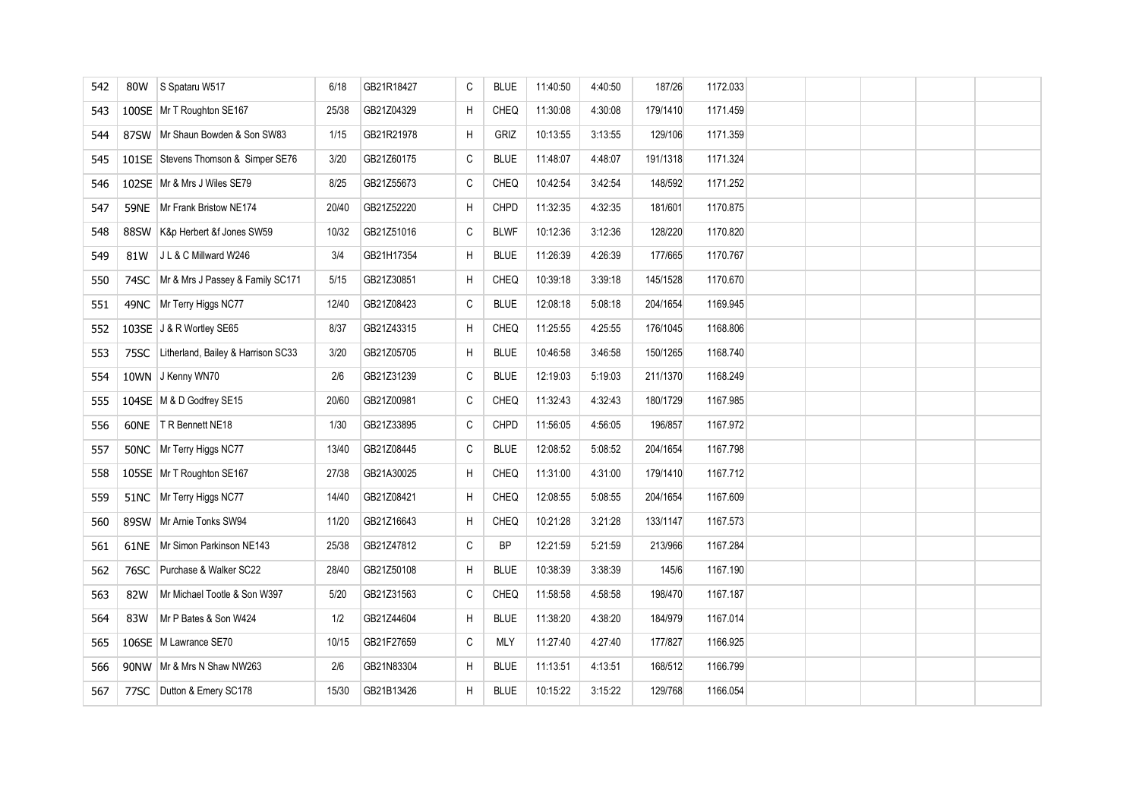| 542 | 80W         | S Spataru W517                     | 6/18  | GB21R18427 | C | <b>BLUE</b> | 11:40:50 | 4:40:50 | 187/26   | 1172.033 |  |  |  |
|-----|-------------|------------------------------------|-------|------------|---|-------------|----------|---------|----------|----------|--|--|--|
| 543 |             | 100SE Mr T Roughton SE167          | 25/38 | GB21Z04329 | H | <b>CHEQ</b> | 11:30:08 | 4:30:08 | 179/1410 | 1171.459 |  |  |  |
| 544 |             | 87SW   Mr Shaun Bowden & Son SW83  | 1/15  | GB21R21978 | H | GRIZ        | 10:13:55 | 3:13:55 | 129/106  | 1171.359 |  |  |  |
| 545 | 101SE       | Stevens Thomson & Simper SE76      | 3/20  | GB21Z60175 | C | <b>BLUE</b> | 11:48:07 | 4:48:07 | 191/1318 | 1171.324 |  |  |  |
| 546 |             | 102SE Mr & Mrs J Wiles SE79        | 8/25  | GB21Z55673 | C | CHEQ        | 10:42:54 | 3:42:54 | 148/592  | 1171.252 |  |  |  |
| 547 | <b>59NE</b> | Mr Frank Bristow NE174             | 20/40 | GB21Z52220 | H | CHPD        | 11:32:35 | 4:32:35 | 181/601  | 1170.875 |  |  |  |
| 548 | <b>88SW</b> | K&p Herbert &f Jones SW59          | 10/32 | GB21Z51016 | C | <b>BLWF</b> | 10:12:36 | 3:12:36 | 128/220  | 1170.820 |  |  |  |
| 549 | 81W         | J L & C Millward W246              | 3/4   | GB21H17354 | H | <b>BLUE</b> | 11:26:39 | 4:26:39 | 177/665  | 1170.767 |  |  |  |
| 550 | 74SC        | Mr & Mrs J Passey & Family SC171   | 5/15  | GB21Z30851 | H | <b>CHEQ</b> | 10:39:18 | 3:39:18 | 145/1528 | 1170.670 |  |  |  |
| 551 | 49NC        | Mr Terry Higgs NC77                | 12/40 | GB21Z08423 | C | <b>BLUE</b> | 12:08:18 | 5:08:18 | 204/1654 | 1169.945 |  |  |  |
| 552 |             | 103SE J & R Wortley SE65           | 8/37  | GB21Z43315 | H | <b>CHEQ</b> | 11:25:55 | 4:25:55 | 176/1045 | 1168.806 |  |  |  |
| 553 | 75SC        | Litherland, Bailey & Harrison SC33 | 3/20  | GB21Z05705 | H | <b>BLUE</b> | 10:46:58 | 3:46:58 | 150/1265 | 1168.740 |  |  |  |
| 554 | 10WN        | J Kenny WN70                       | 2/6   | GB21Z31239 | C | <b>BLUE</b> | 12:19:03 | 5:19:03 | 211/1370 | 1168.249 |  |  |  |
| 555 |             | 104SE   M & D Godfrey SE15         | 20/60 | GB21Z00981 | C | CHEQ        | 11:32:43 | 4:32:43 | 180/1729 | 1167.985 |  |  |  |
| 556 | 60NE        | T R Bennett NE18                   | 1/30  | GB21Z33895 | C | CHPD        | 11:56:05 | 4:56:05 | 196/857  | 1167.972 |  |  |  |
| 557 | <b>50NC</b> | Mr Terry Higgs NC77                | 13/40 | GB21Z08445 | C | <b>BLUE</b> | 12:08:52 | 5:08:52 | 204/1654 | 1167.798 |  |  |  |
| 558 |             | 105SE   Mr T Roughton SE167        | 27/38 | GB21A30025 | H | <b>CHEQ</b> | 11:31:00 | 4:31:00 | 179/1410 | 1167.712 |  |  |  |
| 559 | 51NC        | Mr Terry Higgs NC77                | 14/40 | GB21Z08421 | H | <b>CHEQ</b> | 12:08:55 | 5:08:55 | 204/1654 | 1167.609 |  |  |  |
| 560 |             | 89SW   Mr Arnie Tonks SW94         | 11/20 | GB21Z16643 | H | <b>CHEQ</b> | 10:21:28 | 3:21:28 | 133/1147 | 1167.573 |  |  |  |
| 561 | 61NE        | Mr Simon Parkinson NE143           | 25/38 | GB21Z47812 | C | <b>BP</b>   | 12:21:59 | 5:21:59 | 213/966  | 1167.284 |  |  |  |
| 562 | 76SC        | Purchase & Walker SC22             | 28/40 | GB21Z50108 | H | <b>BLUE</b> | 10:38:39 | 3:38:39 | 145/6    | 1167.190 |  |  |  |
| 563 | 82W         | Mr Michael Tootle & Son W397       | 5/20  | GB21Z31563 | C | <b>CHEQ</b> | 11:58:58 | 4:58:58 | 198/470  | 1167.187 |  |  |  |
| 564 | 83W         | Mr P Bates & Son W424              | 1/2   | GB21Z44604 | H | <b>BLUE</b> | 11:38:20 | 4:38:20 | 184/979  | 1167.014 |  |  |  |
| 565 |             | 106SE   M Lawrance SE70            | 10/15 | GB21F27659 | C | MLY         | 11:27:40 | 4:27:40 | 177/827  | 1166.925 |  |  |  |
| 566 | <b>90NW</b> | Mr & Mrs N Shaw NW263              | 2/6   | GB21N83304 | H | <b>BLUE</b> | 11:13:51 | 4:13:51 | 168/512  | 1166.799 |  |  |  |
| 567 | 77SC        | Dutton & Emery SC178               | 15/30 | GB21B13426 | H | <b>BLUE</b> | 10:15:22 | 3:15:22 | 129/768  | 1166.054 |  |  |  |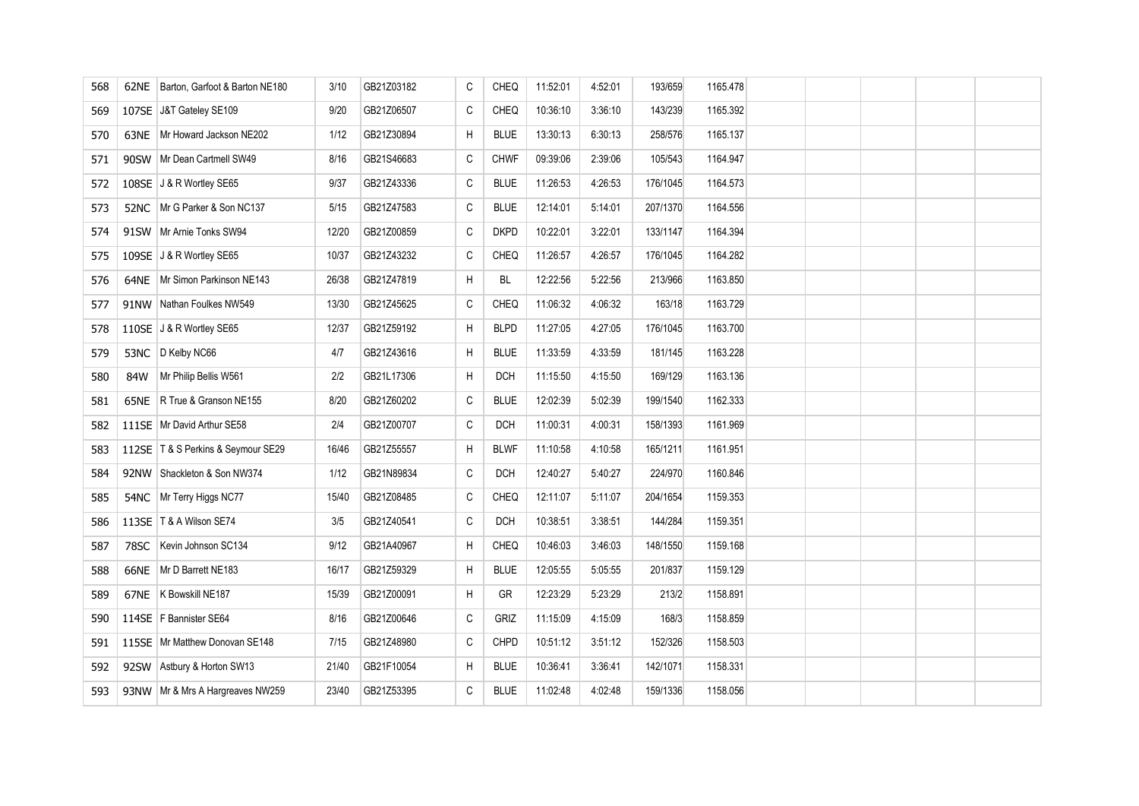| 568 | 62NE | Barton, Garfoot & Barton NE180       | 3/10  | GB21Z03182 | C | <b>CHEQ</b> | 11:52:01 | 4:52:01 | 193/659  | 1165.478 |  |  |  |
|-----|------|--------------------------------------|-------|------------|---|-------------|----------|---------|----------|----------|--|--|--|
| 569 |      | 107SE J&T Gateley SE109              | 9/20  | GB21Z06507 | C | CHEQ        | 10:36:10 | 3:36:10 | 143/239  | 1165.392 |  |  |  |
| 570 | 63NE | Mr Howard Jackson NE202              | 1/12  | GB21Z30894 | H | <b>BLUE</b> | 13:30:13 | 6:30:13 | 258/576  | 1165.137 |  |  |  |
| 571 | 90SW | Mr Dean Cartmell SW49                | 8/16  | GB21S46683 | С | <b>CHWF</b> | 09:39:06 | 2:39:06 | 105/543  | 1164.947 |  |  |  |
| 572 |      | 108SE J & R Wortley SE65             | 9/37  | GB21Z43336 | С | <b>BLUE</b> | 11:26:53 | 4:26:53 | 176/1045 | 1164.573 |  |  |  |
| 573 | 52NC | Mr G Parker & Son NC137              | 5/15  | GB21Z47583 | C | <b>BLUE</b> | 12:14:01 | 5:14:01 | 207/1370 | 1164.556 |  |  |  |
| 574 |      | 91SW Mr Arnie Tonks SW94             | 12/20 | GB21Z00859 | С | <b>DKPD</b> | 10:22:01 | 3:22:01 | 133/1147 | 1164.394 |  |  |  |
| 575 |      | 109SE J & R Wortley SE65             | 10/37 | GB21Z43232 | С | CHEQ        | 11:26:57 | 4:26:57 | 176/1045 | 1164.282 |  |  |  |
| 576 | 64NE | Mr Simon Parkinson NE143             | 26/38 | GB21Z47819 | H | BL          | 12:22:56 | 5:22:56 | 213/966  | 1163.850 |  |  |  |
| 577 |      | 91NW Nathan Foulkes NW549            | 13/30 | GB21Z45625 | С | CHEQ        | 11:06:32 | 4:06:32 | 163/18   | 1163.729 |  |  |  |
| 578 |      | 110SE J & R Wortley SE65             | 12/37 | GB21Z59192 | H | <b>BLPD</b> | 11:27:05 | 4:27:05 | 176/1045 | 1163.700 |  |  |  |
| 579 |      | 53NC D Kelby NC66                    | 4/7   | GB21Z43616 | Н | <b>BLUE</b> | 11:33:59 | 4:33:59 | 181/145  | 1163.228 |  |  |  |
| 580 | 84W  | Mr Philip Bellis W561                | 2/2   | GB21L17306 | H | <b>DCH</b>  | 11:15:50 | 4:15:50 | 169/129  | 1163.136 |  |  |  |
| 581 | 65NE | R True & Granson NE155               | 8/20  | GB21Z60202 | С | <b>BLUE</b> | 12:02:39 | 5:02:39 | 199/1540 | 1162.333 |  |  |  |
| 582 |      | 111SE Mr David Arthur SE58           | 2/4   | GB21Z00707 | С | <b>DCH</b>  | 11:00:31 | 4:00:31 | 158/1393 | 1161.969 |  |  |  |
| 583 |      | 112SE   T & S Perkins & Seymour SE29 | 16/46 | GB21Z55557 | H | <b>BLWF</b> | 11:10:58 | 4:10:58 | 165/1211 | 1161.951 |  |  |  |
| 584 |      | 92NW Shackleton & Son NW374          | 1/12  | GB21N89834 | C | <b>DCH</b>  | 12:40:27 | 5:40:27 | 224/970  | 1160.846 |  |  |  |
| 585 | 54NC | Mr Terry Higgs NC77                  | 15/40 | GB21Z08485 | С | <b>CHEQ</b> | 12:11:07 | 5:11:07 | 204/1654 | 1159.353 |  |  |  |
| 586 |      | 113SE   T & A Wilson SE74            | 3/5   | GB21Z40541 | С | <b>DCH</b>  | 10:38:51 | 3:38:51 | 144/284  | 1159.351 |  |  |  |
| 587 | 78SC | Kevin Johnson SC134                  | 9/12  | GB21A40967 | H | <b>CHEQ</b> | 10:46:03 | 3:46:03 | 148/1550 | 1159.168 |  |  |  |
| 588 | 66NE | Mr D Barrett NE183                   | 16/17 | GB21Z59329 | H | <b>BLUE</b> | 12:05:55 | 5:05:55 | 201/837  | 1159.129 |  |  |  |
| 589 | 67NE | K Bowskill NE187                     | 15/39 | GB21Z00091 | H | GR          | 12:23:29 | 5:23:29 | 213/2    | 1158.891 |  |  |  |
| 590 |      | 114SE   F Bannister SE64             | 8/16  | GB21Z00646 | С | GRIZ        | 11:15:09 | 4:15:09 | 168/3    | 1158.859 |  |  |  |
| 591 |      | 115SE Mr Matthew Donovan SE148       | 7/15  | GB21Z48980 | C | <b>CHPD</b> | 10:51:12 | 3:51:12 | 152/326  | 1158.503 |  |  |  |
| 592 |      | 92SW Astbury & Horton SW13           | 21/40 | GB21F10054 | H | <b>BLUE</b> | 10:36:41 | 3:36:41 | 142/1071 | 1158.331 |  |  |  |
| 593 |      | 93NW   Mr & Mrs A Hargreaves NW259   | 23/40 | GB21Z53395 | C | <b>BLUE</b> | 11:02:48 | 4:02:48 | 159/1336 | 1158.056 |  |  |  |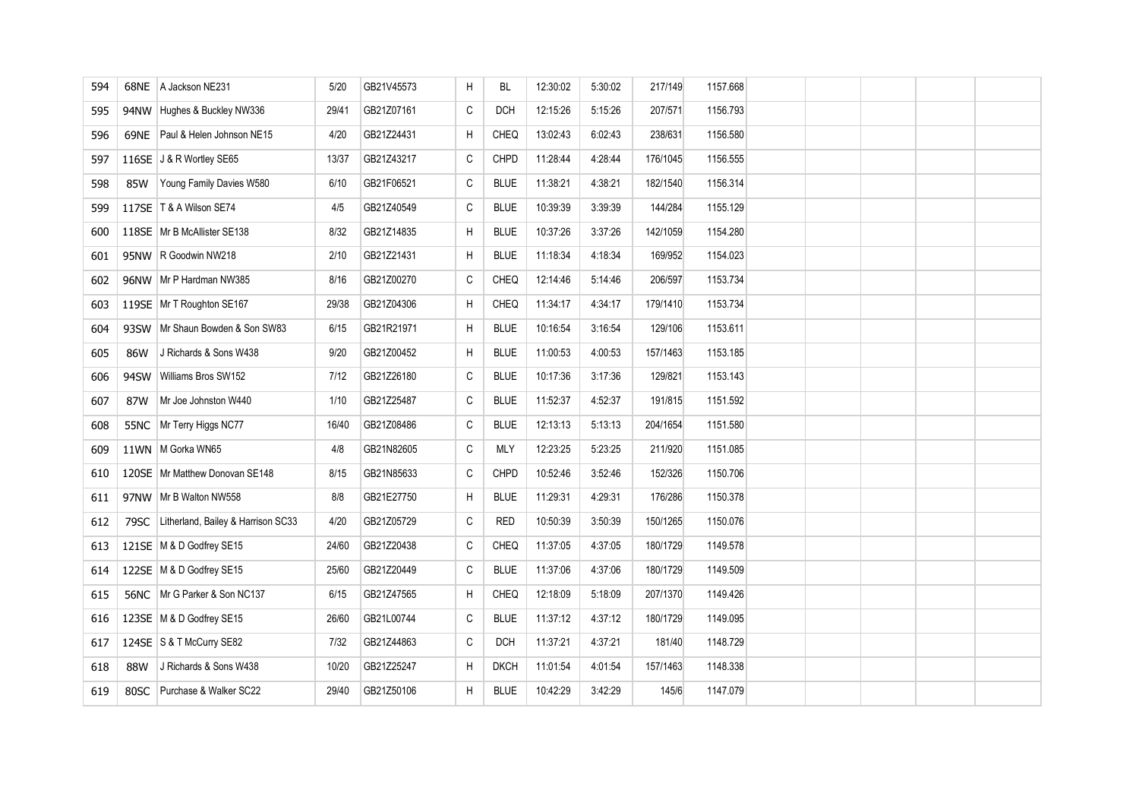| 594 | 68NE        | A Jackson NE231                    | 5/20  | GB21V45573 | Η | BL          | 12:30:02 | 5:30:02 | 217/149  | 1157.668 |  |  |  |
|-----|-------------|------------------------------------|-------|------------|---|-------------|----------|---------|----------|----------|--|--|--|
| 595 | 94NW        | Hughes & Buckley NW336             | 29/41 | GB21Z07161 | C | <b>DCH</b>  | 12:15:26 | 5:15:26 | 207/571  | 1156.793 |  |  |  |
| 596 | 69NE        | Paul & Helen Johnson NE15          | 4/20  | GB21Z24431 | H | <b>CHEQ</b> | 13:02:43 | 6:02:43 | 238/631  | 1156.580 |  |  |  |
| 597 |             | 116SE J & R Wortley SE65           | 13/37 | GB21Z43217 | C | CHPD        | 11:28:44 | 4:28:44 | 176/1045 | 1156.555 |  |  |  |
| 598 | 85W         | Young Family Davies W580           | 6/10  | GB21F06521 | C | <b>BLUE</b> | 11:38:21 | 4:38:21 | 182/1540 | 1156.314 |  |  |  |
| 599 |             | 117SE   T & A Wilson SE74          | 4/5   | GB21Z40549 | C | <b>BLUE</b> | 10:39:39 | 3:39:39 | 144/284  | 1155.129 |  |  |  |
| 600 |             | 118SE Mr B McAllister SE138        | 8/32  | GB21Z14835 | H | <b>BLUE</b> | 10:37:26 | 3:37:26 | 142/1059 | 1154.280 |  |  |  |
| 601 |             | 95NW R Goodwin NW218               | 2/10  | GB21Z21431 | H | <b>BLUE</b> | 11:18:34 | 4:18:34 | 169/952  | 1154.023 |  |  |  |
| 602 | 96NW        | Mr P Hardman NW385                 | 8/16  | GB21Z00270 | C | <b>CHEQ</b> | 12:14:46 | 5:14:46 | 206/597  | 1153.734 |  |  |  |
| 603 |             | 119SE Mr T Roughton SE167          | 29/38 | GB21Z04306 | H | CHEQ        | 11:34:17 | 4:34:17 | 179/1410 | 1153.734 |  |  |  |
| 604 | 93SW        | Mr Shaun Bowden & Son SW83         | 6/15  | GB21R21971 | H | <b>BLUE</b> | 10:16:54 | 3:16:54 | 129/106  | 1153.611 |  |  |  |
| 605 | 86W         | J Richards & Sons W438             | 9/20  | GB21Z00452 | H | <b>BLUE</b> | 11:00:53 | 4:00:53 | 157/1463 | 1153.185 |  |  |  |
| 606 | 94SW        | Williams Bros SW152                | 7/12  | GB21Z26180 | C | <b>BLUE</b> | 10:17:36 | 3:17:36 | 129/821  | 1153.143 |  |  |  |
| 607 | 87W         | Mr Joe Johnston W440               | 1/10  | GB21Z25487 | C | <b>BLUE</b> | 11:52:37 | 4:52:37 | 191/815  | 1151.592 |  |  |  |
| 608 | <b>55NC</b> | Mr Terry Higgs NC77                | 16/40 | GB21Z08486 | C | <b>BLUE</b> | 12:13:13 | 5:13:13 | 204/1654 | 1151.580 |  |  |  |
| 609 |             | 11WN M Gorka WN65                  | 4/8   | GB21N82605 | C | <b>MLY</b>  | 12:23:25 | 5:23:25 | 211/920  | 1151.085 |  |  |  |
| 610 |             | 120SE Mr Matthew Donovan SE148     | 8/15  | GB21N85633 | C | CHPD        | 10:52:46 | 3:52:46 | 152/326  | 1150.706 |  |  |  |
| 611 |             | 97NW   Mr B Walton NW558           | 8/8   | GB21E27750 | H | <b>BLUE</b> | 11:29:31 | 4:29:31 | 176/286  | 1150.378 |  |  |  |
| 612 | 79SC        | Litherland, Bailey & Harrison SC33 | 4/20  | GB21Z05729 | C | <b>RED</b>  | 10:50:39 | 3:50:39 | 150/1265 | 1150.076 |  |  |  |
| 613 |             | 121SE M & D Godfrey SE15           | 24/60 | GB21Z20438 | C | <b>CHEQ</b> | 11:37:05 | 4:37:05 | 180/1729 | 1149.578 |  |  |  |
| 614 |             | 122SE   M & D Godfrey SE15         | 25/60 | GB21Z20449 | C | <b>BLUE</b> | 11:37:06 | 4:37:06 | 180/1729 | 1149.509 |  |  |  |
| 615 | <b>56NC</b> | Mr G Parker & Son NC137            | 6/15  | GB21Z47565 | H | CHEQ        | 12:18:09 | 5:18:09 | 207/1370 | 1149.426 |  |  |  |
| 616 |             | 123SE   M & D Godfrey SE15         | 26/60 | GB21L00744 | C | <b>BLUE</b> | 11:37:12 | 4:37:12 | 180/1729 | 1149.095 |  |  |  |
| 617 |             | 124SE S & T McCurry SE82           | 7/32  | GB21Z44863 | C | DCH         | 11:37:21 | 4:37:21 | 181/40   | 1148.729 |  |  |  |
| 618 | 88W         | J Richards & Sons W438             | 10/20 | GB21Z25247 | H | <b>DKCH</b> | 11:01:54 | 4:01:54 | 157/1463 | 1148.338 |  |  |  |
| 619 | 80SC        | Purchase & Walker SC22             | 29/40 | GB21Z50106 | H | <b>BLUE</b> | 10:42:29 | 3:42:29 | 145/6    | 1147.079 |  |  |  |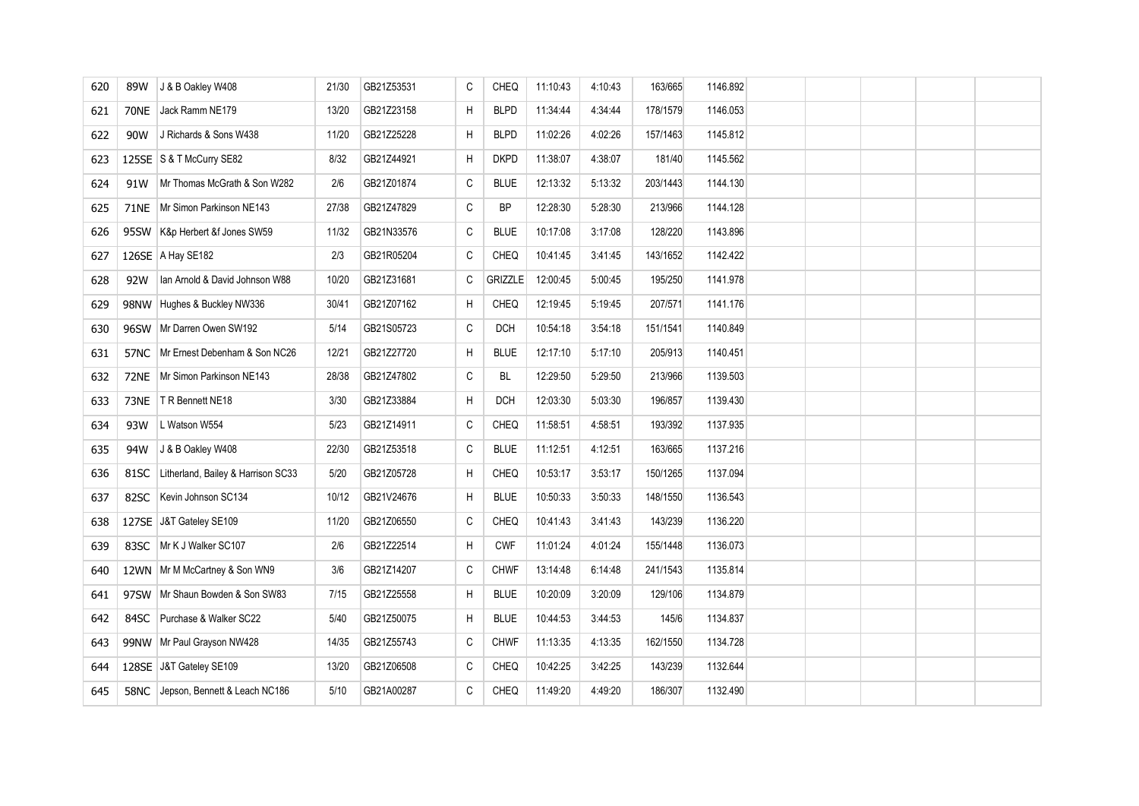| 620 | 89W         | J & B Oakley W408                  | 21/30 | GB21Z53531 | C            | <b>CHEQ</b> | 11:10:43 | 4:10:43 | 163/665  | 1146.892 |  |  |  |
|-----|-------------|------------------------------------|-------|------------|--------------|-------------|----------|---------|----------|----------|--|--|--|
| 621 | <b>70NE</b> | Jack Ramm NE179                    | 13/20 | GB21Z23158 | H            | <b>BLPD</b> | 11:34:44 | 4:34:44 | 178/1579 | 1146.053 |  |  |  |
| 622 | 90W         | J Richards & Sons W438             | 11/20 | GB21Z25228 | H            | <b>BLPD</b> | 11:02:26 | 4:02:26 | 157/1463 | 1145.812 |  |  |  |
| 623 |             | 125SE S & T McCurry SE82           | 8/32  | GB21Z44921 | H            | <b>DKPD</b> | 11:38:07 | 4:38:07 | 181/40   | 1145.562 |  |  |  |
| 624 | 91W         | Mr Thomas McGrath & Son W282       | 2/6   | GB21Z01874 | C            | <b>BLUE</b> | 12:13:32 | 5:13:32 | 203/1443 | 1144.130 |  |  |  |
| 625 | <b>71NE</b> | Mr Simon Parkinson NE143           | 27/38 | GB21Z47829 | C            | <b>BP</b>   | 12:28:30 | 5:28:30 | 213/966  | 1144.128 |  |  |  |
| 626 | 95SW        | K&p Herbert &f Jones SW59          | 11/32 | GB21N33576 | C            | <b>BLUE</b> | 10:17:08 | 3:17:08 | 128/220  | 1143.896 |  |  |  |
| 627 |             | 126SE A Hay SE182                  | 2/3   | GB21R05204 | C            | CHEQ        | 10:41:45 | 3:41:45 | 143/1652 | 1142.422 |  |  |  |
| 628 | 92W         | Ian Arnold & David Johnson W88     | 10/20 | GB21Z31681 | C            | GRIZZLE     | 12:00:45 | 5:00:45 | 195/250  | 1141.978 |  |  |  |
| 629 | <b>98NW</b> | Hughes & Buckley NW336             | 30/41 | GB21Z07162 | H            | CHEQ        | 12:19:45 | 5:19:45 | 207/571  | 1141.176 |  |  |  |
| 630 | 96SW        | Mr Darren Owen SW192               | 5/14  | GB21S05723 | $\mathtt{C}$ | <b>DCH</b>  | 10:54:18 | 3:54:18 | 151/1541 | 1140.849 |  |  |  |
| 631 | 57NC        | Mr Ernest Debenham & Son NC26      | 12/21 | GB21Z27720 | H            | <b>BLUE</b> | 12:17:10 | 5:17:10 | 205/913  | 1140.451 |  |  |  |
| 632 | 72NE        | Mr Simon Parkinson NE143           | 28/38 | GB21Z47802 | C            | BL          | 12:29:50 | 5:29:50 | 213/966  | 1139.503 |  |  |  |
| 633 | 73NE        | T R Bennett NE18                   | 3/30  | GB21Z33884 | H            | <b>DCH</b>  | 12:03:30 | 5:03:30 | 196/857  | 1139.430 |  |  |  |
| 634 | 93W         | L Watson W554                      | 5/23  | GB21Z14911 | C            | CHEQ        | 11:58:51 | 4:58:51 | 193/392  | 1137.935 |  |  |  |
| 635 | 94W         | J & B Oakley W408                  | 22/30 | GB21Z53518 | C            | <b>BLUE</b> | 11:12:51 | 4:12:51 | 163/665  | 1137.216 |  |  |  |
| 636 | 81SC        | Litherland, Bailey & Harrison SC33 | 5/20  | GB21Z05728 | H            | <b>CHEQ</b> | 10:53:17 | 3:53:17 | 150/1265 | 1137.094 |  |  |  |
| 637 | 82SC        | Kevin Johnson SC134                | 10/12 | GB21V24676 | H            | <b>BLUE</b> | 10:50:33 | 3:50:33 | 148/1550 | 1136.543 |  |  |  |
| 638 | 127SE       | J&T Gateley SE109                  | 11/20 | GB21Z06550 | C            | CHEQ        | 10:41:43 | 3:41:43 | 143/239  | 1136.220 |  |  |  |
| 639 | 83SC        | Mr K J Walker SC107                | 2/6   | GB21Z22514 | H            | <b>CWF</b>  | 11:01:24 | 4:01:24 | 155/1448 | 1136.073 |  |  |  |
| 640 |             | 12WN   Mr M McCartney & Son WN9    | 3/6   | GB21Z14207 | C            | <b>CHWF</b> | 13:14:48 | 6:14:48 | 241/1543 | 1135.814 |  |  |  |
| 641 | 97SW        | Mr Shaun Bowden & Son SW83         | 7/15  | GB21Z25558 | H            | <b>BLUE</b> | 10:20:09 | 3:20:09 | 129/106  | 1134.879 |  |  |  |
| 642 | 84SC        | Purchase & Walker SC22             | 5/40  | GB21Z50075 | H            | <b>BLUE</b> | 10:44:53 | 3:44:53 | 145/6    | 1134.837 |  |  |  |
| 643 | 99NW        | Mr Paul Grayson NW428              | 14/35 | GB21Z55743 | C            | <b>CHWF</b> | 11:13:35 | 4:13:35 | 162/1550 | 1134.728 |  |  |  |
| 644 | 128SE       | J&T Gateley SE109                  | 13/20 | GB21Z06508 | C            | CHEQ        | 10:42:25 | 3:42:25 | 143/239  | 1132.644 |  |  |  |
| 645 | <b>58NC</b> | Jepson, Bennett & Leach NC186      | 5/10  | GB21A00287 | C            | <b>CHEQ</b> | 11:49:20 | 4:49:20 | 186/307  | 1132.490 |  |  |  |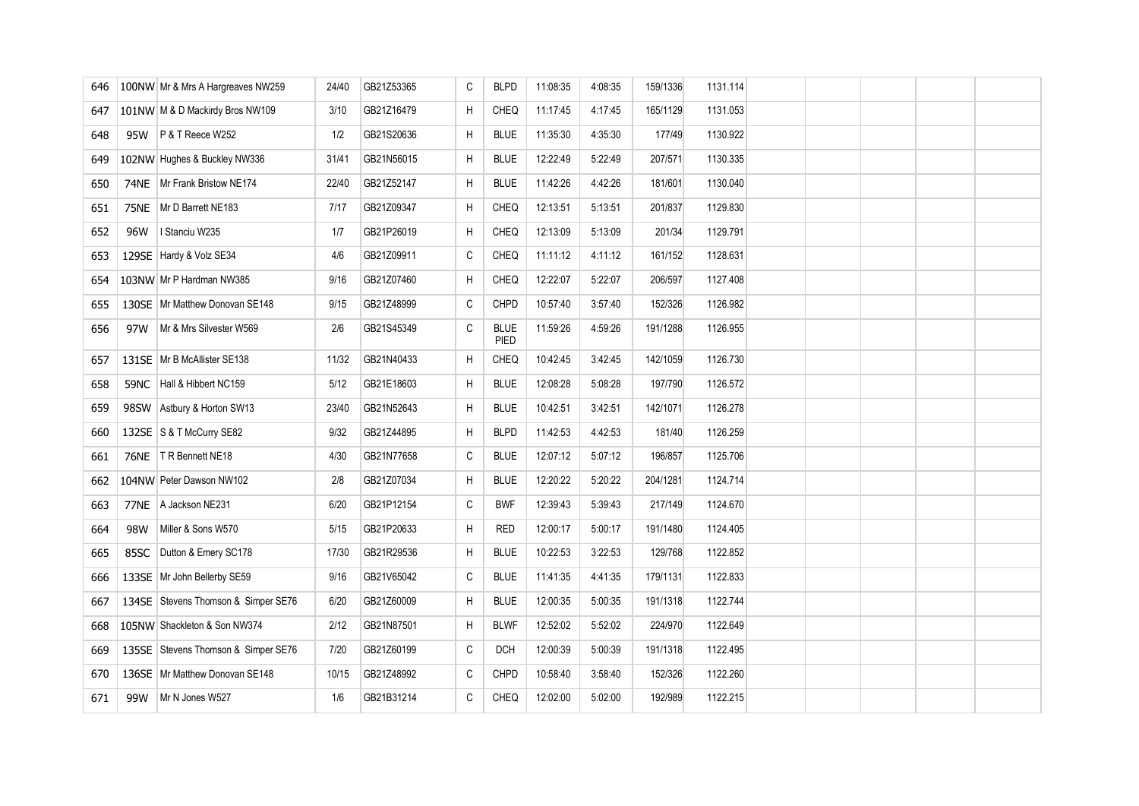| 646 |             | 100NW Mr & Mrs A Hargreaves NW259   | 24/40 | GB21Z53365 | C            | <b>BLPD</b>         | 11:08:35 | 4:08:35 | 159/1336 | 1131.114 |  |  |  |
|-----|-------------|-------------------------------------|-------|------------|--------------|---------------------|----------|---------|----------|----------|--|--|--|
| 647 |             | 101NW M & D Mackirdy Bros NW109     | 3/10  | GB21Z16479 | H            | CHEQ                | 11:17:45 | 4:17:45 | 165/1129 | 1131.053 |  |  |  |
| 648 | 95W         | P & T Reece W252                    | 1/2   | GB21S20636 | H            | <b>BLUE</b>         | 11:35:30 | 4:35:30 | 177/49   | 1130.922 |  |  |  |
| 649 |             | 102NW Hughes & Buckley NW336        | 31/41 | GB21N56015 | H            | <b>BLUE</b>         | 12:22:49 | 5:22:49 | 207/571  | 1130.335 |  |  |  |
| 650 | 74NE        | Mr Frank Bristow NE174              | 22/40 | GB21Z52147 | H            | <b>BLUE</b>         | 11:42:26 | 4:42:26 | 181/601  | 1130.040 |  |  |  |
| 651 | <b>75NE</b> | Mr D Barrett NE183                  | 7/17  | GB21Z09347 | H            | <b>CHEQ</b>         | 12:13:51 | 5:13:51 | 201/837  | 1129.830 |  |  |  |
| 652 | 96W         | I Stanciu W235                      | 1/7   | GB21P26019 | H            | <b>CHEQ</b>         | 12:13:09 | 5:13:09 | 201/34   | 1129.791 |  |  |  |
| 653 |             | 129SE Hardy & Volz SE34             | 4/6   | GB21Z09911 | С            | CHEQ                | 11:11:12 | 4:11:12 | 161/152  | 1128.631 |  |  |  |
| 654 |             | 103NW Mr P Hardman NW385            | 9/16  | GB21Z07460 | H            | CHEQ                | 12:22:07 | 5:22:07 | 206/597  | 1127.408 |  |  |  |
| 655 |             | 130SE   Mr Matthew Donovan SE148    | 9/15  | GB21Z48999 | C            | CHPD                | 10:57:40 | 3:57:40 | 152/326  | 1126.982 |  |  |  |
| 656 | 97W         | Mr & Mrs Silvester W569             | 2/6   | GB21S45349 | С            | <b>BLUE</b><br>PIED | 11:59:26 | 4:59:26 | 191/1288 | 1126.955 |  |  |  |
| 657 |             | 131SE Mr B McAllister SE138         | 11/32 | GB21N40433 | H            | CHEQ                | 10:42:45 | 3:42:45 | 142/1059 | 1126.730 |  |  |  |
| 658 | 59NC        | Hall & Hibbert NC159                | 5/12  | GB21E18603 | H            | <b>BLUE</b>         | 12:08:28 | 5:08:28 | 197/790  | 1126.572 |  |  |  |
| 659 |             | 98SW Astbury & Horton SW13          | 23/40 | GB21N52643 | H            | <b>BLUE</b>         | 10:42:51 | 3:42:51 | 142/1071 | 1126.278 |  |  |  |
| 660 |             | 132SE S & T McCurry SE82            | 9/32  | GB21Z44895 | H            | <b>BLPD</b>         | 11:42:53 | 4:42:53 | 181/40   | 1126.259 |  |  |  |
| 661 | 76NE        | T R Bennett NE18                    | 4/30  | GB21N77658 | С            | <b>BLUE</b>         | 12:07:12 | 5:07:12 | 196/857  | 1125.706 |  |  |  |
| 662 |             | 104NW Peter Dawson NW102            | 2/8   | GB21Z07034 | H            | <b>BLUE</b>         | 12:20:22 | 5:20:22 | 204/1281 | 1124.714 |  |  |  |
| 663 | 77NE        | A Jackson NE231                     | 6/20  | GB21P12154 | $\mathtt{C}$ | <b>BWF</b>          | 12:39:43 | 5:39:43 | 217/149  | 1124.670 |  |  |  |
| 664 | 98W         | Miller & Sons W570                  | 5/15  | GB21P20633 | H            | RED                 | 12:00:17 | 5:00:17 | 191/1480 | 1124.405 |  |  |  |
| 665 | 85SC        | Dutton & Emery SC178                | 17/30 | GB21R29536 | H            | <b>BLUE</b>         | 10:22:53 | 3:22:53 | 129/768  | 1122.852 |  |  |  |
| 666 |             | 133SE Mr John Bellerby SE59         | 9/16  | GB21V65042 | С            | <b>BLUE</b>         | 11:41:35 | 4:41:35 | 179/1131 | 1122.833 |  |  |  |
| 667 |             | 134SE Stevens Thomson & Simper SE76 | 6/20  | GB21Z60009 | H            | <b>BLUE</b>         | 12:00:35 | 5:00:35 | 191/1318 | 1122.744 |  |  |  |
| 668 |             | 105NW Shackleton & Son NW374        | 2/12  | GB21N87501 | Н            | <b>BLWF</b>         | 12:52:02 | 5:52:02 | 224/970  | 1122.649 |  |  |  |
| 669 |             | 135SE Stevens Thomson & Simper SE76 | 7/20  | GB21Z60199 | $\mathtt{C}$ | <b>DCH</b>          | 12:00:39 | 5:00:39 | 191/1318 | 1122.495 |  |  |  |
| 670 |             | 136SE   Mr Matthew Donovan SE148    | 10/15 | GB21Z48992 | C            | <b>CHPD</b>         | 10:58:40 | 3:58:40 | 152/326  | 1122.260 |  |  |  |
| 671 | 99W         | Mr N Jones W527                     | 1/6   | GB21B31214 | C            | <b>CHEQ</b>         | 12:02:00 | 5:02:00 | 192/989  | 1122.215 |  |  |  |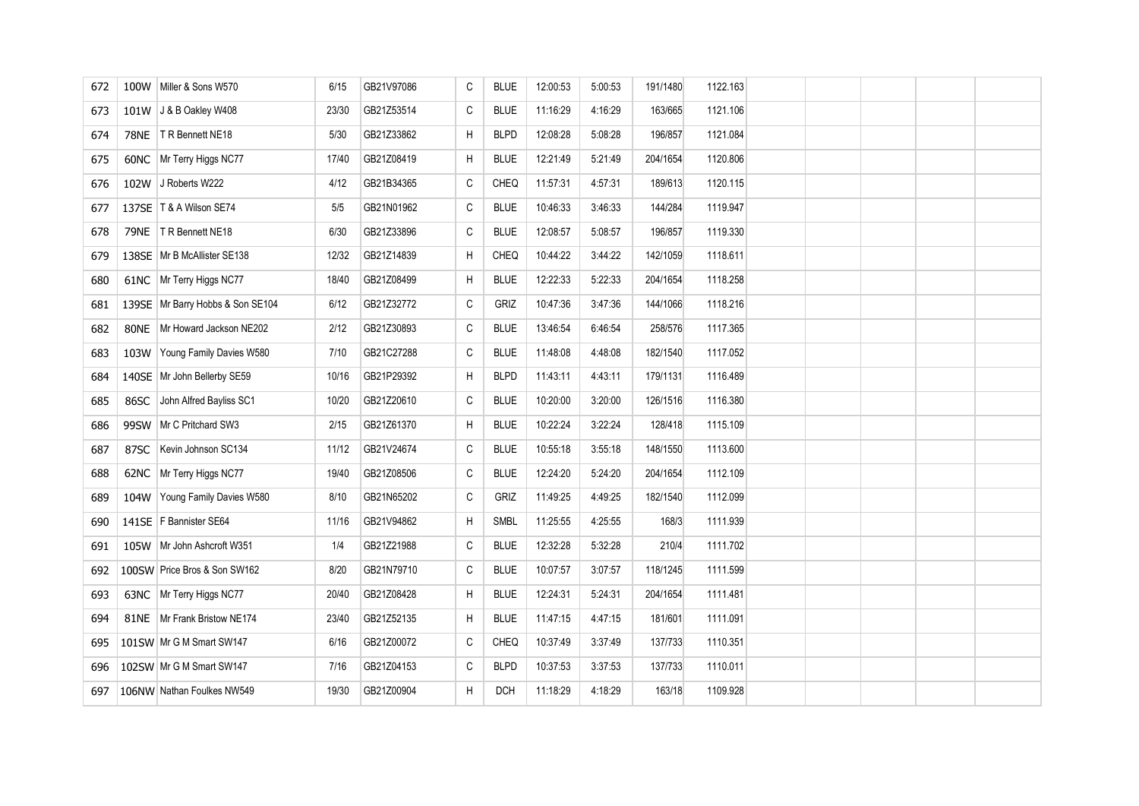| 672 | 100W        | Miller & Sons W570               | 6/15  | GB21V97086 | C            | <b>BLUE</b> | 12:00:53 | 5:00:53 | 191/1480 | 1122.163 |  |  |  |
|-----|-------------|----------------------------------|-------|------------|--------------|-------------|----------|---------|----------|----------|--|--|--|
| 673 | 101W        | J & B Oakley W408                | 23/30 | GB21Z53514 | C            | <b>BLUE</b> | 11:16:29 | 4:16:29 | 163/665  | 1121.106 |  |  |  |
| 674 |             | 78NE   T R Bennett NE18          | 5/30  | GB21Z33862 | H            | <b>BLPD</b> | 12:08:28 | 5:08:28 | 196/857  | 1121.084 |  |  |  |
| 675 | 60NC        | Mr Terry Higgs NC77              | 17/40 | GB21Z08419 | H            | <b>BLUE</b> | 12:21:49 | 5:21:49 | 204/1654 | 1120.806 |  |  |  |
| 676 | 102W        | J Roberts W222                   | 4/12  | GB21B34365 | C            | CHEQ        | 11:57:31 | 4:57:31 | 189/613  | 1120.115 |  |  |  |
| 677 |             | 137SE   T & A Wilson SE74        | 5/5   | GB21N01962 | C            | <b>BLUE</b> | 10:46:33 | 3:46:33 | 144/284  | 1119.947 |  |  |  |
| 678 | 79NE        | T R Bennett NE18                 | 6/30  | GB21Z33896 | C            | <b>BLUE</b> | 12:08:57 | 5:08:57 | 196/857  | 1119.330 |  |  |  |
| 679 |             | 138SE Mr B McAllister SE138      | 12/32 | GB21Z14839 | H            | CHEQ        | 10:44:22 | 3:44:22 | 142/1059 | 1118.611 |  |  |  |
| 680 | 61NC        | Mr Terry Higgs NC77              | 18/40 | GB21Z08499 | H            | <b>BLUE</b> | 12:22:33 | 5:22:33 | 204/1654 | 1118.258 |  |  |  |
| 681 |             | 139SE Mr Barry Hobbs & Son SE104 | 6/12  | GB21Z32772 | C            | GRIZ        | 10:47:36 | 3:47:36 | 144/1066 | 1118.216 |  |  |  |
| 682 | <b>80NE</b> | Mr Howard Jackson NE202          | 2/12  | GB21Z30893 | $\mathtt{C}$ | <b>BLUE</b> | 13:46:54 | 6:46:54 | 258/576  | 1117.365 |  |  |  |
| 683 | 103W        | Young Family Davies W580         | 7/10  | GB21C27288 | C            | <b>BLUE</b> | 11:48:08 | 4:48:08 | 182/1540 | 1117.052 |  |  |  |
| 684 |             | 140SE Mr John Bellerby SE59      | 10/16 | GB21P29392 | H            | <b>BLPD</b> | 11:43:11 | 4:43:11 | 179/1131 | 1116.489 |  |  |  |
| 685 | 86SC        | John Alfred Bayliss SC1          | 10/20 | GB21Z20610 | C            | <b>BLUE</b> | 10:20:00 | 3:20:00 | 126/1516 | 1116.380 |  |  |  |
| 686 | 99SW        | Mr C Pritchard SW3               | 2/15  | GB21Z61370 | H            | <b>BLUE</b> | 10:22:24 | 3:22:24 | 128/418  | 1115.109 |  |  |  |
| 687 | 87SC        | Kevin Johnson SC134              | 11/12 | GB21V24674 | C            | <b>BLUE</b> | 10:55:18 | 3:55:18 | 148/1550 | 1113.600 |  |  |  |
| 688 | 62NC        | Mr Terry Higgs NC77              | 19/40 | GB21Z08506 | C            | <b>BLUE</b> | 12:24:20 | 5:24:20 | 204/1654 | 1112.109 |  |  |  |
| 689 | 104W        | Young Family Davies W580         | 8/10  | GB21N65202 | C            | GRIZ        | 11:49:25 | 4:49:25 | 182/1540 | 1112.099 |  |  |  |
| 690 |             | 141SE   F Bannister SE64         | 11/16 | GB21V94862 | H            | <b>SMBL</b> | 11:25:55 | 4:25:55 | 168/3    | 1111.939 |  |  |  |
| 691 | 105W        | Mr John Ashcroft W351            | 1/4   | GB21Z21988 | C            | <b>BLUE</b> | 12:32:28 | 5:32:28 | 210/4    | 1111.702 |  |  |  |
| 692 |             | 100SW Price Bros & Son SW162     | 8/20  | GB21N79710 | C            | <b>BLUE</b> | 10:07:57 | 3:07:57 | 118/1245 | 1111.599 |  |  |  |
| 693 | 63NC        | Mr Terry Higgs NC77              | 20/40 | GB21Z08428 | H            | <b>BLUE</b> | 12:24:31 | 5:24:31 | 204/1654 | 1111.481 |  |  |  |
| 694 | <b>81NE</b> | Mr Frank Bristow NE174           | 23/40 | GB21Z52135 | H            | <b>BLUE</b> | 11:47:15 | 4:47:15 | 181/601  | 1111.091 |  |  |  |
| 695 |             | 101SW Mr G M Smart SW147         | 6/16  | GB21Z00072 | C            | CHEQ        | 10:37:49 | 3:37:49 | 137/733  | 1110.351 |  |  |  |
| 696 |             | 102SW Mr G M Smart SW147         | 7/16  | GB21Z04153 | C            | <b>BLPD</b> | 10:37:53 | 3:37:53 | 137/733  | 1110.011 |  |  |  |
| 697 |             | 106NW Nathan Foulkes NW549       | 19/30 | GB21Z00904 | H            | <b>DCH</b>  | 11:18:29 | 4:18:29 | 163/18   | 1109.928 |  |  |  |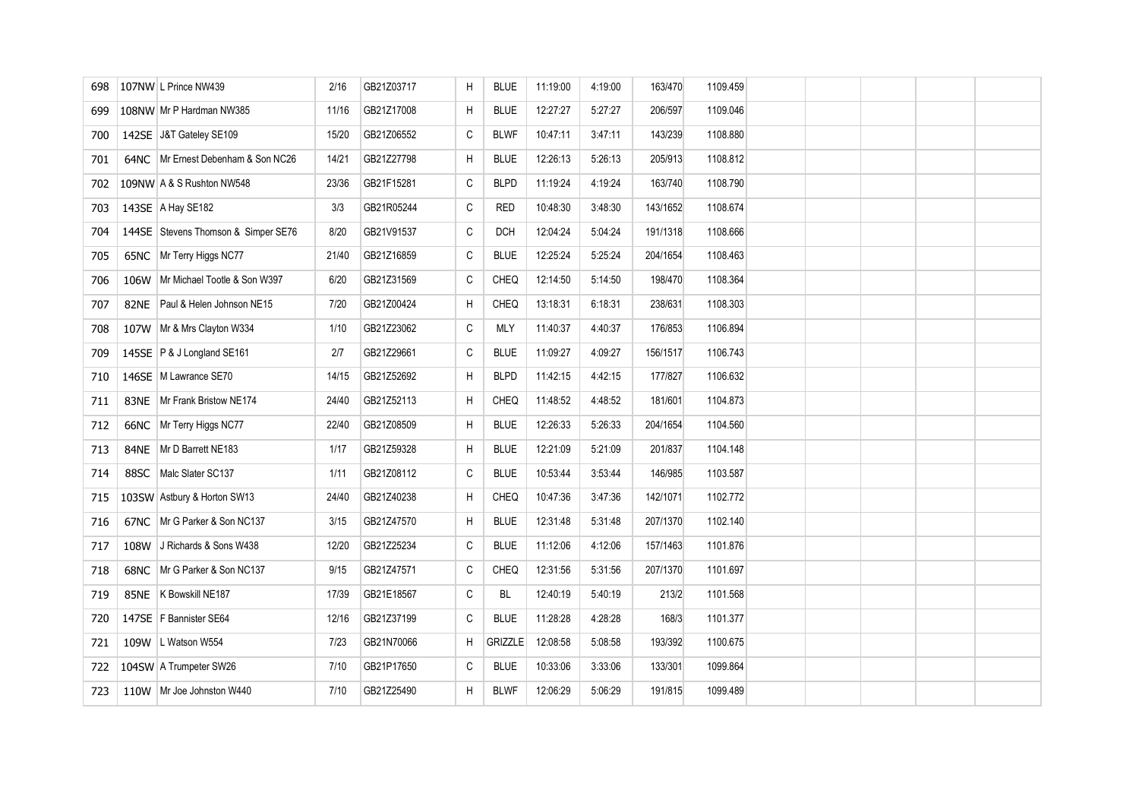| 698 |             | 107NW L Prince NW439                | 2/16  | GB21Z03717 | H            | <b>BLUE</b> | 11:19:00 | 4:19:00 | 163/470  | 1109.459 |  |  |  |
|-----|-------------|-------------------------------------|-------|------------|--------------|-------------|----------|---------|----------|----------|--|--|--|
| 699 |             | 108NW Mr P Hardman NW385            | 11/16 | GB21Z17008 | H            | <b>BLUE</b> | 12:27:27 | 5:27:27 | 206/597  | 1109.046 |  |  |  |
| 700 |             | 142SE J&T Gateley SE109             | 15/20 | GB21Z06552 | C            | <b>BLWF</b> | 10:47:11 | 3:47:11 | 143/239  | 1108.880 |  |  |  |
| 701 | 64NC        | Mr Ernest Debenham & Son NC26       | 14/21 | GB21Z27798 | H            | <b>BLUE</b> | 12:26:13 | 5:26:13 | 205/913  | 1108.812 |  |  |  |
| 702 |             | 109NW A & S Rushton NW548           | 23/36 | GB21F15281 | C            | <b>BLPD</b> | 11:19:24 | 4:19:24 | 163/740  | 1108.790 |  |  |  |
| 703 |             | 143SE A Hay SE182                   | 3/3   | GB21R05244 | C            | <b>RED</b>  | 10:48:30 | 3:48:30 | 143/1652 | 1108.674 |  |  |  |
| 704 |             | 144SE Stevens Thomson & Simper SE76 | 8/20  | GB21V91537 | C            | <b>DCH</b>  | 12:04:24 | 5:04:24 | 191/1318 | 1108.666 |  |  |  |
| 705 | 65NC        | Mr Terry Higgs NC77                 | 21/40 | GB21Z16859 | $\mathtt{C}$ | <b>BLUE</b> | 12:25:24 | 5:25:24 | 204/1654 | 1108.463 |  |  |  |
| 706 | 106W        | Mr Michael Tootle & Son W397        | 6/20  | GB21Z31569 | C            | CHEQ        | 12:14:50 | 5:14:50 | 198/470  | 1108.364 |  |  |  |
| 707 | 82NE        | Paul & Helen Johnson NE15           | 7/20  | GB21Z00424 | H            | CHEQ        | 13:18:31 | 6:18:31 | 238/631  | 1108.303 |  |  |  |
| 708 |             | 107W   Mr & Mrs Clayton W334        | 1/10  | GB21Z23062 | C            | MLY         | 11:40:37 | 4:40:37 | 176/853  | 1106.894 |  |  |  |
| 709 |             | 145SE P & J Longland SE161          | 2/7   | GB21Z29661 | $\mathtt{C}$ | <b>BLUE</b> | 11:09:27 | 4:09:27 | 156/1517 | 1106.743 |  |  |  |
| 710 |             | 146SE M Lawrance SE70               | 14/15 | GB21Z52692 | H            | <b>BLPD</b> | 11:42:15 | 4:42:15 | 177/827  | 1106.632 |  |  |  |
| 711 | 83NE        | Mr Frank Bristow NE174              | 24/40 | GB21Z52113 | H            | CHEQ        | 11:48:52 | 4:48:52 | 181/601  | 1104.873 |  |  |  |
| 712 | 66NC        | Mr Terry Higgs NC77                 | 22/40 | GB21Z08509 | H            | <b>BLUE</b> | 12:26:33 | 5:26:33 | 204/1654 | 1104.560 |  |  |  |
| 713 | 84NE        | Mr D Barrett NE183                  | 1/17  | GB21Z59328 | H            | <b>BLUE</b> | 12:21:09 | 5:21:09 | 201/837  | 1104.148 |  |  |  |
| 714 | 88SC        | Malc Slater SC137                   | 1/11  | GB21Z08112 | C            | <b>BLUE</b> | 10:53:44 | 3:53:44 | 146/985  | 1103.587 |  |  |  |
| 715 |             | 103SW Astbury & Horton SW13         | 24/40 | GB21Z40238 | H            | CHEQ        | 10:47:36 | 3:47:36 | 142/1071 | 1102.772 |  |  |  |
| 716 | 67NC        | Mr G Parker & Son NC137             | 3/15  | GB21Z47570 | H            | <b>BLUE</b> | 12:31:48 | 5:31:48 | 207/1370 | 1102.140 |  |  |  |
| 717 | 108W        | J Richards & Sons W438              | 12/20 | GB21Z25234 | $\mathtt{C}$ | <b>BLUE</b> | 11:12:06 | 4:12:06 | 157/1463 | 1101.876 |  |  |  |
| 718 | 68NC        | Mr G Parker & Son NC137             | 9/15  | GB21Z47571 | C            | <b>CHEQ</b> | 12:31:56 | 5:31:56 | 207/1370 | 1101.697 |  |  |  |
| 719 | <b>85NE</b> | K Bowskill NE187                    | 17/39 | GB21E18567 | C            | BL          | 12:40:19 | 5:40:19 | 213/2    | 1101.568 |  |  |  |
| 720 |             | 147SE   F Bannister SE64            | 12/16 | GB21Z37199 | C            | <b>BLUE</b> | 11:28:28 | 4:28:28 | 168/3    | 1101.377 |  |  |  |
| 721 | 109W        | L Watson W554                       | 7/23  | GB21N70066 | H            | GRIZZLE     | 12:08:58 | 5:08:58 | 193/392  | 1100.675 |  |  |  |
| 722 |             | 104SW A Trumpeter SW26              | 7/10  | GB21P17650 | C            | <b>BLUE</b> | 10:33:06 | 3:33:06 | 133/301  | 1099.864 |  |  |  |
| 723 |             | 110W   Mr Joe Johnston W440         | 7/10  | GB21Z25490 | H            | <b>BLWF</b> | 12:06:29 | 5:06:29 | 191/815  | 1099.489 |  |  |  |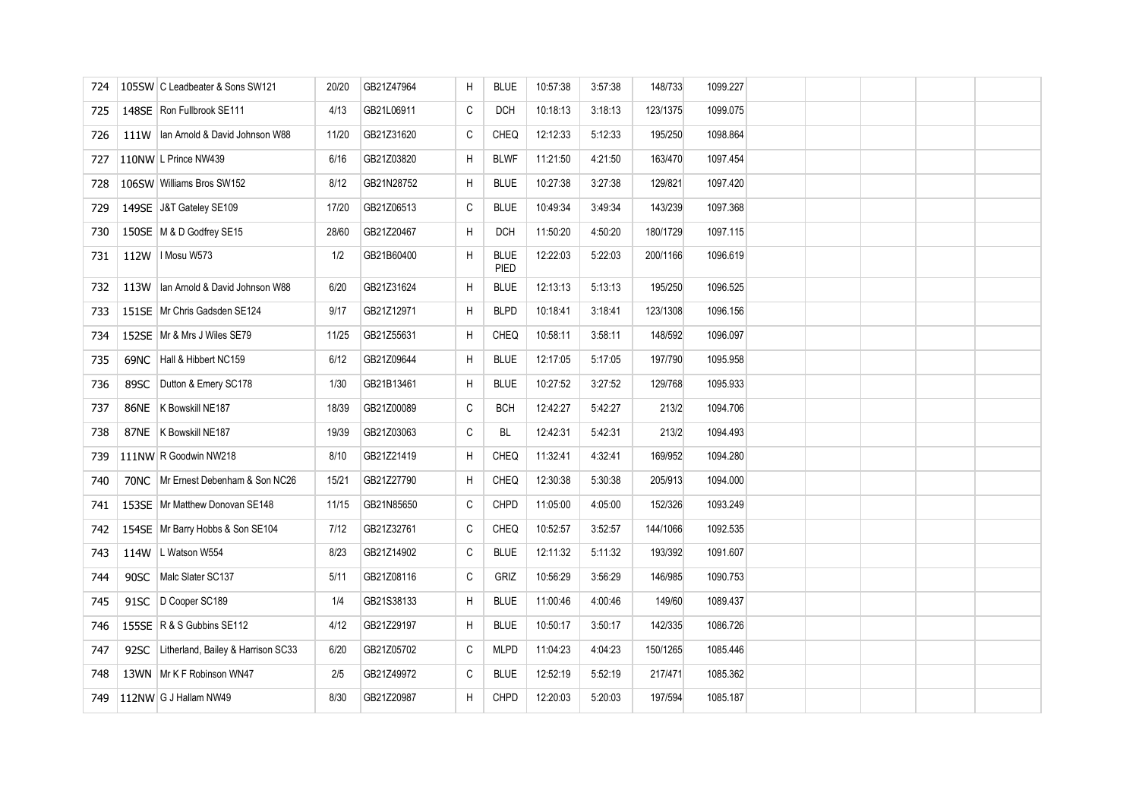| 724 |             | 105SW C Leadbeater & Sons SW121       | 20/20 | GB21Z47964 | H            | <b>BLUE</b>         | 10:57:38 | 3:57:38 | 148/733  | 1099.227 |  |  |  |
|-----|-------------|---------------------------------------|-------|------------|--------------|---------------------|----------|---------|----------|----------|--|--|--|
| 725 |             | 148SE Ron Fullbrook SE111             | 4/13  | GB21L06911 | C            | <b>DCH</b>          | 10:18:13 | 3:18:13 | 123/1375 | 1099.075 |  |  |  |
| 726 |             | 111W   Ian Arnold & David Johnson W88 | 11/20 | GB21Z31620 | $\mathtt{C}$ | CHEQ                | 12:12:33 | 5:12:33 | 195/250  | 1098.864 |  |  |  |
| 727 |             | 110NW L Prince NW439                  | 6/16  | GB21Z03820 | H            | <b>BLWF</b>         | 11:21:50 | 4:21:50 | 163/470  | 1097.454 |  |  |  |
| 728 |             | 106SW Williams Bros SW152             | 8/12  | GB21N28752 | H            | <b>BLUE</b>         | 10:27:38 | 3:27:38 | 129/821  | 1097.420 |  |  |  |
| 729 |             | 149SE J&T Gateley SE109               | 17/20 | GB21Z06513 | C            | <b>BLUE</b>         | 10:49:34 | 3:49:34 | 143/239  | 1097.368 |  |  |  |
| 730 |             | 150SE M & D Godfrey SE15              | 28/60 | GB21Z20467 | H            | <b>DCH</b>          | 11:50:20 | 4:50:20 | 180/1729 | 1097.115 |  |  |  |
| 731 |             | 112W   Mosu W573                      | 1/2   | GB21B60400 | H            | <b>BLUE</b><br>PIED | 12:22:03 | 5:22:03 | 200/1166 | 1096.619 |  |  |  |
| 732 |             | 113W   Ian Arnold & David Johnson W88 | 6/20  | GB21Z31624 | H            | <b>BLUE</b>         | 12:13:13 | 5:13:13 | 195/250  | 1096.525 |  |  |  |
| 733 |             | 151SE Mr Chris Gadsden SE124          | 9/17  | GB21Z12971 | H            | <b>BLPD</b>         | 10:18:41 | 3:18:41 | 123/1308 | 1096.156 |  |  |  |
| 734 |             | 152SE Mr & Mrs J Wiles SE79           | 11/25 | GB21Z55631 | H            | CHEQ                | 10:58:11 | 3:58:11 | 148/592  | 1096.097 |  |  |  |
| 735 | 69NC        | Hall & Hibbert NC159                  | 6/12  | GB21Z09644 | H            | <b>BLUE</b>         | 12:17:05 | 5:17:05 | 197/790  | 1095.958 |  |  |  |
| 736 | 89SC        | Dutton & Emery SC178                  | 1/30  | GB21B13461 | H            | <b>BLUE</b>         | 10:27:52 | 3:27:52 | 129/768  | 1095.933 |  |  |  |
| 737 | <b>86NE</b> | K Bowskill NE187                      | 18/39 | GB21Z00089 | C            | <b>BCH</b>          | 12:42:27 | 5:42:27 | 213/2    | 1094.706 |  |  |  |
| 738 | <b>87NE</b> | K Bowskill NE187                      | 19/39 | GB21Z03063 | C            | BL                  | 12:42:31 | 5:42:31 | 213/2    | 1094.493 |  |  |  |
| 739 |             | 111NW R Goodwin NW218                 | 8/10  | GB21Z21419 | H            | CHEQ                | 11:32:41 | 4:32:41 | 169/952  | 1094.280 |  |  |  |
| 740 | 70NC        | Mr Ernest Debenham & Son NC26         | 15/21 | GB21Z27790 | H            | CHEQ                | 12:30:38 | 5:30:38 | 205/913  | 1094.000 |  |  |  |
| 741 |             | 153SE Mr Matthew Donovan SE148        | 11/15 | GB21N85650 | C            | CHPD                | 11:05:00 | 4:05:00 | 152/326  | 1093.249 |  |  |  |
| 742 |             | 154SE Mr Barry Hobbs & Son SE104      | 7/12  | GB21Z32761 | C            | <b>CHEQ</b>         | 10:52:57 | 3:52:57 | 144/1066 | 1092.535 |  |  |  |
| 743 | 114W        | L Watson W554                         | 8/23  | GB21Z14902 | C            | <b>BLUE</b>         | 12:11:32 | 5:11:32 | 193/392  | 1091.607 |  |  |  |
| 744 | 90SC        | Malc Slater SC137                     | 5/11  | GB21Z08116 | C            | GRIZ                | 10:56:29 | 3:56:29 | 146/985  | 1090.753 |  |  |  |
| 745 | 91SC        | D Cooper SC189                        | 1/4   | GB21S38133 | H            | <b>BLUE</b>         | 11:00:46 | 4:00:46 | 149/60   | 1089.437 |  |  |  |
| 746 |             | 155SE R & S Gubbins SE112             | 4/12  | GB21Z29197 | H            | <b>BLUE</b>         | 10:50:17 | 3:50:17 | 142/335  | 1086.726 |  |  |  |
| 747 | 92SC        | Litherland, Bailey & Harrison SC33    | 6/20  | GB21Z05702 | C            | <b>MLPD</b>         | 11:04:23 | 4:04:23 | 150/1265 | 1085.446 |  |  |  |
| 748 |             | 13WN   Mr K F Robinson WN47           | 2/5   | GB21Z49972 | C            | <b>BLUE</b>         | 12:52:19 | 5:52:19 | 217/471  | 1085.362 |  |  |  |
| 749 |             | 112NW G J Hallam NW49                 | 8/30  | GB21Z20987 | H            | <b>CHPD</b>         | 12:20:03 | 5:20:03 | 197/594  | 1085.187 |  |  |  |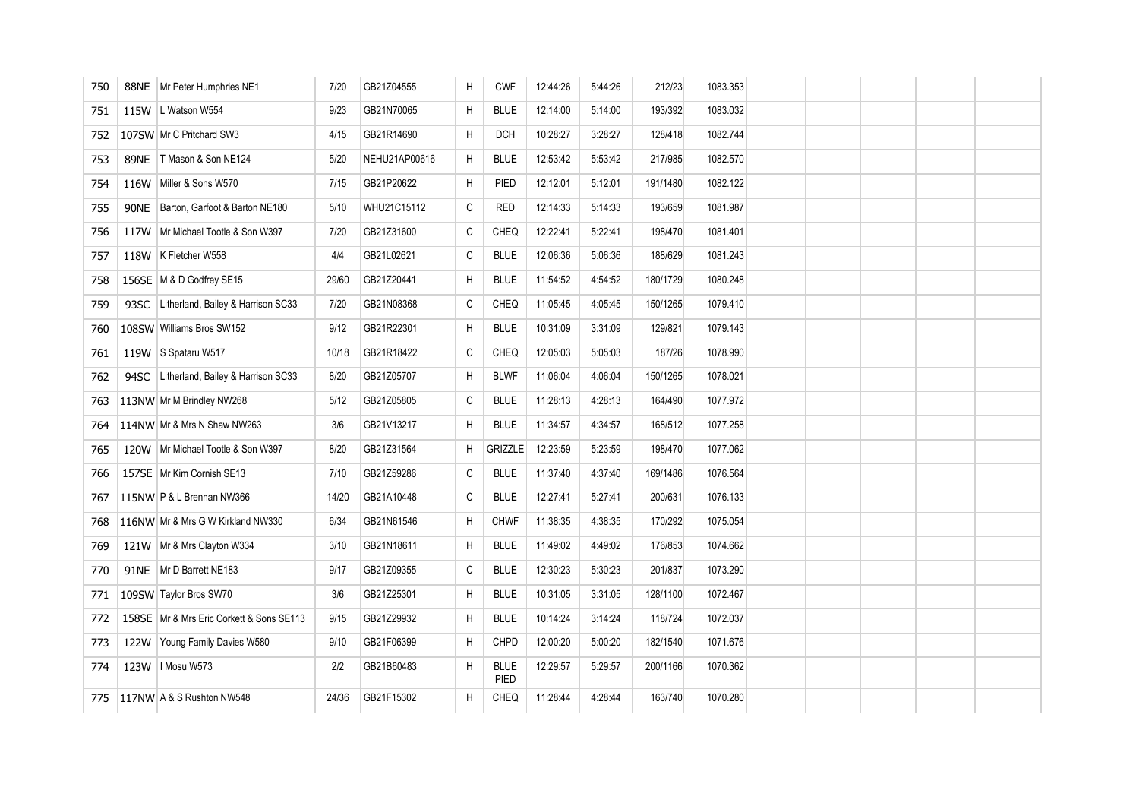| 750 | <b>88NE</b> | Mr Peter Humphries NE1                   | 7/20  | GB21Z04555    | H  | <b>CWF</b>          | 12:44:26 | 5:44:26 | 212/23   | 1083.353 |  |  |  |
|-----|-------------|------------------------------------------|-------|---------------|----|---------------------|----------|---------|----------|----------|--|--|--|
| 751 |             | 115W   L Watson W554                     | 9/23  | GB21N70065    | H  | <b>BLUE</b>         | 12:14:00 | 5:14:00 | 193/392  | 1083.032 |  |  |  |
| 752 |             | 107SW Mr C Pritchard SW3                 | 4/15  | GB21R14690    | H  | <b>DCH</b>          | 10:28:27 | 3:28:27 | 128/418  | 1082.744 |  |  |  |
| 753 | <b>89NE</b> | T Mason & Son NE124                      | 5/20  | NEHU21AP00616 | H  | <b>BLUE</b>         | 12:53:42 | 5:53:42 | 217/985  | 1082.570 |  |  |  |
| 754 |             | 116W Miller & Sons W570                  | 7/15  | GB21P20622    | H  | PIED                | 12:12:01 | 5:12:01 | 191/1480 | 1082.122 |  |  |  |
| 755 | <b>90NE</b> | Barton, Garfoot & Barton NE180           | 5/10  | WHU21C15112   | С  | RED                 | 12:14:33 | 5:14:33 | 193/659  | 1081.987 |  |  |  |
| 756 | 117W        | Mr Michael Tootle & Son W397             | 7/20  | GB21Z31600    | С  | <b>CHEQ</b>         | 12:22:41 | 5:22:41 | 198/470  | 1081.401 |  |  |  |
| 757 |             | 118W K Fletcher W558                     | 4/4   | GB21L02621    | C  | <b>BLUE</b>         | 12:06:36 | 5:06:36 | 188/629  | 1081.243 |  |  |  |
| 758 |             | 156SE M & D Godfrey SE15                 | 29/60 | GB21Z20441    | H  | <b>BLUE</b>         | 11:54:52 | 4:54:52 | 180/1729 | 1080.248 |  |  |  |
| 759 | 93SC        | Litherland, Bailey & Harrison SC33       | 7/20  | GB21N08368    | C  | <b>CHEQ</b>         | 11:05:45 | 4:05:45 | 150/1265 | 1079.410 |  |  |  |
| 760 |             | 108SW Williams Bros SW152                | 9/12  | GB21R22301    | Н  | <b>BLUE</b>         | 10:31:09 | 3:31:09 | 129/821  | 1079.143 |  |  |  |
| 761 |             | 119W S Spataru W517                      | 10/18 | GB21R18422    | С  | <b>CHEQ</b>         | 12:05:03 | 5:05:03 | 187/26   | 1078.990 |  |  |  |
| 762 | 94SC        | Litherland, Bailey & Harrison SC33       | 8/20  | GB21Z05707    | H  | <b>BLWF</b>         | 11:06:04 | 4:06:04 | 150/1265 | 1078.021 |  |  |  |
| 763 |             | 113NW Mr M Brindley NW268                | 5/12  | GB21Z05805    | C  | <b>BLUE</b>         | 11:28:13 | 4:28:13 | 164/490  | 1077.972 |  |  |  |
| 764 |             | 114NW Mr & Mrs N Shaw NW263              | 3/6   | GB21V13217    | H  | <b>BLUE</b>         | 11:34:57 | 4:34:57 | 168/512  | 1077.258 |  |  |  |
| 765 |             | 120W   Mr Michael Tootle & Son W397      | 8/20  | GB21Z31564    | H. | GRIZZLE             | 12:23:59 | 5:23:59 | 198/470  | 1077.062 |  |  |  |
| 766 |             | 157SE Mr Kim Cornish SE13                | 7/10  | GB21Z59286    | С  | <b>BLUE</b>         | 11:37:40 | 4:37:40 | 169/1486 | 1076.564 |  |  |  |
| 767 |             | 115NW P & L Brennan NW366                | 14/20 | GB21A10448    | С  | <b>BLUE</b>         | 12:27:41 | 5:27:41 | 200/631  | 1076.133 |  |  |  |
| 768 |             | 116NW Mr & Mrs G W Kirkland NW330        | 6/34  | GB21N61546    | H  | <b>CHWF</b>         | 11:38:35 | 4:38:35 | 170/292  | 1075.054 |  |  |  |
| 769 |             | 121W   Mr & Mrs Clayton W334             | 3/10  | GB21N18611    | H  | <b>BLUE</b>         | 11:49:02 | 4:49:02 | 176/853  | 1074.662 |  |  |  |
| 770 |             | 91NE Mr D Barrett NE183                  | 9/17  | GB21Z09355    | C  | <b>BLUE</b>         | 12:30:23 | 5:30:23 | 201/837  | 1073.290 |  |  |  |
| 771 |             | 109SW Taylor Bros SW70                   | 3/6   | GB21Z25301    | Н  | <b>BLUE</b>         | 10:31:05 | 3:31:05 | 128/1100 | 1072.467 |  |  |  |
| 772 |             | 158SE Mr & Mrs Eric Corkett & Sons SE113 | 9/15  | GB21Z29932    | H  | <b>BLUE</b>         | 10:14:24 | 3:14:24 | 118/724  | 1072.037 |  |  |  |
| 773 |             | 122W Young Family Davies W580            | 9/10  | GB21F06399    | H  | <b>CHPD</b>         | 12:00:20 | 5:00:20 | 182/1540 | 1071.676 |  |  |  |
| 774 | 123W        | I Mosu W573                              | 2/2   | GB21B60483    | H  | <b>BLUE</b><br>PIED | 12:29:57 | 5:29:57 | 200/1166 | 1070.362 |  |  |  |
| 775 |             | 117NW A & S Rushton NW548                | 24/36 | GB21F15302    | H  | CHEQ                | 11:28:44 | 4:28:44 | 163/740  | 1070.280 |  |  |  |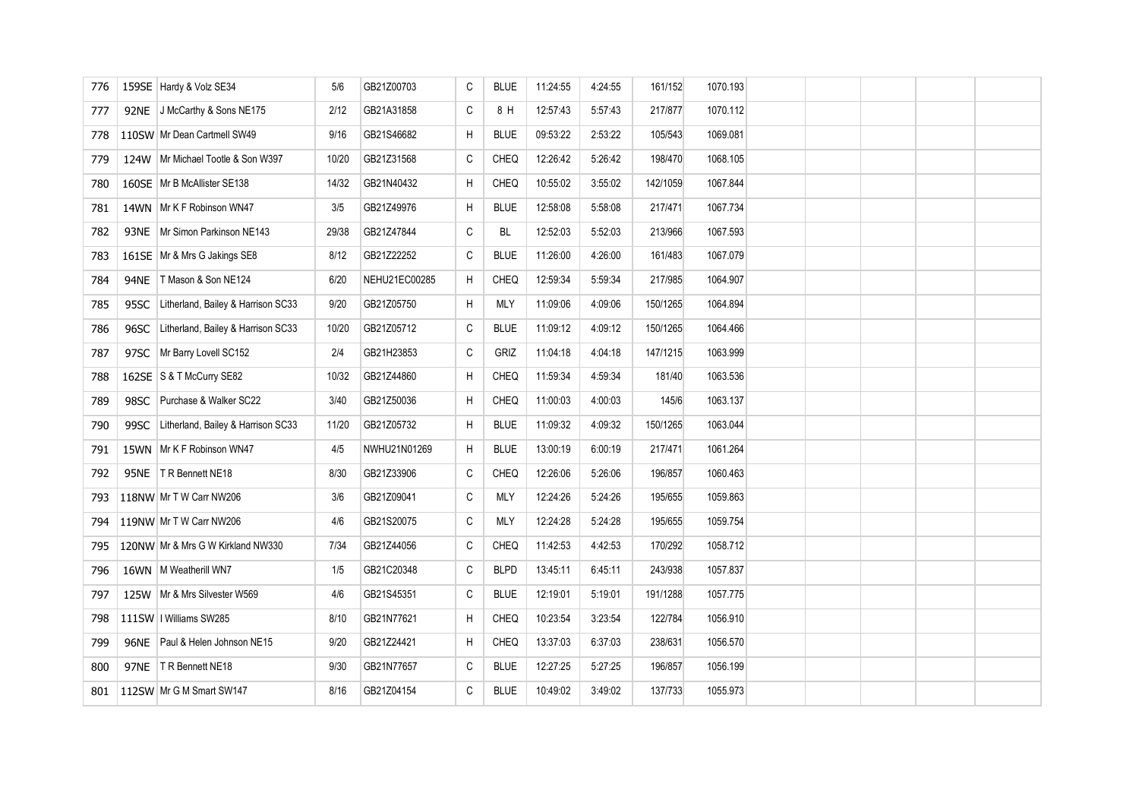| 776 |             | 159SE Hardy & Volz SE34             | 5/6   | GB21Z00703    | C | <b>BLUE</b> | 11:24:55 | 4:24:55 | 161/152  | 1070.193 |  |  |  |
|-----|-------------|-------------------------------------|-------|---------------|---|-------------|----------|---------|----------|----------|--|--|--|
| 777 | <b>92NE</b> | J McCarthy & Sons NE175             | 2/12  | GB21A31858    | C | 8 H         | 12:57:43 | 5:57:43 | 217/877  | 1070.112 |  |  |  |
| 778 |             | 110SW Mr Dean Cartmell SW49         | 9/16  | GB21S46682    | H | <b>BLUE</b> | 09:53:22 | 2:53:22 | 105/543  | 1069.081 |  |  |  |
| 779 |             | 124W   Mr Michael Tootle & Son W397 | 10/20 | GB21Z31568    | C | CHEQ        | 12:26:42 | 5:26:42 | 198/470  | 1068.105 |  |  |  |
| 780 |             | 160SE Mr B McAllister SE138         | 14/32 | GB21N40432    | H | <b>CHEQ</b> | 10:55:02 | 3:55:02 | 142/1059 | 1067.844 |  |  |  |
| 781 |             | 14WN   Mr K F Robinson WN47         | 3/5   | GB21Z49976    | H | <b>BLUE</b> | 12:58:08 | 5:58:08 | 217/471  | 1067.734 |  |  |  |
| 782 | <b>93NE</b> | Mr Simon Parkinson NE143            | 29/38 | GB21Z47844    | C | BL          | 12:52:03 | 5:52:03 | 213/966  | 1067.593 |  |  |  |
| 783 |             | 161SE   Mr & Mrs G Jakings SE8      | 8/12  | GB21Z22252    | C | <b>BLUE</b> | 11:26:00 | 4:26:00 | 161/483  | 1067.079 |  |  |  |
| 784 | <b>94NE</b> | T Mason & Son NE124                 | 6/20  | NEHU21EC00285 | H | CHEQ        | 12:59:34 | 5:59:34 | 217/985  | 1064.907 |  |  |  |
| 785 | 95SC        | Litherland, Bailey & Harrison SC33  | 9/20  | GB21Z05750    | H | MLY         | 11:09:06 | 4:09:06 | 150/1265 | 1064.894 |  |  |  |
| 786 | 96SC        | Litherland, Bailey & Harrison SC33  | 10/20 | GB21Z05712    | C | <b>BLUE</b> | 11:09:12 | 4:09:12 | 150/1265 | 1064.466 |  |  |  |
| 787 | 97SC        | Mr Barry Lovell SC152               | 2/4   | GB21H23853    | C | GRIZ        | 11:04:18 | 4:04:18 | 147/1215 | 1063.999 |  |  |  |
| 788 |             | 162SE S & T McCurry SE82            | 10/32 | GB21Z44860    | H | CHEQ        | 11:59:34 | 4:59:34 | 181/40   | 1063.536 |  |  |  |
| 789 | 98SC        | Purchase & Walker SC22              | 3/40  | GB21Z50036    | H | CHEQ        | 11:00:03 | 4:00:03 | 145/6    | 1063.137 |  |  |  |
| 790 | 99SC        | Litherland, Bailey & Harrison SC33  | 11/20 | GB21Z05732    | H | <b>BLUE</b> | 11:09:32 | 4:09:32 | 150/1265 | 1063.044 |  |  |  |
| 791 |             | 15WN   Mr K F Robinson WN47         | 4/5   | NWHU21N01269  | H | <b>BLUE</b> | 13:00:19 | 6:00:19 | 217/471  | 1061.264 |  |  |  |
| 792 |             | 95NE   T R Bennett NE18             | 8/30  | GB21Z33906    | C | CHEQ        | 12:26:06 | 5:26:06 | 196/857  | 1060.463 |  |  |  |
| 793 |             | 118NW Mr T W Carr NW206             | 3/6   | GB21Z09041    | C | MLY         | 12:24:26 | 5:24:26 | 195/655  | 1059.863 |  |  |  |
| 794 |             | 119NW Mr T W Carr NW206             | 4/6   | GB21S20075    | C | MLY         | 12:24:28 | 5:24:28 | 195/655  | 1059.754 |  |  |  |
| 795 |             | 120NW Mr & Mrs G W Kirkland NW330   | 7/34  | GB21Z44056    | C | <b>CHEQ</b> | 11:42:53 | 4:42:53 | 170/292  | 1058.712 |  |  |  |
| 796 |             | 16WN   M Weatherill WN7             | 1/5   | GB21C20348    | C | <b>BLPD</b> | 13:45:11 | 6:45:11 | 243/938  | 1057.837 |  |  |  |
| 797 |             | 125W   Mr & Mrs Silvester W569      | 4/6   | GB21S45351    | C | <b>BLUE</b> | 12:19:01 | 5:19:01 | 191/1288 | 1057.775 |  |  |  |
| 798 |             | 111SW   I Williams SW285            | 8/10  | GB21N77621    | H | <b>CHEQ</b> | 10:23:54 | 3:23:54 | 122/784  | 1056.910 |  |  |  |
| 799 | 96NE        | Paul & Helen Johnson NE15           | 9/20  | GB21Z24421    | H | CHEQ        | 13:37:03 | 6:37:03 | 238/631  | 1056.570 |  |  |  |
| 800 |             | 97NE   T R Bennett NE18             | 9/30  | GB21N77657    | C | <b>BLUE</b> | 12:27:25 | 5:27:25 | 196/857  | 1056.199 |  |  |  |
| 801 |             | 112SW Mr G M Smart SW147            | 8/16  | GB21Z04154    | C | <b>BLUE</b> | 10:49:02 | 3:49:02 | 137/733  | 1055.973 |  |  |  |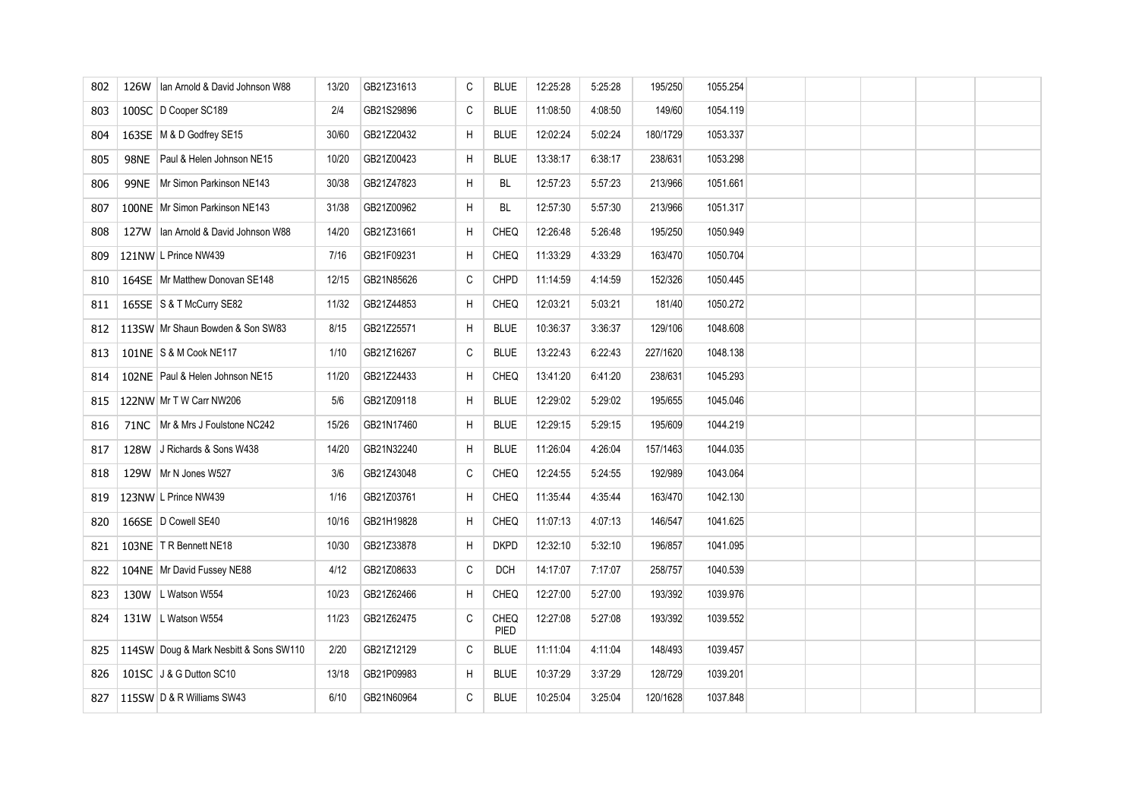| 802 | 126W        | Ian Arnold & David Johnson W88         | 13/20 | GB21Z31613 | C | <b>BLUE</b>         | 12:25:28 | 5:25:28 | 195/250  | 1055.254 |  |  |  |
|-----|-------------|----------------------------------------|-------|------------|---|---------------------|----------|---------|----------|----------|--|--|--|
| 803 |             | 100SC D Cooper SC189                   | 2/4   | GB21S29896 | C | <b>BLUE</b>         | 11:08:50 | 4:08:50 | 149/60   | 1054.119 |  |  |  |
| 804 |             | 163SE   M & D Godfrey SE15             | 30/60 | GB21Z20432 | H | <b>BLUE</b>         | 12:02:24 | 5:02:24 | 180/1729 | 1053.337 |  |  |  |
| 805 | <b>98NE</b> | Paul & Helen Johnson NE15              | 10/20 | GB21Z00423 | H | <b>BLUE</b>         | 13:38:17 | 6:38:17 | 238/631  | 1053.298 |  |  |  |
| 806 | <b>99NE</b> | Mr Simon Parkinson NE143               | 30/38 | GB21Z47823 | H | BL                  | 12:57:23 | 5:57:23 | 213/966  | 1051.661 |  |  |  |
| 807 |             | 100NE Mr Simon Parkinson NE143         | 31/38 | GB21Z00962 | H | BL                  | 12:57:30 | 5:57:30 | 213/966  | 1051.317 |  |  |  |
| 808 | 127W        | Ian Arnold & David Johnson W88         | 14/20 | GB21Z31661 | H | <b>CHEQ</b>         | 12:26:48 | 5:26:48 | 195/250  | 1050.949 |  |  |  |
| 809 |             | 121NW L Prince NW439                   | 7/16  | GB21F09231 | H | CHEQ                | 11:33:29 | 4:33:29 | 163/470  | 1050.704 |  |  |  |
| 810 |             | 164SE Mr Matthew Donovan SE148         | 12/15 | GB21N85626 | C | CHPD                | 11:14:59 | 4:14:59 | 152/326  | 1050.445 |  |  |  |
| 811 |             | 165SE S & T McCurry SE82               | 11/32 | GB21Z44853 | H | CHEQ                | 12:03:21 | 5:03:21 | 181/40   | 1050.272 |  |  |  |
| 812 |             | 113SW Mr Shaun Bowden & Son SW83       | 8/15  | GB21Z25571 | Н | <b>BLUE</b>         | 10:36:37 | 3:36:37 | 129/106  | 1048.608 |  |  |  |
| 813 |             | 101NE S & M Cook NE117                 | 1/10  | GB21Z16267 | С | <b>BLUE</b>         | 13:22:43 | 6:22:43 | 227/1620 | 1048.138 |  |  |  |
| 814 |             | 102NE Paul & Helen Johnson NE15        | 11/20 | GB21Z24433 | H | CHEQ                | 13:41:20 | 6:41:20 | 238/631  | 1045.293 |  |  |  |
| 815 |             | 122NW Mr T W Carr NW206                | 5/6   | GB21Z09118 | H | <b>BLUE</b>         | 12:29:02 | 5:29:02 | 195/655  | 1045.046 |  |  |  |
| 816 |             | 71NC   Mr & Mrs J Foulstone NC242      | 15/26 | GB21N17460 | H | <b>BLUE</b>         | 12:29:15 | 5:29:15 | 195/609  | 1044.219 |  |  |  |
| 817 | 128W        | J Richards & Sons W438                 | 14/20 | GB21N32240 | H | <b>BLUE</b>         | 11:26:04 | 4:26:04 | 157/1463 | 1044.035 |  |  |  |
| 818 |             | 129W   Mr N Jones W527                 | 3/6   | GB21Z43048 | С | CHEQ                | 12:24:55 | 5:24:55 | 192/989  | 1043.064 |  |  |  |
| 819 |             | 123NW L Prince NW439                   | 1/16  | GB21Z03761 | H | CHEQ                | 11:35:44 | 4:35:44 | 163/470  | 1042.130 |  |  |  |
| 820 |             | 166SE D Cowell SE40                    | 10/16 | GB21H19828 | H | CHEQ                | 11:07:13 | 4:07:13 | 146/547  | 1041.625 |  |  |  |
| 821 |             | 103NE   T R Bennett NE18               | 10/30 | GB21Z33878 | H | <b>DKPD</b>         | 12:32:10 | 5:32:10 | 196/857  | 1041.095 |  |  |  |
| 822 |             | 104NE Mr David Fussey NE88             | 4/12  | GB21Z08633 | С | <b>DCH</b>          | 14:17:07 | 7:17:07 | 258/757  | 1040.539 |  |  |  |
| 823 |             | 130W   L Watson W554                   | 10/23 | GB21Z62466 | H | CHEQ                | 12:27:00 | 5:27:00 | 193/392  | 1039.976 |  |  |  |
| 824 |             | 131W L Watson W554                     | 11/23 | GB21Z62475 | C | <b>CHEQ</b><br>PIED | 12:27:08 | 5:27:08 | 193/392  | 1039.552 |  |  |  |
| 825 |             | 114SW Doug & Mark Nesbitt & Sons SW110 | 2/20  | GB21Z12129 | C | <b>BLUE</b>         | 11:11:04 | 4:11:04 | 148/493  | 1039.457 |  |  |  |
| 826 |             | 101SC J & G Dutton SC10                | 13/18 | GB21P09983 | H | <b>BLUE</b>         | 10:37:29 | 3:37:29 | 128/729  | 1039.201 |  |  |  |
| 827 |             | 115SW D & R Williams SW43              | 6/10  | GB21N60964 | C | <b>BLUE</b>         | 10:25:04 | 3:25:04 | 120/1628 | 1037.848 |  |  |  |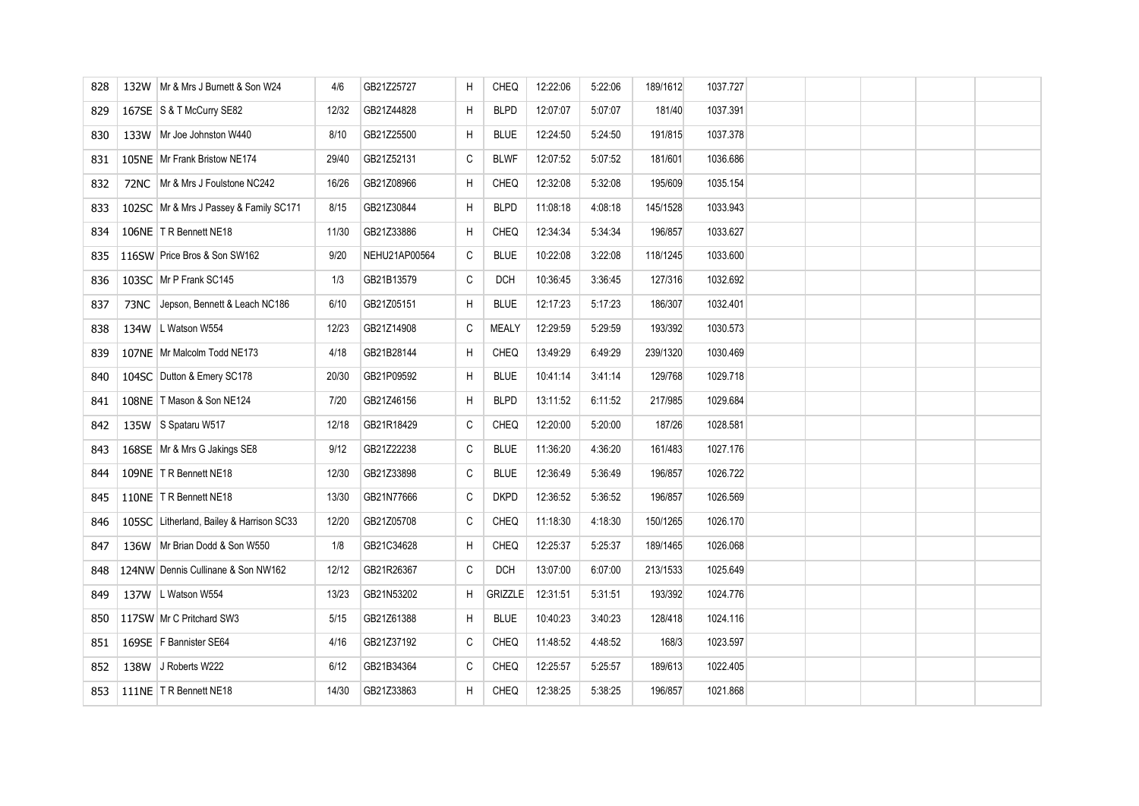| 828 | 132W | Mr & Mrs J Burnett & Son W24             | 4/6   | GB21Z25727    | н | <b>CHEQ</b>  | 12:22:06 | 5:22:06 | 189/1612 | 1037.727 |  |  |  |
|-----|------|------------------------------------------|-------|---------------|---|--------------|----------|---------|----------|----------|--|--|--|
| 829 |      | 167SE S & T McCurry SE82                 | 12/32 | GB21Z44828    | H | <b>BLPD</b>  | 12:07:07 | 5:07:07 | 181/40   | 1037.391 |  |  |  |
| 830 |      | 133W   Mr Joe Johnston W440              | 8/10  | GB21Z25500    | H | <b>BLUE</b>  | 12:24:50 | 5:24:50 | 191/815  | 1037.378 |  |  |  |
| 831 |      | 105NE Mr Frank Bristow NE174             | 29/40 | GB21Z52131    | C | <b>BLWF</b>  | 12:07:52 | 5:07:52 | 181/601  | 1036.686 |  |  |  |
| 832 | 72NC | Mr & Mrs J Foulstone NC242               | 16/26 | GB21Z08966    | H | <b>CHEQ</b>  | 12:32:08 | 5:32:08 | 195/609  | 1035.154 |  |  |  |
| 833 |      | 102SC Mr & Mrs J Passey & Family SC171   | 8/15  | GB21Z30844    | H | <b>BLPD</b>  | 11:08:18 | 4:08:18 | 145/1528 | 1033.943 |  |  |  |
| 834 |      | 106NE   T R Bennett NE18                 | 11/30 | GB21Z33886    | H | <b>CHEQ</b>  | 12:34:34 | 5:34:34 | 196/857  | 1033.627 |  |  |  |
| 835 |      | 116SW Price Bros & Son SW162             | 9/20  | NEHU21AP00564 | C | <b>BLUE</b>  | 10:22:08 | 3:22:08 | 118/1245 | 1033.600 |  |  |  |
| 836 |      | 103SC Mr P Frank SC145                   | 1/3   | GB21B13579    | C | DCH          | 10:36:45 | 3:36:45 | 127/316  | 1032.692 |  |  |  |
| 837 | 73NC | Jepson, Bennett & Leach NC186            | 6/10  | GB21Z05151    | H | <b>BLUE</b>  | 12:17:23 | 5:17:23 | 186/307  | 1032.401 |  |  |  |
| 838 |      | 134W L Watson W554                       | 12/23 | GB21Z14908    | C | <b>MEALY</b> | 12:29:59 | 5:29:59 | 193/392  | 1030.573 |  |  |  |
| 839 |      | 107NE Mr Malcolm Todd NE173              | 4/18  | GB21B28144    | H | CHEQ         | 13:49:29 | 6:49:29 | 239/1320 | 1030.469 |  |  |  |
| 840 |      | 104SC Dutton & Emery SC178               | 20/30 | GB21P09592    | H | <b>BLUE</b>  | 10:41:14 | 3:41:14 | 129/768  | 1029.718 |  |  |  |
| 841 |      | 108NE   T Mason & Son NE124              | 7/20  | GB21Z46156    | H | <b>BLPD</b>  | 13:11:52 | 6:11:52 | 217/985  | 1029.684 |  |  |  |
| 842 |      | 135W S Spataru W517                      | 12/18 | GB21R18429    | C | CHEQ         | 12:20:00 | 5:20:00 | 187/26   | 1028.581 |  |  |  |
| 843 |      | 168SE Mr & Mrs G Jakings SE8             | 9/12  | GB21Z22238    | C | <b>BLUE</b>  | 11:36:20 | 4:36:20 | 161/483  | 1027.176 |  |  |  |
| 844 |      | 109NE   T R Bennett NE18                 | 12/30 | GB21Z33898    | C | <b>BLUE</b>  | 12:36:49 | 5:36:49 | 196/857  | 1026.722 |  |  |  |
| 845 |      | 110NE   T R Bennett NE18                 | 13/30 | GB21N77666    | C | <b>DKPD</b>  | 12:36:52 | 5:36:52 | 196/857  | 1026.569 |  |  |  |
| 846 |      | 105SC Litherland, Bailey & Harrison SC33 | 12/20 | GB21Z05708    | C | <b>CHEQ</b>  | 11:18:30 | 4:18:30 | 150/1265 | 1026.170 |  |  |  |
| 847 | 136W | Mr Brian Dodd & Son W550                 | 1/8   | GB21C34628    | H | <b>CHEQ</b>  | 12:25:37 | 5:25:37 | 189/1465 | 1026.068 |  |  |  |
| 848 |      | 124NW Dennis Cullinane & Son NW162       | 12/12 | GB21R26367    | C | <b>DCH</b>   | 13:07:00 | 6:07:00 | 213/1533 | 1025.649 |  |  |  |
| 849 |      | 137W L Watson W554                       | 13/23 | GB21N53202    | H | GRIZZLE      | 12:31:51 | 5:31:51 | 193/392  | 1024.776 |  |  |  |
| 850 |      | 117SW Mr C Pritchard SW3                 | 5/15  | GB21Z61388    | H | <b>BLUE</b>  | 10:40:23 | 3:40:23 | 128/418  | 1024.116 |  |  |  |
| 851 |      | 169SE   F Bannister SE64                 | 4/16  | GB21Z37192    | C | CHEQ         | 11:48:52 | 4:48:52 | 168/3    | 1023.597 |  |  |  |
| 852 | 138W | J Roberts W222                           | 6/12  | GB21B34364    | C | <b>CHEQ</b>  | 12:25:57 | 5:25:57 | 189/613  | 1022.405 |  |  |  |
| 853 |      | 111NE   T R Bennett NE18                 | 14/30 | GB21Z33863    | H | <b>CHEQ</b>  | 12:38:25 | 5:38:25 | 196/857  | 1021.868 |  |  |  |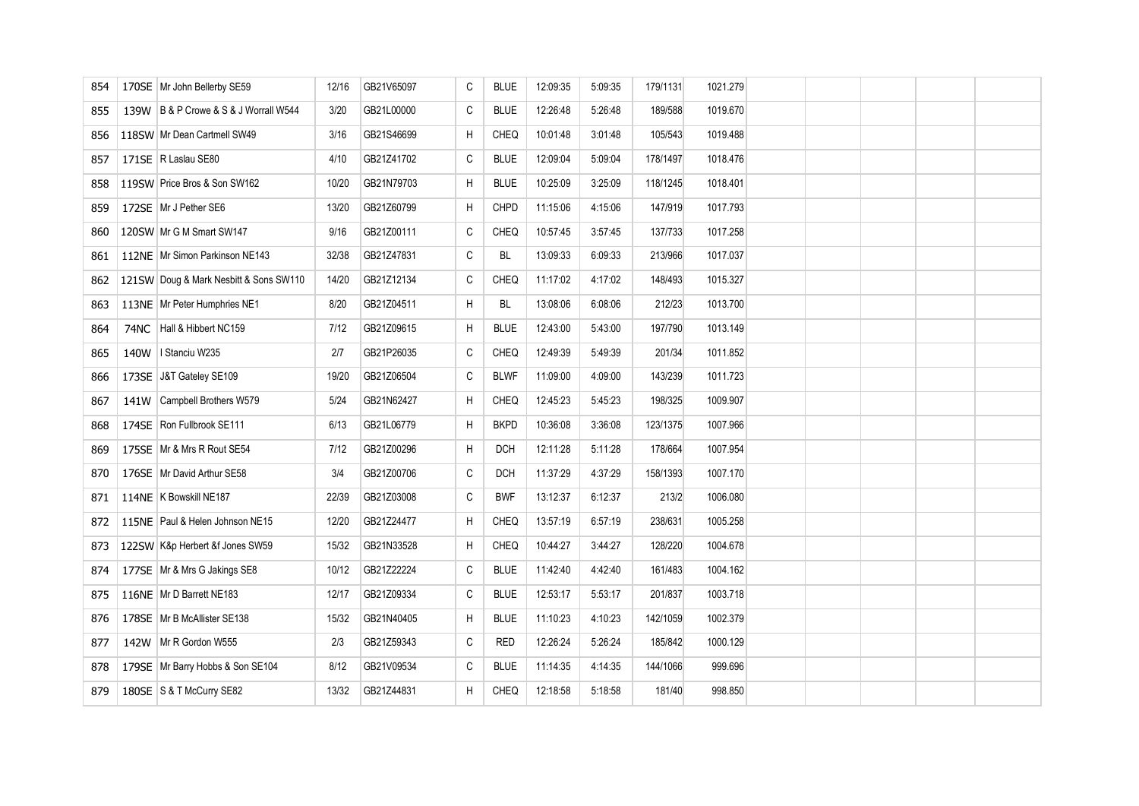| 854 |      | 170SE Mr John Bellerby SE59            | 12/16 | GB21V65097 | C           | <b>BLUE</b> | 12:09:35 | 5:09:35 | 179/1131 | 1021.279 |  |  |  |
|-----|------|----------------------------------------|-------|------------|-------------|-------------|----------|---------|----------|----------|--|--|--|
| 855 |      | 139W B & P Crowe & S & J Worrall W544  | 3/20  | GB21L00000 | C           | <b>BLUE</b> | 12:26:48 | 5:26:48 | 189/588  | 1019.670 |  |  |  |
| 856 |      | 118SW Mr Dean Cartmell SW49            | 3/16  | GB21S46699 | H           | <b>CHEQ</b> | 10:01:48 | 3:01:48 | 105/543  | 1019.488 |  |  |  |
| 857 |      | 171SE R Laslau SE80                    | 4/10  | GB21Z41702 | C           | <b>BLUE</b> | 12:09:04 | 5:09:04 | 178/1497 | 1018.476 |  |  |  |
| 858 |      | 119SW Price Bros & Son SW162           | 10/20 | GB21N79703 | Н           | <b>BLUE</b> | 10:25:09 | 3:25:09 | 118/1245 | 1018.401 |  |  |  |
| 859 |      | 172SE Mr J Pether SE6                  | 13/20 | GB21Z60799 | H           | CHPD        | 11:15:06 | 4:15:06 | 147/919  | 1017.793 |  |  |  |
| 860 |      | 120SW Mr G M Smart SW147               | 9/16  | GB21Z00111 | $\mathsf C$ | CHEQ        | 10:57:45 | 3:57:45 | 137/733  | 1017.258 |  |  |  |
| 861 |      | 112NE   Mr Simon Parkinson NE143       | 32/38 | GB21Z47831 | C           | BL          | 13:09:33 | 6:09:33 | 213/966  | 1017.037 |  |  |  |
| 862 |      | 121SW Doug & Mark Nesbitt & Sons SW110 | 14/20 | GB21Z12134 | C           | <b>CHEQ</b> | 11:17:02 | 4:17:02 | 148/493  | 1015.327 |  |  |  |
| 863 |      | 113NE Mr Peter Humphries NE1           | 8/20  | GB21Z04511 | H           | BL          | 13:08:06 | 6:08:06 | 212/23   | 1013.700 |  |  |  |
| 864 | 74NC | Hall & Hibbert NC159                   | 7/12  | GB21Z09615 | H           | <b>BLUE</b> | 12:43:00 | 5:43:00 | 197/790  | 1013.149 |  |  |  |
| 865 | 140W | I Stanciu W235                         | 2/7   | GB21P26035 | С           | CHEQ        | 12:49:39 | 5:49:39 | 201/34   | 1011.852 |  |  |  |
| 866 |      | 173SE J&T Gateley SE109                | 19/20 | GB21Z06504 | C           | <b>BLWF</b> | 11:09:00 | 4:09:00 | 143/239  | 1011.723 |  |  |  |
| 867 |      | 141W Campbell Brothers W579            | 5/24  | GB21N62427 | H           | CHEQ        | 12:45:23 | 5:45:23 | 198/325  | 1009.907 |  |  |  |
| 868 |      | 174SE Ron Fullbrook SE111              | 6/13  | GB21L06779 | H           | <b>BKPD</b> | 10:36:08 | 3:36:08 | 123/1375 | 1007.966 |  |  |  |
| 869 |      | 175SE Mr & Mrs R Rout SE54             | 7/12  | GB21Z00296 | H           | <b>DCH</b>  | 12:11:28 | 5:11:28 | 178/664  | 1007.954 |  |  |  |
| 870 |      | 176SE Mr David Arthur SE58             | 3/4   | GB21Z00706 | C           | DCH         | 11:37:29 | 4:37:29 | 158/1393 | 1007.170 |  |  |  |
| 871 |      | 114NE K Bowskill NE187                 | 22/39 | GB21Z03008 | С           | <b>BWF</b>  | 13:12:37 | 6:12:37 | 213/2    | 1006.080 |  |  |  |
| 872 |      | 115NE   Paul & Helen Johnson NE15      | 12/20 | GB21Z24477 | Н           | CHEQ        | 13:57:19 | 6:57:19 | 238/631  | 1005.258 |  |  |  |
| 873 |      | 122SW K&p Herbert &f Jones SW59        | 15/32 | GB21N33528 | H           | <b>CHEQ</b> | 10:44:27 | 3:44:27 | 128/220  | 1004.678 |  |  |  |
| 874 |      | 177SE Mr & Mrs G Jakings SE8           | 10/12 | GB21Z22224 | С           | <b>BLUE</b> | 11:42:40 | 4:42:40 | 161/483  | 1004.162 |  |  |  |
| 875 |      | 116NE Mr D Barrett NE183               | 12/17 | GB21Z09334 | С           | <b>BLUE</b> | 12:53:17 | 5:53:17 | 201/837  | 1003.718 |  |  |  |
| 876 |      | 178SE Mr B McAllister SE138            | 15/32 | GB21N40405 | H           | <b>BLUE</b> | 11:10:23 | 4:10:23 | 142/1059 | 1002.379 |  |  |  |
| 877 |      | 142W   Mr R Gordon W555                | 2/3   | GB21Z59343 | C           | RED         | 12:26:24 | 5:26:24 | 185/842  | 1000.129 |  |  |  |
| 878 |      | 179SE Mr Barry Hobbs & Son SE104       | 8/12  | GB21V09534 | C           | <b>BLUE</b> | 11:14:35 | 4:14:35 | 144/1066 | 999.696  |  |  |  |
| 879 |      | 180SE S & T McCurry SE82               | 13/32 | GB21Z44831 | H           | CHEQ        | 12:18:58 | 5:18:58 | 181/40   | 998.850  |  |  |  |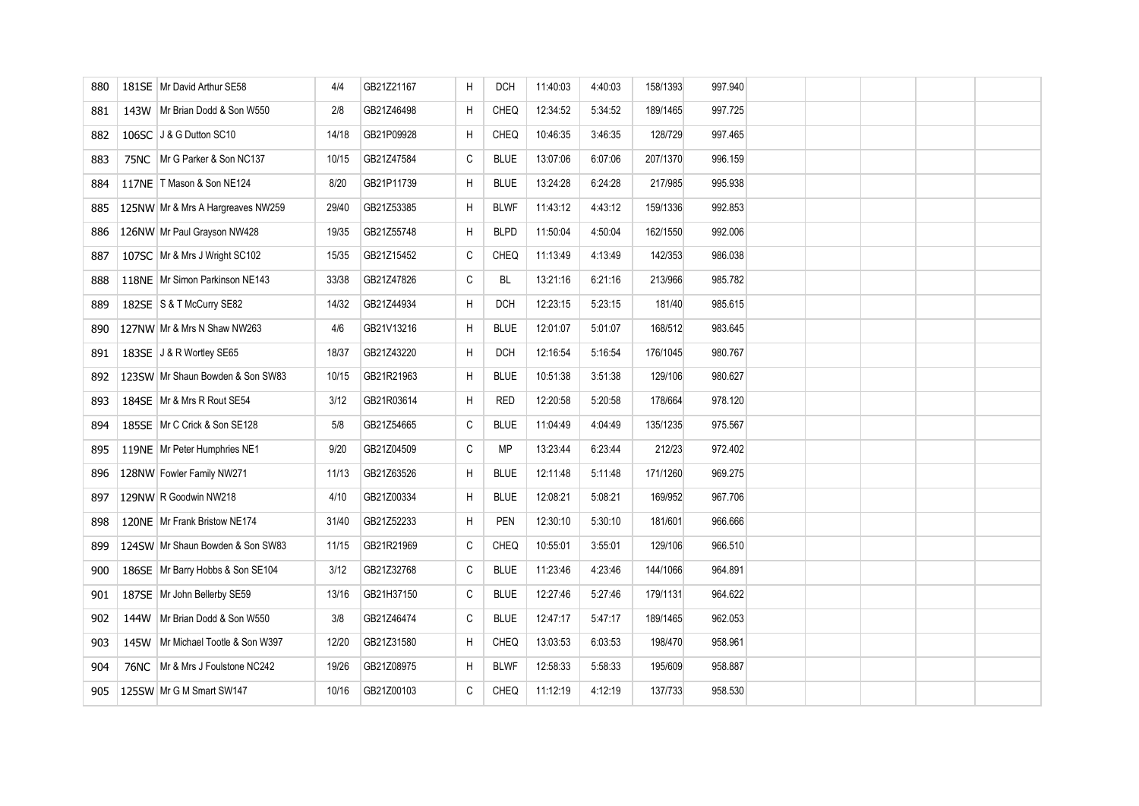| 880 |      | 181SE   Mr David Arthur SE58      | 4/4   | GB21Z21167 | H | <b>DCH</b>  | 11:40:03 | 4:40:03 | 158/1393 | 997.940 |  |  |  |
|-----|------|-----------------------------------|-------|------------|---|-------------|----------|---------|----------|---------|--|--|--|
| 881 |      | 143W   Mr Brian Dodd & Son W550   | 2/8   | GB21Z46498 | H | CHEQ        | 12:34:52 | 5:34:52 | 189/1465 | 997.725 |  |  |  |
| 882 |      | 106SC J & G Dutton SC10           | 14/18 | GB21P09928 | H | <b>CHEQ</b> | 10:46:35 | 3:46:35 | 128/729  | 997.465 |  |  |  |
| 883 | 75NC | Mr G Parker & Son NC137           | 10/15 | GB21Z47584 | С | <b>BLUE</b> | 13:07:06 | 6:07:06 | 207/1370 | 996.159 |  |  |  |
| 884 |      | 117NE   T Mason & Son NE124       | 8/20  | GB21P11739 | Н | <b>BLUE</b> | 13:24:28 | 6:24:28 | 217/985  | 995.938 |  |  |  |
| 885 |      | 125NW Mr & Mrs A Hargreaves NW259 | 29/40 | GB21Z53385 | H | <b>BLWF</b> | 11:43:12 | 4:43:12 | 159/1336 | 992.853 |  |  |  |
| 886 |      | 126NW Mr Paul Grayson NW428       | 19/35 | GB21Z55748 | H | <b>BLPD</b> | 11:50:04 | 4:50:04 | 162/1550 | 992.006 |  |  |  |
| 887 |      | 107SC Mr & Mrs J Wright SC102     | 15/35 | GB21Z15452 | С | CHEQ        | 11:13:49 | 4:13:49 | 142/353  | 986.038 |  |  |  |
| 888 |      | 118NE   Mr Simon Parkinson NE143  | 33/38 | GB21Z47826 | C | BL          | 13:21:16 | 6:21:16 | 213/966  | 985.782 |  |  |  |
| 889 |      | 182SE S & T McCurry SE82          | 14/32 | GB21Z44934 | H | <b>DCH</b>  | 12:23:15 | 5:23:15 | 181/40   | 985.615 |  |  |  |
| 890 |      | 127NW Mr & Mrs N Shaw NW263       | 4/6   | GB21V13216 | H | <b>BLUE</b> | 12:01:07 | 5:01:07 | 168/512  | 983.645 |  |  |  |
| 891 |      | 183SE J & R Wortley SE65          | 18/37 | GB21Z43220 | Н | <b>DCH</b>  | 12:16:54 | 5:16:54 | 176/1045 | 980.767 |  |  |  |
| 892 |      | 123SW Mr Shaun Bowden & Son SW83  | 10/15 | GB21R21963 | H | <b>BLUE</b> | 10:51:38 | 3:51:38 | 129/106  | 980.627 |  |  |  |
| 893 |      | 184SE Mr & Mrs R Rout SE54        | 3/12  | GB21R03614 | Н | <b>RED</b>  | 12:20:58 | 5:20:58 | 178/664  | 978.120 |  |  |  |
| 894 |      | 185SE Mr C Crick & Son SE128      | 5/8   | GB21Z54665 | С | <b>BLUE</b> | 11:04:49 | 4:04:49 | 135/1235 | 975.567 |  |  |  |
| 895 |      | 119NE Mr Peter Humphries NE1      | 9/20  | GB21Z04509 | С | <b>MP</b>   | 13:23:44 | 6:23:44 | 212/23   | 972.402 |  |  |  |
| 896 |      | 128NW Fowler Family NW271         | 11/13 | GB21Z63526 | H | <b>BLUE</b> | 12:11:48 | 5:11:48 | 171/1260 | 969.275 |  |  |  |
| 897 |      | 129NW R Goodwin NW218             | 4/10  | GB21Z00334 | H | <b>BLUE</b> | 12:08:21 | 5:08:21 | 169/952  | 967.706 |  |  |  |
| 898 |      | 120NE Mr Frank Bristow NE174      | 31/40 | GB21Z52233 | H | PEN         | 12:30:10 | 5:30:10 | 181/601  | 966.666 |  |  |  |
| 899 |      | 124SW Mr Shaun Bowden & Son SW83  | 11/15 | GB21R21969 | C | <b>CHEQ</b> | 10:55:01 | 3:55:01 | 129/106  | 966.510 |  |  |  |
| 900 |      | 186SE Mr Barry Hobbs & Son SE104  | 3/12  | GB21Z32768 | С | <b>BLUE</b> | 11:23:46 | 4:23:46 | 144/1066 | 964.891 |  |  |  |
| 901 |      | 187SE Mr John Bellerby SE59       | 13/16 | GB21H37150 | С | <b>BLUE</b> | 12:27:46 | 5:27:46 | 179/1131 | 964.622 |  |  |  |
| 902 | 144W | Mr Brian Dodd & Son W550          | 3/8   | GB21Z46474 | С | <b>BLUE</b> | 12:47:17 | 5:47:17 | 189/1465 | 962.053 |  |  |  |
| 903 | 145W | Mr Michael Tootle & Son W397      | 12/20 | GB21Z31580 | H | <b>CHEQ</b> | 13:03:53 | 6:03:53 | 198/470  | 958.961 |  |  |  |
| 904 | 76NC | Mr & Mrs J Foulstone NC242        | 19/26 | GB21Z08975 | H | <b>BLWF</b> | 12:58:33 | 5:58:33 | 195/609  | 958.887 |  |  |  |
| 905 |      | 125SW Mr G M Smart SW147          | 10/16 | GB21Z00103 | C | <b>CHEQ</b> | 11:12:19 | 4:12:19 | 137/733  | 958.530 |  |  |  |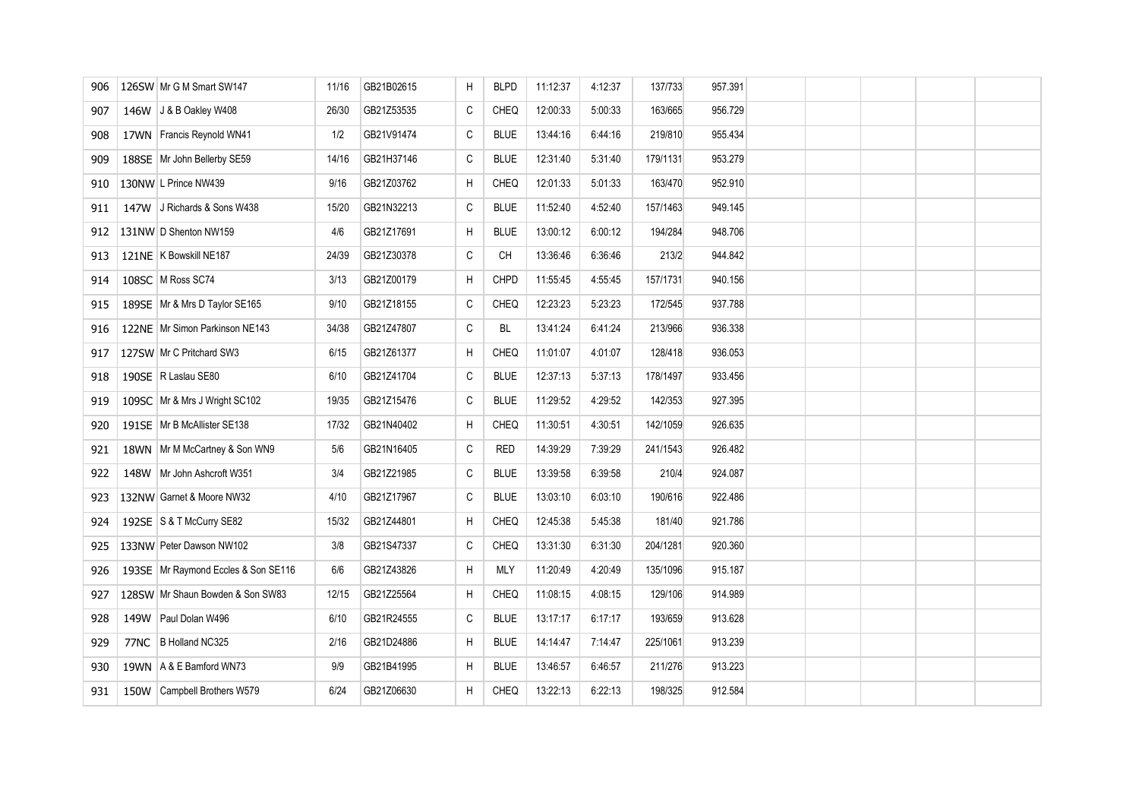| 906 |      | 126SW Mr G M Smart SW147            | 11/16 | GB21B02615 | Η           | <b>BLPD</b> | 11:12:37 | 4:12:37 | 137/733  | 957.391 |  |  |  |
|-----|------|-------------------------------------|-------|------------|-------------|-------------|----------|---------|----------|---------|--|--|--|
| 907 |      | 146W J & B Oakley W408              | 26/30 | GB21Z53535 | C           | <b>CHEQ</b> | 12:00:33 | 5:00:33 | 163/665  | 956.729 |  |  |  |
| 908 |      | 17WN Francis Reynold WN41           | 1/2   | GB21V91474 | С           | <b>BLUE</b> | 13:44:16 | 6:44:16 | 219/810  | 955.434 |  |  |  |
| 909 |      | 188SE Mr John Bellerby SE59         | 14/16 | GB21H37146 | С           | <b>BLUE</b> | 12:31:40 | 5:31:40 | 179/1131 | 953.279 |  |  |  |
| 910 |      | 130NW L Prince NW439                | 9/16  | GB21Z03762 | H           | CHEQ        | 12:01:33 | 5:01:33 | 163/470  | 952.910 |  |  |  |
| 911 |      | 147W J Richards & Sons W438         | 15/20 | GB21N32213 | С           | <b>BLUE</b> | 11:52:40 | 4:52:40 | 157/1463 | 949.145 |  |  |  |
| 912 |      | 131NW D Shenton NW159               | 4/6   | GB21Z17691 | Н           | <b>BLUE</b> | 13:00:12 | 6:00:12 | 194/284  | 948.706 |  |  |  |
| 913 |      | 121NE K Bowskill NE187              | 24/39 | GB21Z30378 | С           | CH          | 13:36:46 | 6:36:46 | 213/2    | 944.842 |  |  |  |
| 914 |      | 108SC M Ross SC74                   | 3/13  | GB21Z00179 | H           | CHPD        | 11:55:45 | 4:55:45 | 157/1731 | 940.156 |  |  |  |
| 915 |      | 189SE Mr & Mrs D Taylor SE165       | 9/10  | GB21Z18155 | C           | <b>CHEQ</b> | 12:23:23 | 5:23:23 | 172/545  | 937.788 |  |  |  |
| 916 |      | 122NE Mr Simon Parkinson NE143      | 34/38 | GB21Z47807 | $\mathsf C$ | BL          | 13:41:24 | 6:41:24 | 213/966  | 936.338 |  |  |  |
| 917 |      | 127SW Mr C Pritchard SW3            | 6/15  | GB21Z61377 | Н           | CHEQ        | 11:01:07 | 4:01:07 | 128/418  | 936.053 |  |  |  |
| 918 |      | 190SE R Laslau SE80                 | 6/10  | GB21Z41704 | С           | <b>BLUE</b> | 12:37:13 | 5:37:13 | 178/1497 | 933.456 |  |  |  |
| 919 |      | 109SC Mr & Mrs J Wright SC102       | 19/35 | GB21Z15476 | С           | <b>BLUE</b> | 11:29:52 | 4:29:52 | 142/353  | 927.395 |  |  |  |
| 920 |      | 191SE Mr B McAllister SE138         | 17/32 | GB21N40402 | Н           | CHEQ        | 11:30:51 | 4:30:51 | 142/1059 | 926.635 |  |  |  |
| 921 |      | 18WN   Mr M McCartney & Son WN9     | 5/6   | GB21N16405 | С           | <b>RED</b>  | 14:39:29 | 7:39:29 | 241/1543 | 926.482 |  |  |  |
| 922 |      | 148W Mr John Ashcroft W351          | 3/4   | GB21Z21985 | С           | <b>BLUE</b> | 13:39:58 | 6:39:58 | 210/4    | 924.087 |  |  |  |
| 923 |      | 132NW Garnet & Moore NW32           | 4/10  | GB21Z17967 | С           | <b>BLUE</b> | 13:03:10 | 6:03:10 | 190/616  | 922.486 |  |  |  |
| 924 |      | 192SE S & T McCurry SE82            | 15/32 | GB21Z44801 | Н           | CHEQ        | 12:45:38 | 5:45:38 | 181/40   | 921.786 |  |  |  |
| 925 |      | 133NW Peter Dawson NW102            | 3/8   | GB21S47337 | C           | <b>CHEQ</b> | 13:31:30 | 6:31:30 | 204/1281 | 920.360 |  |  |  |
| 926 |      | 193SE Mr Raymond Eccles & Son SE116 | 6/6   | GB21Z43826 | H           | MLY         | 11:20:49 | 4:20:49 | 135/1096 | 915.187 |  |  |  |
| 927 |      | 128SW Mr Shaun Bowden & Son SW83    | 12/15 | GB21Z25564 | H           | <b>CHEQ</b> | 11:08:15 | 4:08:15 | 129/106  | 914.989 |  |  |  |
| 928 | 149W | Paul Dolan W496                     | 6/10  | GB21R24555 | С           | <b>BLUE</b> | 13:17:17 | 6:17:17 | 193/659  | 913.628 |  |  |  |
| 929 | 77NC | B Holland NC325                     | 2/16  | GB21D24886 | H           | <b>BLUE</b> | 14:14:47 | 7:14:47 | 225/1061 | 913.239 |  |  |  |
| 930 |      | 19WN A & E Bamford WN73             | 9/9   | GB21B41995 | H           | <b>BLUE</b> | 13:46:57 | 6:46:57 | 211/276  | 913.223 |  |  |  |
| 931 |      | 150W Campbell Brothers W579         | 6/24  | GB21Z06630 | H           | <b>CHEQ</b> | 13:22:13 | 6:22:13 | 198/325  | 912.584 |  |  |  |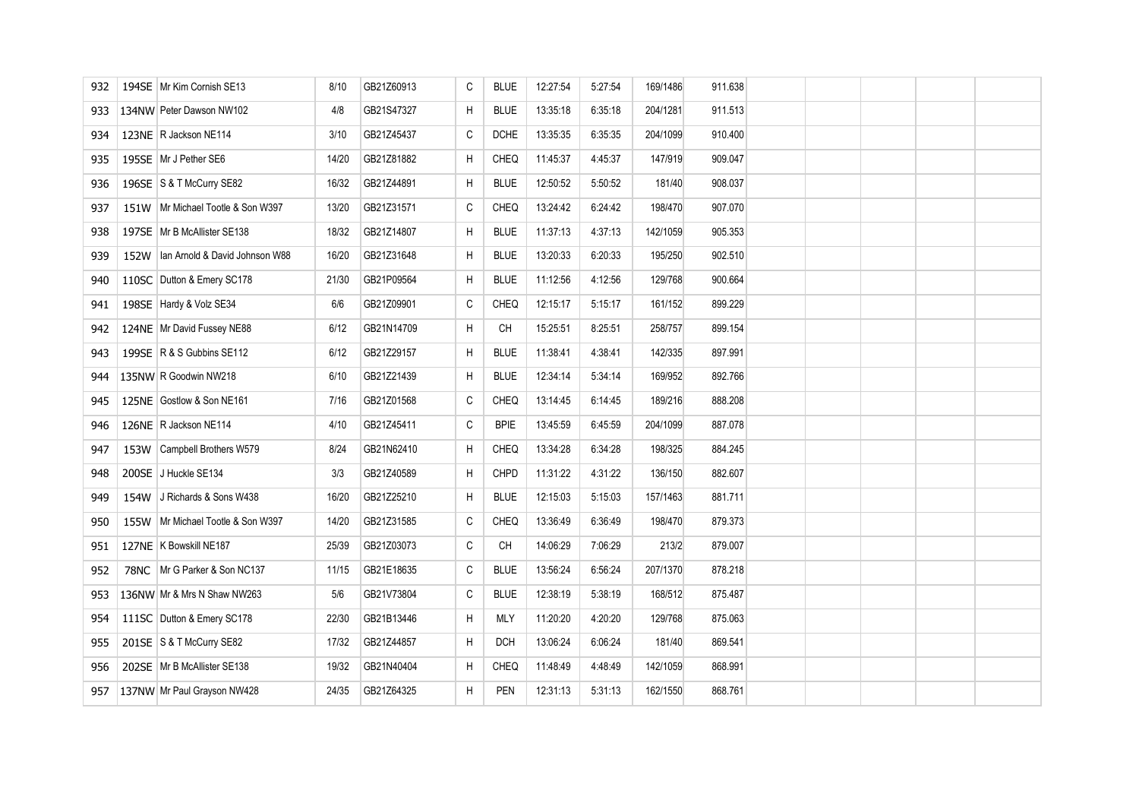| 932 |      | 194SE Mr Kim Cornish SE13           | 8/10  | GB21Z60913 | C | <b>BLUE</b> | 12:27:54 | 5:27:54 | 169/1486 | 911.638 |  |  |  |
|-----|------|-------------------------------------|-------|------------|---|-------------|----------|---------|----------|---------|--|--|--|
| 933 |      | 134NW Peter Dawson NW102            | 4/8   | GB21S47327 | H | <b>BLUE</b> | 13:35:18 | 6:35:18 | 204/1281 | 911.513 |  |  |  |
| 934 |      | 123NE R Jackson NE114               | 3/10  | GB21Z45437 | C | <b>DCHE</b> | 13:35:35 | 6:35:35 | 204/1099 | 910.400 |  |  |  |
| 935 |      | 195SE Mr J Pether SE6               | 14/20 | GB21Z81882 | H | CHEQ        | 11:45:37 | 4:45:37 | 147/919  | 909.047 |  |  |  |
| 936 |      | 196SE S & T McCurry SE82            | 16/32 | GB21Z44891 | Н | <b>BLUE</b> | 12:50:52 | 5:50:52 | 181/40   | 908.037 |  |  |  |
| 937 |      | 151W Mr Michael Tootle & Son W397   | 13/20 | GB21Z31571 | C | CHEQ        | 13:24:42 | 6:24:42 | 198/470  | 907.070 |  |  |  |
| 938 |      | 197SE Mr B McAllister SE138         | 18/32 | GB21Z14807 | H | <b>BLUE</b> | 11:37:13 | 4:37:13 | 142/1059 | 905.353 |  |  |  |
| 939 | 152W | Ian Amold & David Johnson W88       | 16/20 | GB21Z31648 | H | <b>BLUE</b> | 13:20:33 | 6:20:33 | 195/250  | 902.510 |  |  |  |
| 940 |      | 110SC Dutton & Emery SC178          | 21/30 | GB21P09564 | H | <b>BLUE</b> | 11:12:56 | 4:12:56 | 129/768  | 900.664 |  |  |  |
| 941 |      | 198SE Hardy & Volz SE34             | 6/6   | GB21Z09901 | C | CHEQ        | 12:15:17 | 5:15:17 | 161/152  | 899.229 |  |  |  |
| 942 |      | 124NE Mr David Fussey NE88          | 6/12  | GB21N14709 | H | СH          | 15:25:51 | 8:25:51 | 258/757  | 899.154 |  |  |  |
| 943 |      | 199SE R & S Gubbins SE112           | 6/12  | GB21Z29157 | Н | <b>BLUE</b> | 11:38:41 | 4:38:41 | 142/335  | 897.991 |  |  |  |
| 944 |      | 135NW R Goodwin NW218               | 6/10  | GB21Z21439 | H | <b>BLUE</b> | 12:34:14 | 5:34:14 | 169/952  | 892.766 |  |  |  |
| 945 |      | 125NE Gostlow & Son NE161           | 7/16  | GB21Z01568 | С | CHEQ        | 13:14:45 | 6:14:45 | 189/216  | 888.208 |  |  |  |
| 946 |      | 126NE R Jackson NE114               | 4/10  | GB21Z45411 | С | <b>BPIE</b> | 13:45:59 | 6:45:59 | 204/1099 | 887.078 |  |  |  |
| 947 |      | 153W Campbell Brothers W579         | 8/24  | GB21N62410 | H | CHEQ        | 13:34:28 | 6:34:28 | 198/325  | 884.245 |  |  |  |
| 948 |      | 200SE J Huckle SE134                | 3/3   | GB21Z40589 | H | <b>CHPD</b> | 11:31:22 | 4:31:22 | 136/150  | 882.607 |  |  |  |
| 949 |      | 154W J Richards & Sons W438         | 16/20 | GB21Z25210 | H | <b>BLUE</b> | 12:15:03 | 5:15:03 | 157/1463 | 881.711 |  |  |  |
| 950 |      | 155W   Mr Michael Tootle & Son W397 | 14/20 | GB21Z31585 | С | CHEQ        | 13:36:49 | 6:36:49 | 198/470  | 879.373 |  |  |  |
| 951 |      | 127NE K Bowskill NE187              | 25/39 | GB21Z03073 | C | CH.         | 14:06:29 | 7:06:29 | 213/2    | 879.007 |  |  |  |
| 952 |      | 78NC   Mr G Parker & Son NC137      | 11/15 | GB21E18635 | С | <b>BLUE</b> | 13:56:24 | 6:56:24 | 207/1370 | 878.218 |  |  |  |
| 953 |      | 136NW Mr & Mrs N Shaw NW263         | 5/6   | GB21V73804 | С | <b>BLUE</b> | 12:38:19 | 5:38:19 | 168/512  | 875.487 |  |  |  |
| 954 |      | 111SC Dutton & Emery SC178          | 22/30 | GB21B13446 | Н | <b>MLY</b>  | 11:20:20 | 4:20:20 | 129/768  | 875.063 |  |  |  |
| 955 |      | 201SE S & T McCurry SE82            | 17/32 | GB21Z44857 | H | <b>DCH</b>  | 13:06:24 | 6:06:24 | 181/40   | 869.541 |  |  |  |
| 956 |      | 202SE Mr B McAllister SE138         | 19/32 | GB21N40404 | H | <b>CHEQ</b> | 11:48:49 | 4:48:49 | 142/1059 | 868.991 |  |  |  |
| 957 |      | 137NW Mr Paul Grayson NW428         | 24/35 | GB21Z64325 | H | PEN         | 12:31:13 | 5:31:13 | 162/1550 | 868.761 |  |  |  |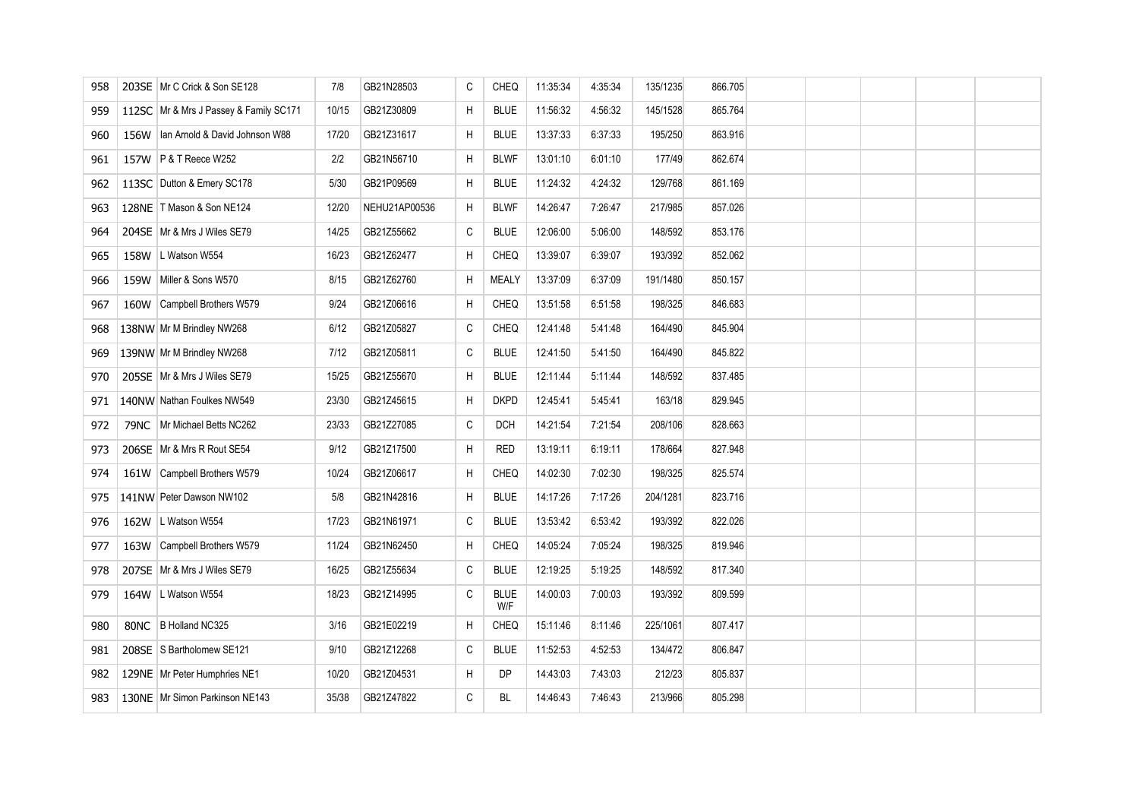| 958 |             | 203SE   Mr C Crick & Son SE128           | 7/8   | GB21N28503    | C            | <b>CHEQ</b>        | 11:35:34 | 4:35:34 | 135/1235 | 866.705 |  |  |  |
|-----|-------------|------------------------------------------|-------|---------------|--------------|--------------------|----------|---------|----------|---------|--|--|--|
| 959 |             | 112SC   Mr & Mrs J Passey & Family SC171 | 10/15 | GB21Z30809    | H            | <b>BLUE</b>        | 11:56:32 | 4:56:32 | 145/1528 | 865.764 |  |  |  |
| 960 |             | 156W   Ian Arnold & David Johnson W88    | 17/20 | GB21Z31617    | H            | <b>BLUE</b>        | 13:37:33 | 6:37:33 | 195/250  | 863.916 |  |  |  |
| 961 |             | 157W   P & T Reece W252                  | 2/2   | GB21N56710    | H            | <b>BLWF</b>        | 13:01:10 | 6:01:10 | 177/49   | 862.674 |  |  |  |
| 962 |             | 113SC Dutton & Emery SC178               | 5/30  | GB21P09569    | H            | <b>BLUE</b>        | 11:24:32 | 4:24:32 | 129/768  | 861.169 |  |  |  |
| 963 |             | 128NE   T Mason & Son NE124              | 12/20 | NEHU21AP00536 | Н            | <b>BLWF</b>        | 14:26:47 | 7:26:47 | 217/985  | 857.026 |  |  |  |
| 964 |             | 204SE   Mr & Mrs J Wiles SE79            | 14/25 | GB21Z55662    | С            | <b>BLUE</b>        | 12:06:00 | 5:06:00 | 148/592  | 853.176 |  |  |  |
| 965 |             | 158W L Watson W554                       | 16/23 | GB21Z62477    | H            | CHEQ               | 13:39:07 | 6:39:07 | 193/392  | 852.062 |  |  |  |
| 966 |             | 159W Miller & Sons W570                  | 8/15  | GB21Z62760    | H            | <b>MEALY</b>       | 13:37:09 | 6:37:09 | 191/1480 | 850.157 |  |  |  |
| 967 |             | 160W Campbell Brothers W579              | 9/24  | GB21Z06616    | H            | CHEQ               | 13:51:58 | 6:51:58 | 198/325  | 846.683 |  |  |  |
| 968 |             | 138NW Mr M Brindley NW268                | 6/12  | GB21Z05827    | С            | CHEQ               | 12:41:48 | 5:41:48 | 164/490  | 845.904 |  |  |  |
| 969 |             | 139NW Mr M Brindley NW268                | 7/12  | GB21Z05811    | С            | <b>BLUE</b>        | 12:41:50 | 5:41:50 | 164/490  | 845.822 |  |  |  |
| 970 |             | 205SE   Mr & Mrs J Wiles SE79            | 15/25 | GB21Z55670    | H            | <b>BLUE</b>        | 12:11:44 | 5:11:44 | 148/592  | 837.485 |  |  |  |
| 971 |             | 140NW Nathan Foulkes NW549               | 23/30 | GB21Z45615    | H            | <b>DKPD</b>        | 12:45:41 | 5:45:41 | 163/18   | 829.945 |  |  |  |
| 972 | 79NC        | Mr Michael Betts NC262                   | 23/33 | GB21Z27085    | С            | <b>DCH</b>         | 14:21:54 | 7:21:54 | 208/106  | 828.663 |  |  |  |
| 973 |             | 206SE Mr & Mrs R Rout SE54               | 9/12  | GB21Z17500    | Н            | <b>RED</b>         | 13:19:11 | 6:19:11 | 178/664  | 827.948 |  |  |  |
| 974 |             | 161W Campbell Brothers W579              | 10/24 | GB21Z06617    | H            | <b>CHEQ</b>        | 14:02:30 | 7:02:30 | 198/325  | 825.574 |  |  |  |
| 975 |             | 141NW Peter Dawson NW102                 | 5/8   | GB21N42816    | H            | <b>BLUE</b>        | 14:17:26 | 7:17:26 | 204/1281 | 823.716 |  |  |  |
| 976 | 162W        | L Watson W554                            | 17/23 | GB21N61971    | $\mathsf C$  | <b>BLUE</b>        | 13:53:42 | 6:53:42 | 193/392  | 822.026 |  |  |  |
| 977 |             | 163W Campbell Brothers W579              | 11/24 | GB21N62450    | H            | CHEQ               | 14:05:24 | 7:05:24 | 198/325  | 819.946 |  |  |  |
| 978 |             | 207SE   Mr & Mrs J Wiles SE79            | 16/25 | GB21Z55634    | C            | <b>BLUE</b>        | 12:19:25 | 5:19:25 | 148/592  | 817.340 |  |  |  |
| 979 |             | 164W   L Watson W554                     | 18/23 | GB21Z14995    | $\mathtt{C}$ | <b>BLUE</b><br>W/F | 14:00:03 | 7:00:03 | 193/392  | 809.599 |  |  |  |
| 980 | <b>80NC</b> | B Holland NC325                          | 3/16  | GB21E02219    | H            | CHEQ               | 15:11:46 | 8:11:46 | 225/1061 | 807.417 |  |  |  |
| 981 |             | 208SE S Bartholomew SE121                | 9/10  | GB21Z12268    | $\mathtt{C}$ | <b>BLUE</b>        | 11:52:53 | 4:52:53 | 134/472  | 806.847 |  |  |  |
| 982 |             | 129NE   Mr Peter Humphries NE1           | 10/20 | GB21Z04531    | H            | DP                 | 14:43:03 | 7:43:03 | 212/23   | 805.837 |  |  |  |
| 983 |             | 130NE Mr Simon Parkinson NE143           | 35/38 | GB21Z47822    | C            | BL                 | 14:46:43 | 7:46:43 | 213/966  | 805.298 |  |  |  |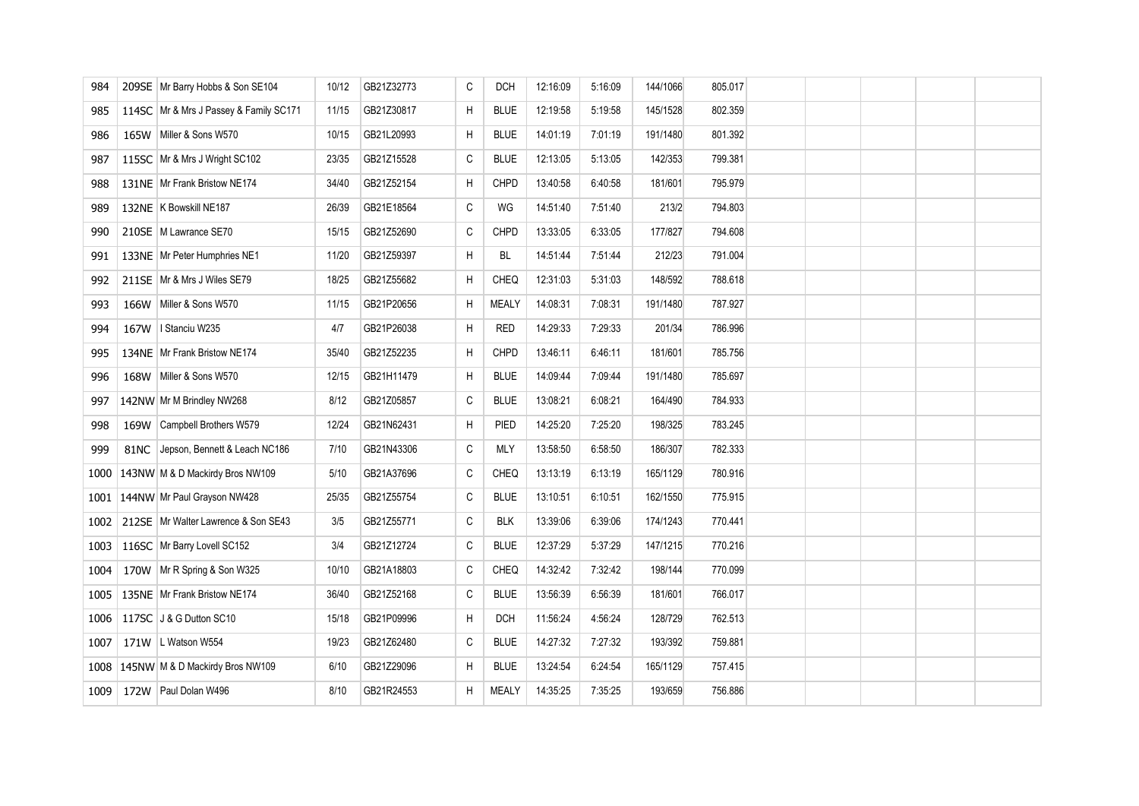| 984  |      | 209SE Mr Barry Hobbs & Son SE104         | 10/12 | GB21Z32773 | C | <b>DCH</b>   | 12:16:09 | 5:16:09 | 144/1066 | 805.017 |  |  |  |
|------|------|------------------------------------------|-------|------------|---|--------------|----------|---------|----------|---------|--|--|--|
| 985  |      | 114SC   Mr & Mrs J Passey & Family SC171 | 11/15 | GB21Z30817 | H | <b>BLUE</b>  | 12:19:58 | 5:19:58 | 145/1528 | 802.359 |  |  |  |
| 986  |      | 165W Miller & Sons W570                  | 10/15 | GB21L20993 | H | <b>BLUE</b>  | 14:01:19 | 7:01:19 | 191/1480 | 801.392 |  |  |  |
| 987  |      | 115SC Mr & Mrs J Wright SC102            | 23/35 | GB21Z15528 | С | <b>BLUE</b>  | 12:13:05 | 5:13:05 | 142/353  | 799.381 |  |  |  |
| 988  |      | 131NE Mr Frank Bristow NE174             | 34/40 | GB21Z52154 | Н | <b>CHPD</b>  | 13:40:58 | 6:40:58 | 181/601  | 795.979 |  |  |  |
| 989  |      | 132NE K Bowskill NE187                   | 26/39 | GB21E18564 | C | WG           | 14:51:40 | 7:51:40 | 213/2    | 794.803 |  |  |  |
| 990  |      | 210SE M Lawrance SE70                    | 15/15 | GB21Z52690 | С | CHPD         | 13:33:05 | 6:33:05 | 177/827  | 794.608 |  |  |  |
| 991  |      | 133NE Mr Peter Humphries NE1             | 11/20 | GB21Z59397 | H | BL           | 14:51:44 | 7:51:44 | 212/23   | 791.004 |  |  |  |
| 992  |      | 211SE Mr & Mrs J Wiles SE79              | 18/25 | GB21Z55682 | H | CHEQ         | 12:31:03 | 5:31:03 | 148/592  | 788.618 |  |  |  |
| 993  |      | 166W Miller & Sons W570                  | 11/15 | GB21P20656 | H | <b>MEALY</b> | 14:08:31 | 7:08:31 | 191/1480 | 787.927 |  |  |  |
| 994  | 167W | I Stanciu W235                           | 4/7   | GB21P26038 | H | <b>RED</b>   | 14:29:33 | 7:29:33 | 201/34   | 786.996 |  |  |  |
| 995  |      | 134NE   Mr Frank Bristow NE174           | 35/40 | GB21Z52235 | Н | CHPD         | 13:46:11 | 6:46:11 | 181/601  | 785.756 |  |  |  |
| 996  |      | 168W Miller & Sons W570                  | 12/15 | GB21H11479 | H | <b>BLUE</b>  | 14:09:44 | 7:09:44 | 191/1480 | 785.697 |  |  |  |
| 997  |      | 142NW Mr M Brindley NW268                | 8/12  | GB21Z05857 | С | <b>BLUE</b>  | 13:08:21 | 6:08:21 | 164/490  | 784.933 |  |  |  |
| 998  |      | 169W Campbell Brothers W579              | 12/24 | GB21N62431 | H | PIED         | 14:25:20 | 7:25:20 | 198/325  | 783.245 |  |  |  |
| 999  | 81NC | Jepson, Bennett & Leach NC186            | 7/10  | GB21N43306 | С | <b>MLY</b>   | 13:58:50 | 6:58:50 | 186/307  | 782.333 |  |  |  |
| 1000 |      | 143NW M & D Mackirdy Bros NW109          | 5/10  | GB21A37696 | C | CHEQ         | 13:13:19 | 6:13:19 | 165/1129 | 780.916 |  |  |  |
| 1001 |      | 144NW Mr Paul Grayson NW428              | 25/35 | GB21Z55754 | С | <b>BLUE</b>  | 13:10:51 | 6:10:51 | 162/1550 | 775.915 |  |  |  |
| 1002 |      | 212SE Mr Walter Lawrence & Son SE43      | 3/5   | GB21Z55771 | С | <b>BLK</b>   | 13:39:06 | 6:39:06 | 174/1243 | 770.441 |  |  |  |
| 1003 |      | 116SC Mr Barry Lovell SC152              | 3/4   | GB21Z12724 | C | <b>BLUE</b>  | 12:37:29 | 5:37:29 | 147/1215 | 770.216 |  |  |  |
| 1004 |      | 170W   Mr R Spring & Son W325            | 10/10 | GB21A18803 | С | CHEQ         | 14:32:42 | 7:32:42 | 198/144  | 770.099 |  |  |  |
| 1005 |      | 135NE Mr Frank Bristow NE174             | 36/40 | GB21Z52168 | С | <b>BLUE</b>  | 13:56:39 | 6:56:39 | 181/601  | 766.017 |  |  |  |
| 1006 |      | 117SC J & G Dutton SC10                  | 15/18 | GB21P09996 | Н | <b>DCH</b>   | 11:56:24 | 4:56:24 | 128/729  | 762.513 |  |  |  |
| 1007 |      | 171W L Watson W554                       | 19/23 | GB21Z62480 | C | <b>BLUE</b>  | 14:27:32 | 7:27:32 | 193/392  | 759.881 |  |  |  |
| 1008 |      | 145NW M & D Mackirdy Bros NW109          | 6/10  | GB21Z29096 | H | <b>BLUE</b>  | 13:24:54 | 6:24:54 | 165/1129 | 757.415 |  |  |  |
| 1009 |      | 172W Paul Dolan W496                     | 8/10  | GB21R24553 | H | <b>MEALY</b> | 14:35:25 | 7:35:25 | 193/659  | 756.886 |  |  |  |